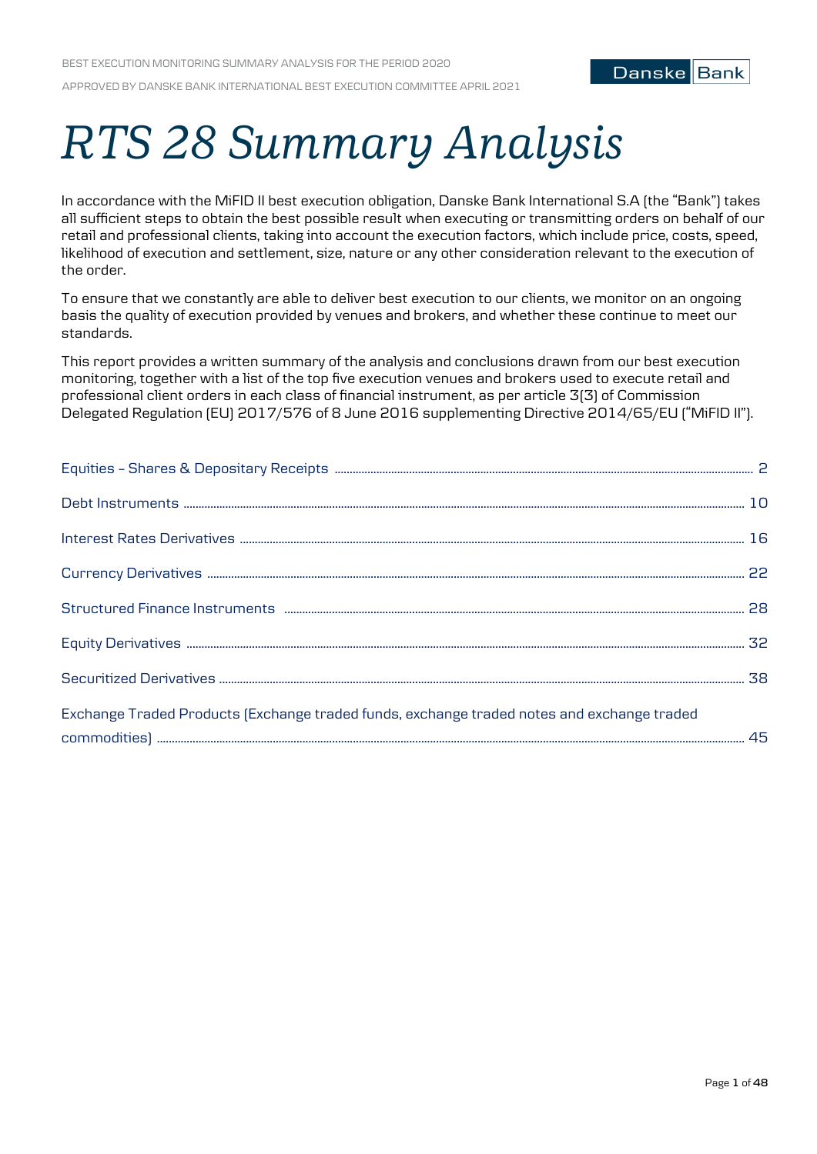

# *RTS 28 Summary Analysis*

In accordance with the MiFID II best execution obligation, Danske Bank International S.A (the "Bank") takes all sufficient steps to obtain the best possible result when executing or transmitting orders on behalf of our retail and professional clients, taking into account the execution factors, which include price, costs, speed, likelihood of execution and settlement, size, nature or any other consideration relevant to the execution of the order.

To ensure that we constantly are able to deliver best execution to our clients, we monitor on an ongoing basis the quality of execution provided by venues and brokers, and whether these continue to meet our standards.

This report provides a written summary of the analysis and conclusions drawn from our best execution monitoring, together with a list of the top five execution venues and brokers used to execute retail and professional client orders in each class of financial instrument, as per article 3(3) of Commission Delegated Regulation (EU) 2017/576 of 8 June 2016 supplementing Directive 2014/65/EU ("MiFID II").

| Exchange Traded Products (Exchange traded funds, exchange traded notes and exchange traded |  |
|--------------------------------------------------------------------------------------------|--|
|                                                                                            |  |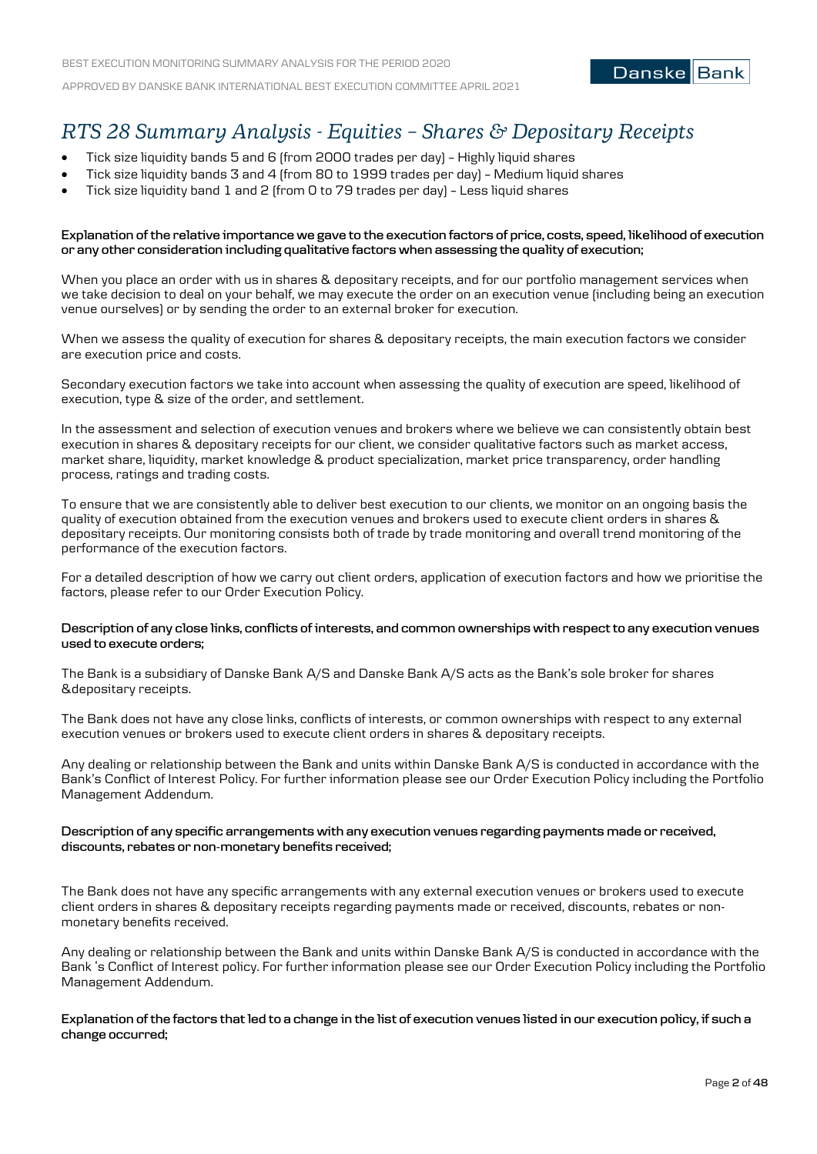

# *RTS 28 Summary Analysis - Equities – Shares & Depositary Receipts*

- Tick size liquidity bands 5 and 6 (from 2000 trades per day) Highly liquid shares
- Tick size liquidity bands 3 and 4 (from 80 to 1999 trades per day) Medium liquid shares
- Tick size liquidity band 1 and 2 (from 0 to 79 trades per day) Less liquid shares

#### **Explanation of the relative importance we gave to the execution factors of price, costs, speed, likelihood of execution or any other consideration including qualitative factors when assessing the quality of execution;**

When you place an order with us in shares & depositary receipts, and for our portfolio management services when we take decision to deal on your behalf, we may execute the order on an execution venue (including being an execution venue ourselves) or by sending the order to an external broker for execution.

When we assess the quality of execution for shares & depositary receipts, the main execution factors we consider are execution price and costs.

Secondary execution factors we take into account when assessing the quality of execution are speed, likelihood of execution, type & size of the order, and settlement.

In the assessment and selection of execution venues and brokers where we believe we can consistently obtain best execution in shares & depositary receipts for our client, we consider qualitative factors such as market access, market share, liquidity, market knowledge & product specialization, market price transparency, order handling process, ratings and trading costs.

To ensure that we are consistently able to deliver best execution to our clients, we monitor on an ongoing basis the quality of execution obtained from the execution venues and brokers used to execute client orders in shares & depositary receipts. Our monitoring consists both of trade by trade monitoring and overall trend monitoring of the performance of the execution factors.

For a detailed description of how we carry out client orders, application of execution factors and how we prioritise the factors, please refer to our Order Execution Policy.

#### **Description of any close links, conflicts of interests, and common ownerships with respect to any execution venues used to execute orders;**

The Bank is a subsidiary of Danske Bank A/S and Danske Bank A/S acts as the Bank's sole broker for shares &depositary receipts.

The Bank does not have any close links, conflicts of interests, or common ownerships with respect to any external execution venues or brokers used to execute client orders in shares & depositary receipts.

Any dealing or relationship between the Bank and units within Danske Bank A/S is conducted in accordance with the Bank's Conflict of Interest Policy. For further information please see our Order Execution Policy including the Portfolio Management Addendum.

#### **Description of any specific arrangements with any execution venues regarding payments made or received, discounts, rebates or non-monetary benefits received;**

The Bank does not have any specific arrangements with any external execution venues or brokers used to execute client orders in shares & depositary receipts regarding payments made or received, discounts, rebates or nonmonetary benefits received.

Any dealing or relationship between the Bank and units within Danske Bank A/S is conducted in accordance with the Bank 's Conflict of Interest policy. For further information please see our Order Execution Policy including the Portfolio Management Addendum.

#### **Explanation of the factors that led to a change in the list of execution venues listed in our execution policy, if such a change occurred;**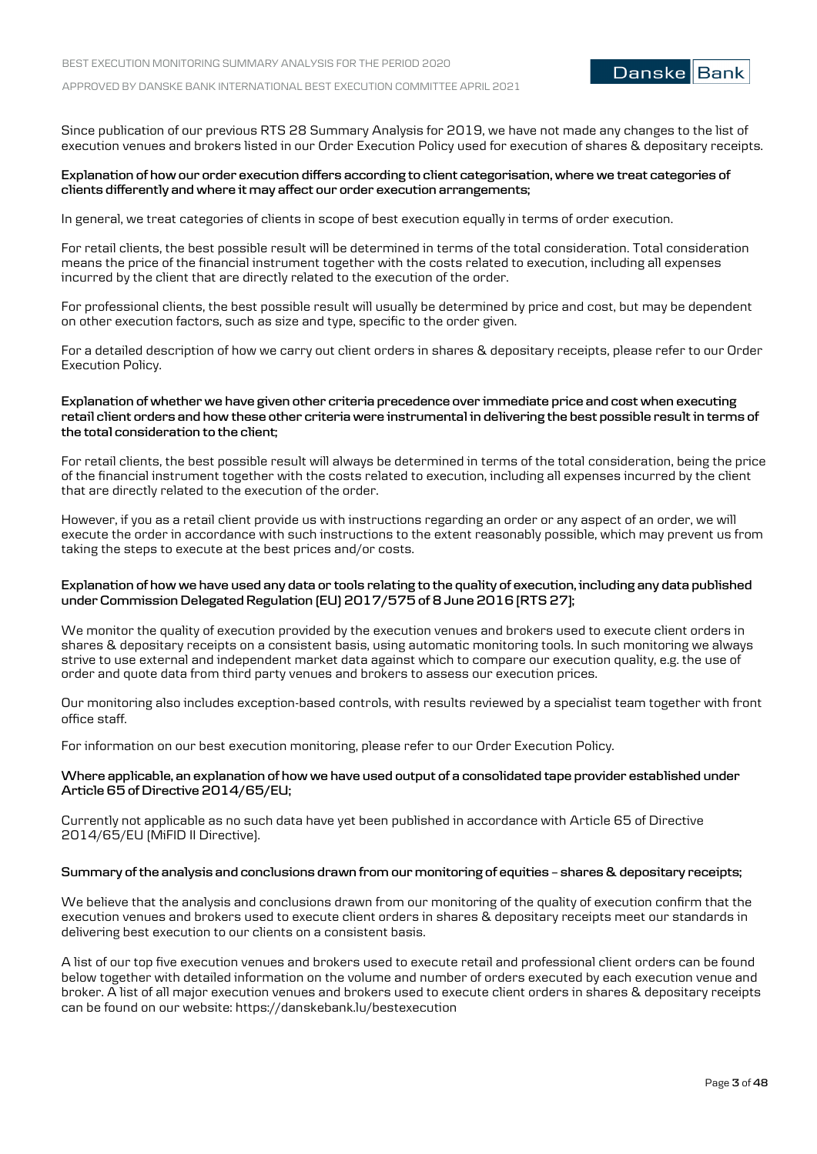

Since publication of our previous RTS 28 Summary Analysis for 2019, we have not made any changes to the list of execution venues and brokers listed in our Order Execution Policy used for execution of shares & depositary receipts.

#### **Explanation of how our order execution differs according to client categorisation, where we treat categories of clients differently and where it may affect our order execution arrangements;**

In general, we treat categories of clients in scope of best execution equally in terms of order execution.

For retail clients, the best possible result will be determined in terms of the total consideration. Total consideration means the price of the financial instrument together with the costs related to execution, including all expenses incurred by the client that are directly related to the execution of the order.

For professional clients, the best possible result will usually be determined by price and cost, but may be dependent on other execution factors, such as size and type, specific to the order given.

For a detailed description of how we carry out client orders in shares & depositary receipts, please refer to our Order Execution Policy.

#### **Explanation of whether we have given other criteria precedence over immediate price and cost when executing retail client orders and how these other criteria were instrumental in delivering the best possible result in terms of the total consideration to the client;**

For retail clients, the best possible result will always be determined in terms of the total consideration, being the price of the financial instrument together with the costs related to execution, including all expenses incurred by the client that are directly related to the execution of the order.

However, if you as a retail client provide us with instructions regarding an order or any aspect of an order, we will execute the order in accordance with such instructions to the extent reasonably possible, which may prevent us from taking the steps to execute at the best prices and/or costs.

#### **Explanation of how we have used any data or tools relating to the quality of execution, including any data published under Commission Delegated Regulation (EU) 2017/575 of 8 June 2016 [RTS 27];**

We monitor the quality of execution provided by the execution venues and brokers used to execute client orders in shares & depositary receipts on a consistent basis, using automatic monitoring tools. In such monitoring we always strive to use external and independent market data against which to compare our execution quality, e.g. the use of order and quote data from third party venues and brokers to assess our execution prices.

Our monitoring also includes exception-based controls, with results reviewed by a specialist team together with front office staff.

For information on our best execution monitoring, please refer to our Order Execution Policy.

#### **Where applicable, an explanation of how we have used output of a consolidated tape provider established under Article 65 of Directive 2014/65/EU;**

Currently not applicable as no such data have yet been published in accordance with Article 65 of Directive 2014/65/EU (MiFID II Directive).

#### **Summary of the analysis and conclusions drawn from our monitoring of equities – shares & depositary receipts;**

We believe that the analysis and conclusions drawn from our monitoring of the quality of execution confirm that the execution venues and brokers used to execute client orders in shares & depositary receipts meet our standards in delivering best execution to our clients on a consistent basis.

A list of our top five execution venues and brokers used to execute retail and professional client orders can be found below together with detailed information on the volume and number of orders executed by each execution venue and broker. A list of all major execution venues and brokers used to execute client orders in shares & depositary receipts can be found on our website: https://danskebank.lu/bestexecution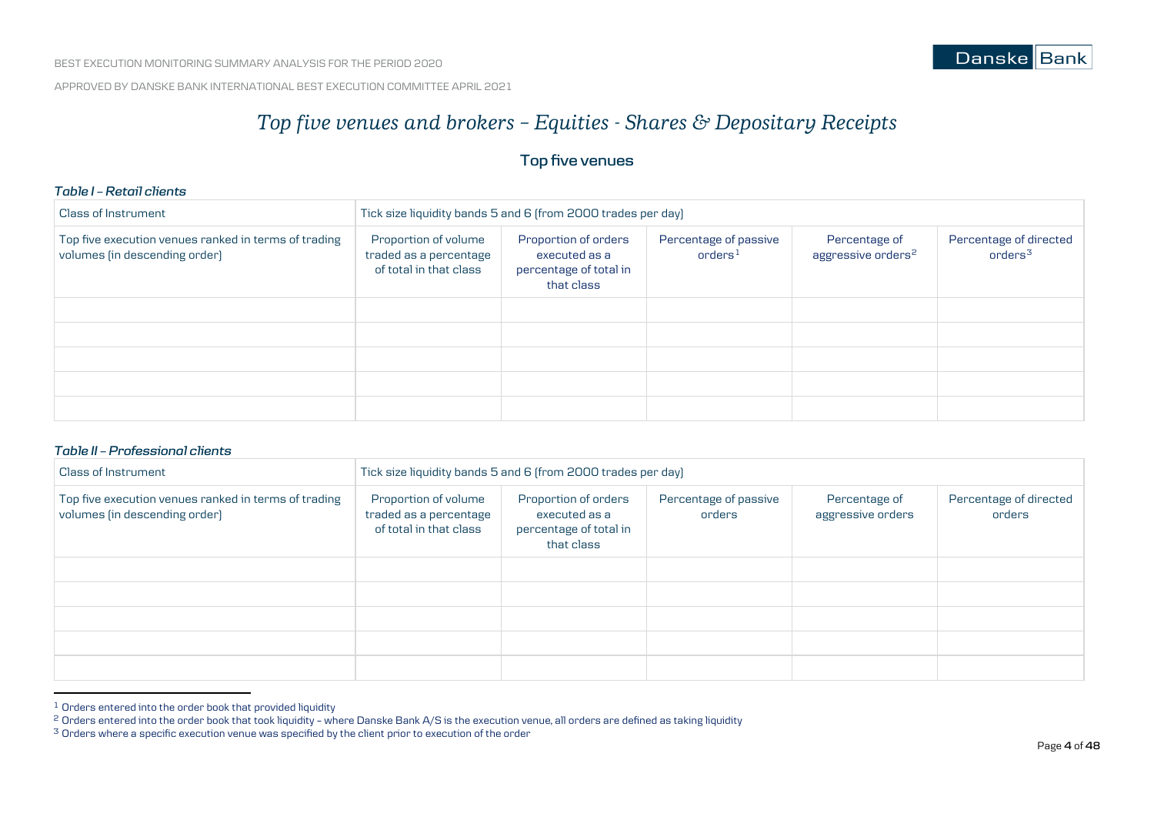# *Top five venues and brokers – Equities - Shares & Depositary Receipts*

## <span id="page-3-2"></span><span id="page-3-1"></span><span id="page-3-0"></span>**Top five venues**

#### *Table I – Retail clients*

| Class of Instrument                                                                   | Tick size liquidity bands 5 and 6 (from 2000 trades per day)             |                                                                               |                                              |                                                 |                                               |
|---------------------------------------------------------------------------------------|--------------------------------------------------------------------------|-------------------------------------------------------------------------------|----------------------------------------------|-------------------------------------------------|-----------------------------------------------|
| Top five execution venues ranked in terms of trading<br>volumes (in descending order) | Proportion of volume<br>traded as a percentage<br>of total in that class | Proportion of orders<br>executed as a<br>percentage of total in<br>that class | Percentage of passive<br>orders <sup>1</sup> | Percentage of<br>aggressive orders <sup>2</sup> | Percentage of directed<br>orders <sup>3</sup> |
|                                                                                       |                                                                          |                                                                               |                                              |                                                 |                                               |
|                                                                                       |                                                                          |                                                                               |                                              |                                                 |                                               |
|                                                                                       |                                                                          |                                                                               |                                              |                                                 |                                               |
|                                                                                       |                                                                          |                                                                               |                                              |                                                 |                                               |
|                                                                                       |                                                                          |                                                                               |                                              |                                                 |                                               |

#### *Table II – Professional clients*

 $\overline{a}$ 

| Class of Instrument                                                                   | Tick size liquidity bands 5 and 6 (from 2000 trades per day)             |                                                                               |                                 |                                    |                                  |  |
|---------------------------------------------------------------------------------------|--------------------------------------------------------------------------|-------------------------------------------------------------------------------|---------------------------------|------------------------------------|----------------------------------|--|
| Top five execution venues ranked in terms of trading<br>volumes (in descending order) | Proportion of volume<br>traded as a percentage<br>of total in that class | Proportion of orders<br>executed as a<br>percentage of total in<br>that class | Percentage of passive<br>orders | Percentage of<br>aggressive orders | Percentage of directed<br>orders |  |
|                                                                                       |                                                                          |                                                                               |                                 |                                    |                                  |  |
|                                                                                       |                                                                          |                                                                               |                                 |                                    |                                  |  |
|                                                                                       |                                                                          |                                                                               |                                 |                                    |                                  |  |
|                                                                                       |                                                                          |                                                                               |                                 |                                    |                                  |  |
|                                                                                       |                                                                          |                                                                               |                                 |                                    |                                  |  |

 $1$  Orders entered into the order book that provided liquidity

 $2$  Orders entered into the order book that took liquidity – where Danske Bank A/S is the execution venue, all orders are defined as taking liquidity

 $3$  Orders where a specific execution venue was specified by the client prior to execution of the order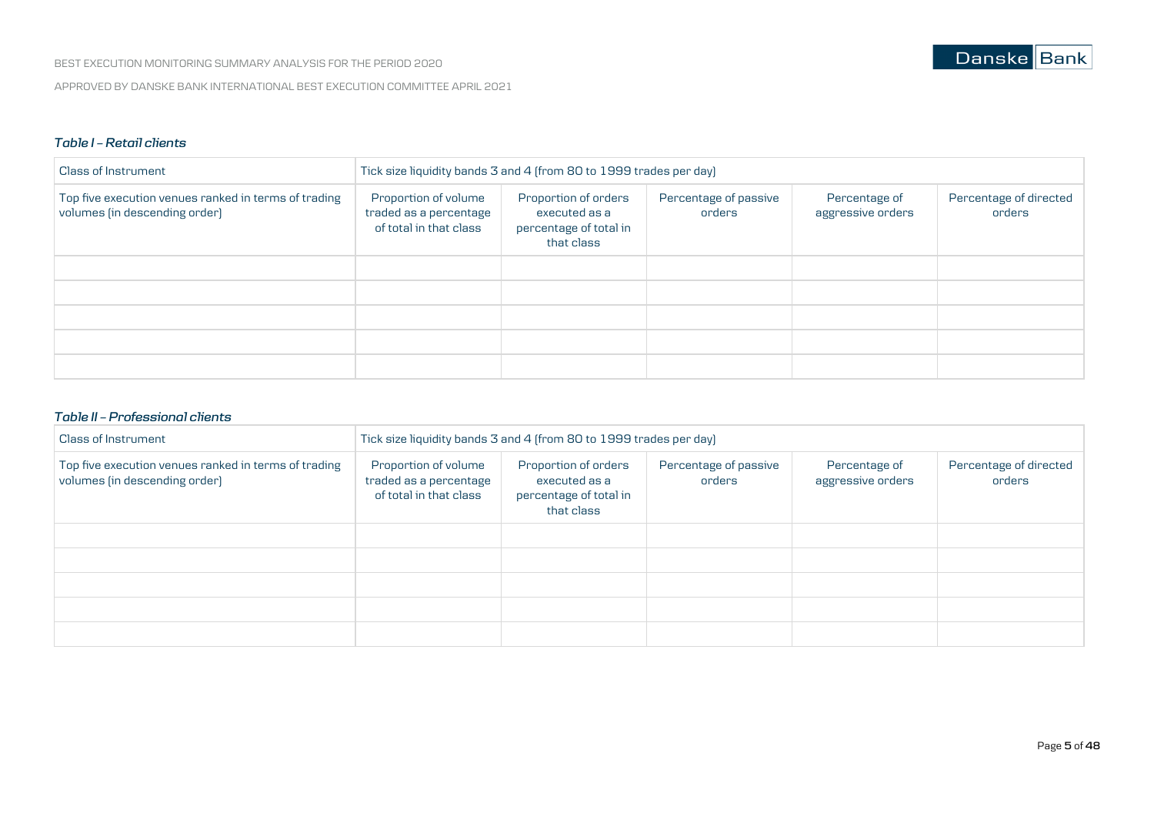#### *Table I – Retail clients*

| Class of Instrument                                                                   | Tick size liquidity bands 3 and 4 (from 80 to 1999 trades per day)       |                                                                               |                                 |                                    |                                  |
|---------------------------------------------------------------------------------------|--------------------------------------------------------------------------|-------------------------------------------------------------------------------|---------------------------------|------------------------------------|----------------------------------|
| Top five execution venues ranked in terms of trading<br>volumes (in descending order) | Proportion of volume<br>traded as a percentage<br>of total in that class | Proportion of orders<br>executed as a<br>percentage of total in<br>that class | Percentage of passive<br>orders | Percentage of<br>aggressive orders | Percentage of directed<br>orders |
|                                                                                       |                                                                          |                                                                               |                                 |                                    |                                  |
|                                                                                       |                                                                          |                                                                               |                                 |                                    |                                  |
|                                                                                       |                                                                          |                                                                               |                                 |                                    |                                  |
|                                                                                       |                                                                          |                                                                               |                                 |                                    |                                  |
|                                                                                       |                                                                          |                                                                               |                                 |                                    |                                  |

| Class of Instrument                                                                   | Tick size liquidity bands 3 and 4 (from 80 to 1999 trades per day)       |                                                                               |                                 |                                    |                                  |
|---------------------------------------------------------------------------------------|--------------------------------------------------------------------------|-------------------------------------------------------------------------------|---------------------------------|------------------------------------|----------------------------------|
| Top five execution venues ranked in terms of trading<br>volumes (in descending order) | Proportion of volume<br>traded as a percentage<br>of total in that class | Proportion of orders<br>executed as a<br>percentage of total in<br>that class | Percentage of passive<br>orders | Percentage of<br>aggressive orders | Percentage of directed<br>orders |
|                                                                                       |                                                                          |                                                                               |                                 |                                    |                                  |
|                                                                                       |                                                                          |                                                                               |                                 |                                    |                                  |
|                                                                                       |                                                                          |                                                                               |                                 |                                    |                                  |
|                                                                                       |                                                                          |                                                                               |                                 |                                    |                                  |
|                                                                                       |                                                                          |                                                                               |                                 |                                    |                                  |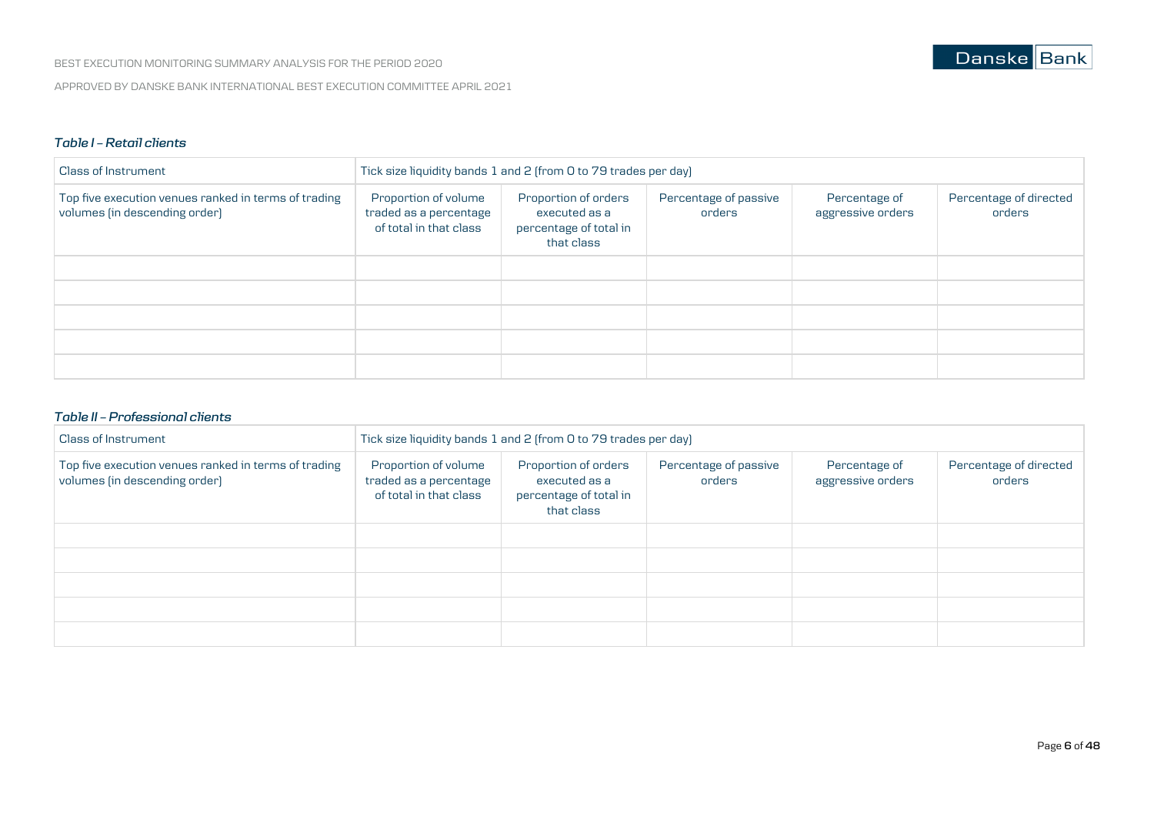#### *Table I – Retail clients*

| Class of Instrument                                                                   | Tick size liquidity bands 1 and 2 (from 0 to 79 trades per day)          |                                                                               |                                 |                                    |                                  |
|---------------------------------------------------------------------------------------|--------------------------------------------------------------------------|-------------------------------------------------------------------------------|---------------------------------|------------------------------------|----------------------------------|
| Top five execution venues ranked in terms of trading<br>volumes (in descending order) | Proportion of volume<br>traded as a percentage<br>of total in that class | Proportion of orders<br>executed as a<br>percentage of total in<br>that class | Percentage of passive<br>orders | Percentage of<br>aggressive orders | Percentage of directed<br>orders |
|                                                                                       |                                                                          |                                                                               |                                 |                                    |                                  |
|                                                                                       |                                                                          |                                                                               |                                 |                                    |                                  |
|                                                                                       |                                                                          |                                                                               |                                 |                                    |                                  |
|                                                                                       |                                                                          |                                                                               |                                 |                                    |                                  |
|                                                                                       |                                                                          |                                                                               |                                 |                                    |                                  |

| Class of Instrument                                                                   | Tick size liquidity bands 1 and 2 (from 0 to 79 trades per day)          |                                                                               |                                 |                                    |                                  |
|---------------------------------------------------------------------------------------|--------------------------------------------------------------------------|-------------------------------------------------------------------------------|---------------------------------|------------------------------------|----------------------------------|
| Top five execution venues ranked in terms of trading<br>volumes (in descending order) | Proportion of volume<br>traded as a percentage<br>of total in that class | Proportion of orders<br>executed as a<br>percentage of total in<br>that class | Percentage of passive<br>orders | Percentage of<br>aggressive orders | Percentage of directed<br>orders |
|                                                                                       |                                                                          |                                                                               |                                 |                                    |                                  |
|                                                                                       |                                                                          |                                                                               |                                 |                                    |                                  |
|                                                                                       |                                                                          |                                                                               |                                 |                                    |                                  |
|                                                                                       |                                                                          |                                                                               |                                 |                                    |                                  |
|                                                                                       |                                                                          |                                                                               |                                 |                                    |                                  |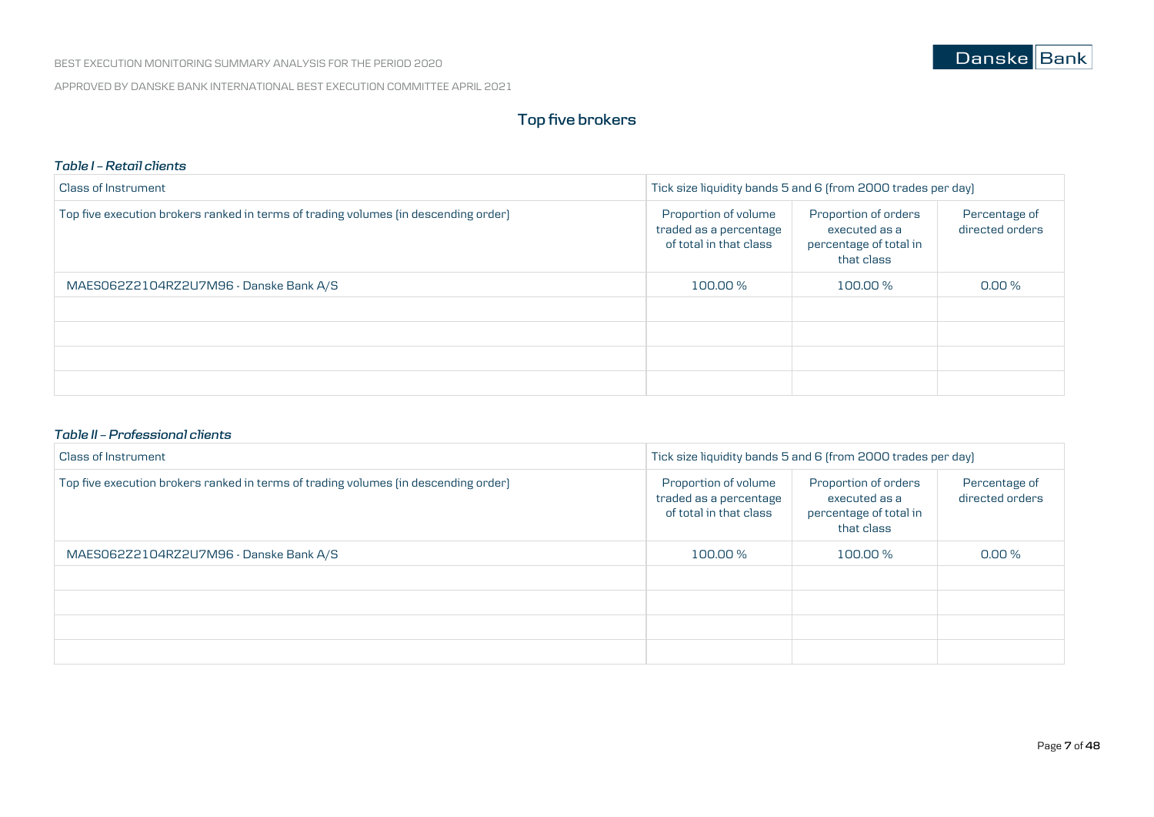# **Top five brokers**

#### *Table I – Retail clients*

| Class of Instrument                                                                 | Tick size liquidity bands 5 and 6 (from 2000 trades per day)             |                                                                               |                                  |  |
|-------------------------------------------------------------------------------------|--------------------------------------------------------------------------|-------------------------------------------------------------------------------|----------------------------------|--|
| Top five execution brokers ranked in terms of trading volumes (in descending order) | Proportion of volume<br>traded as a percentage<br>of total in that class | Proportion of orders<br>executed as a<br>percentage of total in<br>that class | Percentage of<br>directed orders |  |
| MAESO62Z2104RZ2U7M96 - Danske Bank A/S                                              | 100.00%                                                                  | 100.00%                                                                       | $0.00\%$                         |  |
|                                                                                     |                                                                          |                                                                               |                                  |  |
|                                                                                     |                                                                          |                                                                               |                                  |  |
|                                                                                     |                                                                          |                                                                               |                                  |  |
|                                                                                     |                                                                          |                                                                               |                                  |  |

| Class of Instrument                                                                 | Tick size liquidity bands 5 and 6 (from 2000 trades per day)             |                                                                               |                                  |  |
|-------------------------------------------------------------------------------------|--------------------------------------------------------------------------|-------------------------------------------------------------------------------|----------------------------------|--|
| Top five execution brokers ranked in terms of trading volumes (in descending order) | Proportion of volume<br>traded as a percentage<br>of total in that class | Proportion of orders<br>executed as a<br>percentage of total in<br>that class | Percentage of<br>directed orders |  |
| MAES062Z2104RZ2U7M96 - Danske Bank A/S                                              | 100.00%                                                                  | 100.00%                                                                       | $0.00\%$                         |  |
|                                                                                     |                                                                          |                                                                               |                                  |  |
|                                                                                     |                                                                          |                                                                               |                                  |  |
|                                                                                     |                                                                          |                                                                               |                                  |  |
|                                                                                     |                                                                          |                                                                               |                                  |  |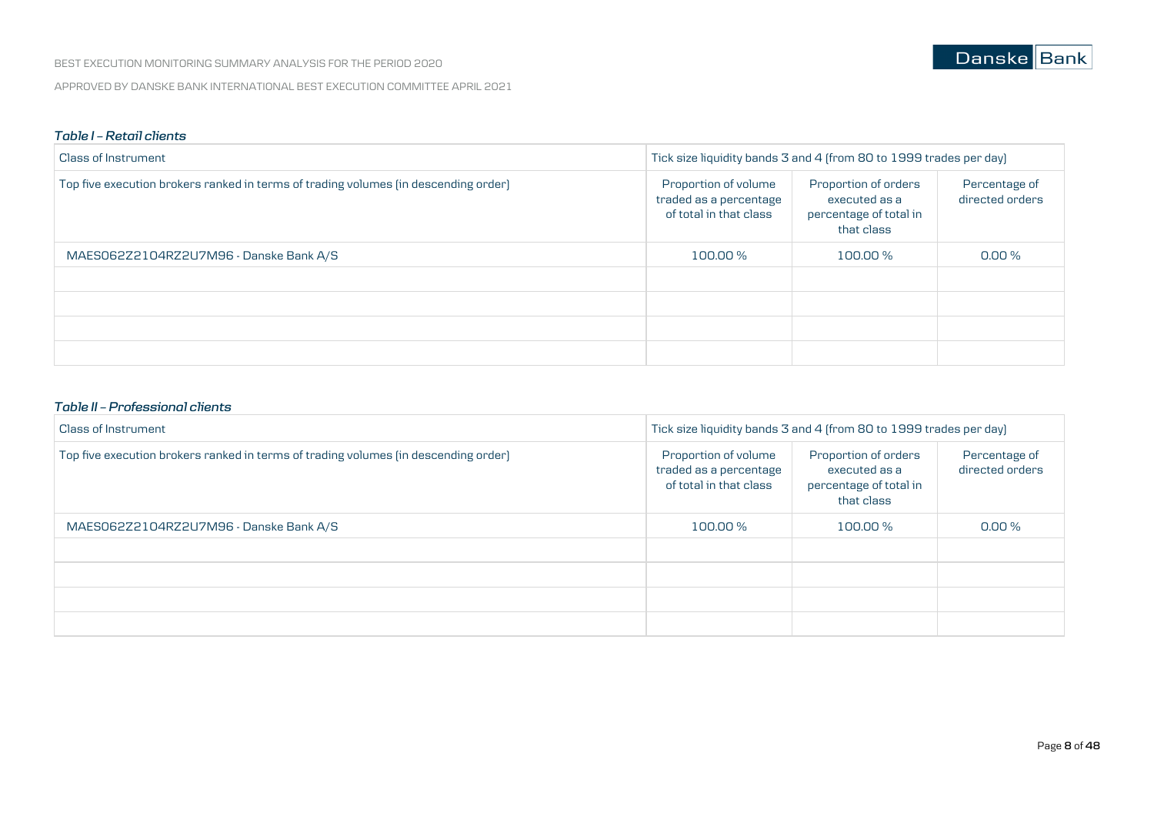#### *Table I – Retail clients*

| Class of Instrument                                                                 | Tick size liquidity bands 3 and 4 (from 80 to 1999 trades per day)       |                                                                               |                                  |  |
|-------------------------------------------------------------------------------------|--------------------------------------------------------------------------|-------------------------------------------------------------------------------|----------------------------------|--|
| Top five execution brokers ranked in terms of trading volumes (in descending order) | Proportion of volume<br>traded as a percentage<br>of total in that class | Proportion of orders<br>executed as a<br>percentage of total in<br>that class | Percentage of<br>directed orders |  |
| MAES062Z2104RZ2U7M96 - Danske Bank A/S                                              | 100.00%                                                                  | 100.00%                                                                       | $0.00\%$                         |  |
|                                                                                     |                                                                          |                                                                               |                                  |  |
|                                                                                     |                                                                          |                                                                               |                                  |  |
|                                                                                     |                                                                          |                                                                               |                                  |  |
|                                                                                     |                                                                          |                                                                               |                                  |  |

| Class of Instrument                                                                 | Tick size liquidity bands 3 and 4 (from 80 to 1999 trades per day)       |                                                                               |                                  |  |
|-------------------------------------------------------------------------------------|--------------------------------------------------------------------------|-------------------------------------------------------------------------------|----------------------------------|--|
| Top five execution brokers ranked in terms of trading volumes (in descending order) | Proportion of volume<br>traded as a percentage<br>of total in that class | Proportion of orders<br>executed as a<br>percentage of total in<br>that class | Percentage of<br>directed orders |  |
| MAESO62Z2104RZ2U7M96 - Danske Bank A/S                                              | 100.00%                                                                  | 100.00%                                                                       | $0.00\%$                         |  |
|                                                                                     |                                                                          |                                                                               |                                  |  |
|                                                                                     |                                                                          |                                                                               |                                  |  |
|                                                                                     |                                                                          |                                                                               |                                  |  |
|                                                                                     |                                                                          |                                                                               |                                  |  |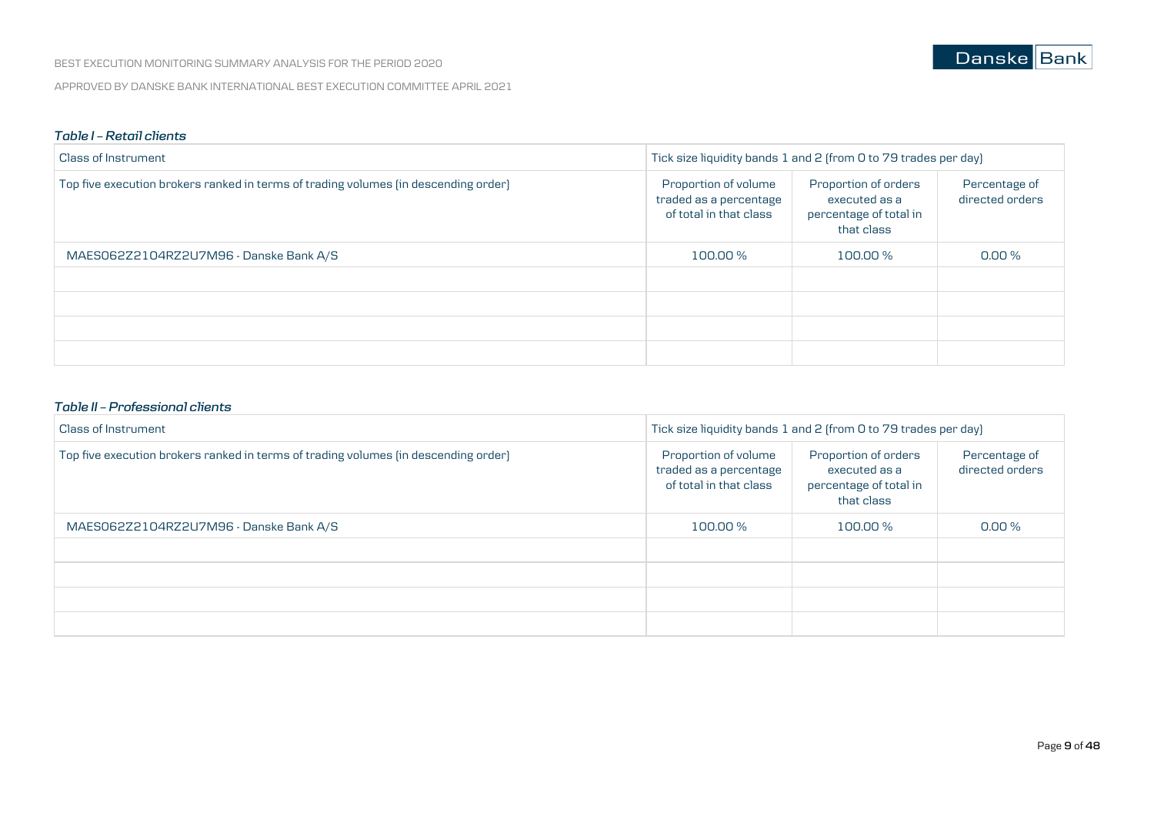#### *Table I – Retail clients*

| Class of Instrument                                                                 | Tick size liquidity bands 1 and 2 (from 0 to 79 trades per day)          |                                                                               |                                  |  |
|-------------------------------------------------------------------------------------|--------------------------------------------------------------------------|-------------------------------------------------------------------------------|----------------------------------|--|
| Top five execution brokers ranked in terms of trading volumes (in descending order) | Proportion of volume<br>traded as a percentage<br>of total in that class | Proportion of orders<br>executed as a<br>percentage of total in<br>that class | Percentage of<br>directed orders |  |
| MAES062Z2104RZ2U7M96 - Danske Bank A/S                                              | 100.00%                                                                  | 100.00%                                                                       | $0.00\%$                         |  |
|                                                                                     |                                                                          |                                                                               |                                  |  |
|                                                                                     |                                                                          |                                                                               |                                  |  |
|                                                                                     |                                                                          |                                                                               |                                  |  |
|                                                                                     |                                                                          |                                                                               |                                  |  |

| Class of Instrument                                                                 | Tick size liquidity bands 1 and 2 (from 0 to 79 trades per day)          |                                                                               |                                  |
|-------------------------------------------------------------------------------------|--------------------------------------------------------------------------|-------------------------------------------------------------------------------|----------------------------------|
| Top five execution brokers ranked in terms of trading volumes (in descending order) | Proportion of volume<br>traded as a percentage<br>of total in that class | Proportion of orders<br>executed as a<br>percentage of total in<br>that class | Percentage of<br>directed orders |
| MAESO62Z2104RZ2U7M96 - Danske Bank A/S                                              | 100.00%                                                                  | 100.00%                                                                       | $0.00\%$                         |
|                                                                                     |                                                                          |                                                                               |                                  |
|                                                                                     |                                                                          |                                                                               |                                  |
|                                                                                     |                                                                          |                                                                               |                                  |
|                                                                                     |                                                                          |                                                                               |                                  |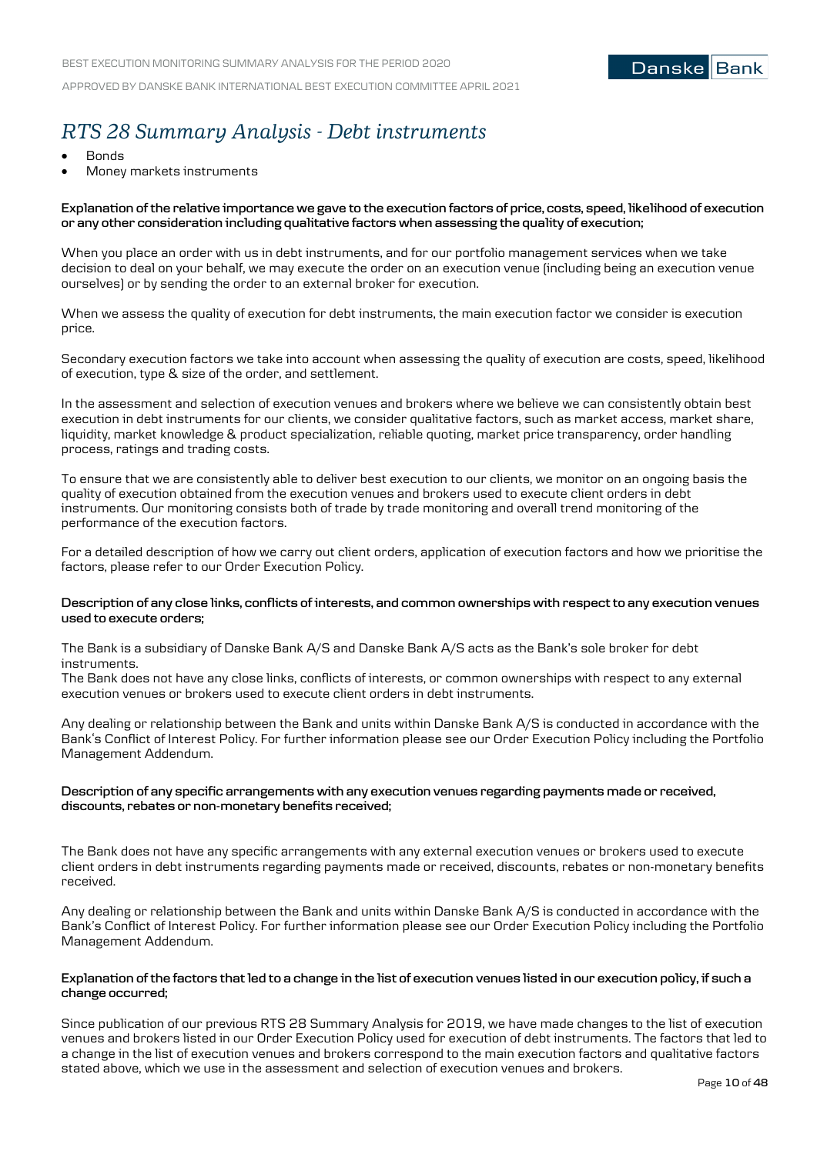# *RTS 28 Summary Analysis - Debt instruments*

- Bonds
- Money markets instruments

#### **Explanation of the relative importance we gave to the execution factors of price, costs, speed, likelihood of execution or any other consideration including qualitative factors when assessing the quality of execution;**

When you place an order with us in debt instruments, and for our portfolio management services when we take decision to deal on your behalf, we may execute the order on an execution venue (including being an execution venue ourselves) or by sending the order to an external broker for execution.

When we assess the quality of execution for debt instruments, the main execution factor we consider is execution price.

Secondary execution factors we take into account when assessing the quality of execution are costs, speed, likelihood of execution, type & size of the order, and settlement.

In the assessment and selection of execution venues and brokers where we believe we can consistently obtain best execution in debt instruments for our clients, we consider qualitative factors, such as market access, market share, liquidity, market knowledge & product specialization, reliable quoting, market price transparency, order handling process, ratings and trading costs.

To ensure that we are consistently able to deliver best execution to our clients, we monitor on an ongoing basis the quality of execution obtained from the execution venues and brokers used to execute client orders in debt instruments. Our monitoring consists both of trade by trade monitoring and overall trend monitoring of the performance of the execution factors.

For a detailed description of how we carry out client orders, application of execution factors and how we prioritise the factors, please refer to our Order Execution Policy.

#### **Description of any close links, conflicts of interests, and common ownerships with respect to any execution venues used to execute orders;**

The Bank is a subsidiary of Danske Bank A/S and Danske Bank A/S acts as the Bank's sole broker for debt instruments.

The Bank does not have any close links, conflicts of interests, or common ownerships with respect to any external execution venues or brokers used to execute client orders in debt instruments.

Any dealing or relationship between the Bank and units within Danske Bank A/S is conducted in accordance with the Bank's Conflict of Interest Policy. For further information please see our Order Execution Policy including the Portfolio Management Addendum.

#### **Description of any specific arrangements with any execution venues regarding payments made or received, discounts, rebates or non-monetary benefits received;**

The Bank does not have any specific arrangements with any external execution venues or brokers used to execute client orders in debt instruments regarding payments made or received, discounts, rebates or non-monetary benefits received.

Any dealing or relationship between the Bank and units within Danske Bank A/S is conducted in accordance with the Bank's Conflict of Interest Policy. For further information please see our Order Execution Policy including the Portfolio Management Addendum.

#### **Explanation of the factors that led to a change in the list of execution venues listed in our execution policy, if such a change occurred;**

Since publication of our previous RTS 28 Summary Analysis for 2019, we have made changes to the list of execution venues and brokers listed in our Order Execution Policy used for execution of debt instruments. The factors that led to a change in the list of execution venues and brokers correspond to the main execution factors and qualitative factors stated above, which we use in the assessment and selection of execution venues and brokers.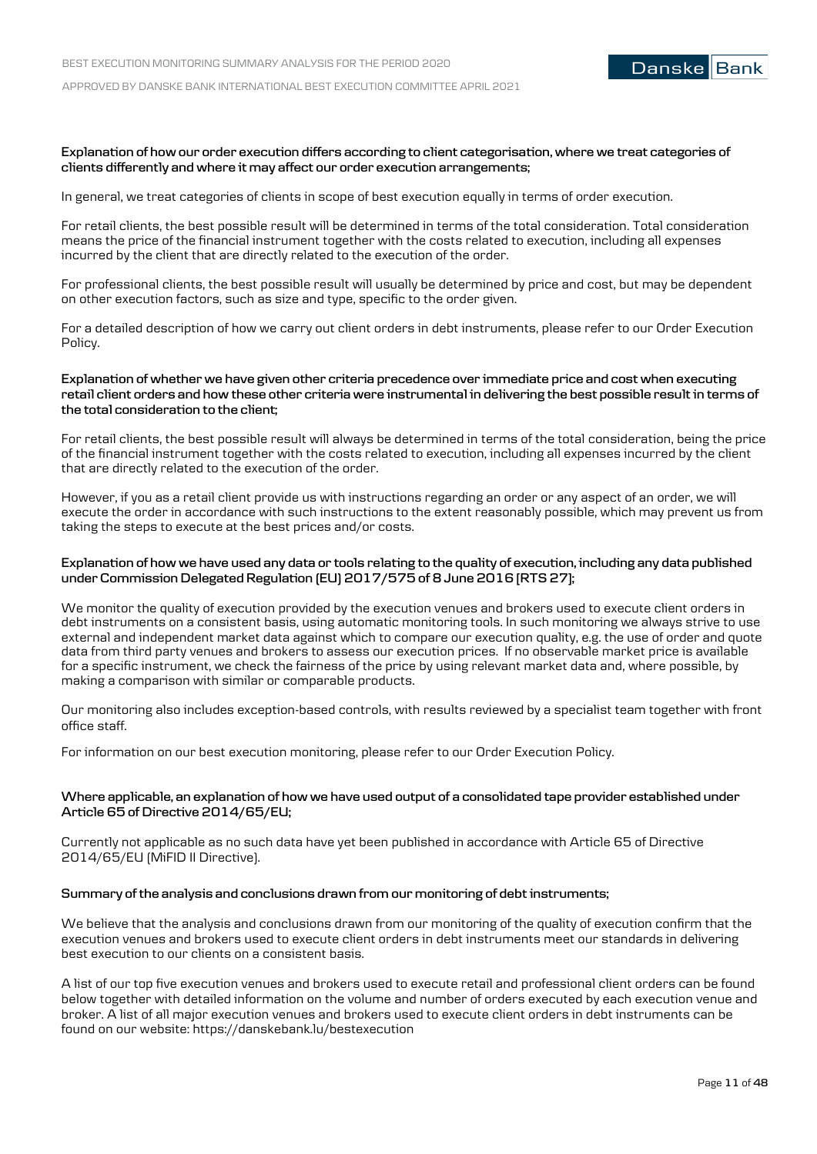#### **Explanation of how our order execution differs according to client categorisation, where we treat categories of clients differently and where it may affect our order execution arrangements;**

In general, we treat categories of clients in scope of best execution equally in terms of order execution.

For retail clients, the best possible result will be determined in terms of the total consideration. Total consideration means the price of the financial instrument together with the costs related to execution, including all expenses incurred by the client that are directly related to the execution of the order.

For professional clients, the best possible result will usually be determined by price and cost, but may be dependent on other execution factors, such as size and type, specific to the order given.

For a detailed description of how we carry out client orders in debt instruments, please refer to our Order Execution Policy.

#### **Explanation of whether we have given other criteria precedence over immediate price and cost when executing retail client orders and how these other criteria were instrumental in delivering the best possible result in terms of the total consideration to the client;**

For retail clients, the best possible result will always be determined in terms of the total consideration, being the price of the financial instrument together with the costs related to execution, including all expenses incurred by the client that are directly related to the execution of the order.

However, if you as a retail client provide us with instructions regarding an order or any aspect of an order, we will execute the order in accordance with such instructions to the extent reasonably possible, which may prevent us from taking the steps to execute at the best prices and/or costs.

#### **Explanation of how we have used any data or tools relating to the quality of execution, including any data published under Commission Delegated Regulation (EU) 2017/575 of 8 June 2016 [RTS 27];**

We monitor the quality of execution provided by the execution venues and brokers used to execute client orders in debt instruments on a consistent basis, using automatic monitoring tools. In such monitoring we always strive to use external and independent market data against which to compare our execution quality, e.g. the use of order and quote data from third party venues and brokers to assess our execution prices. If no observable market price is available for a specific instrument, we check the fairness of the price by using relevant market data and, where possible, by making a comparison with similar or comparable products.

Our monitoring also includes exception-based controls, with results reviewed by a specialist team together with front office staff.

For information on our best execution monitoring, please refer to our Order Execution Policy.

#### **Where applicable, an explanation of how we have used output of a consolidated tape provider established under Article 65 of Directive 2014/65/EU;**

Currently not applicable as no such data have yet been published in accordance with Article 65 of Directive 2014/65/EU (MiFID II Directive).

#### **Summary of the analysis and conclusions drawn from our monitoring of debt instruments;**

We believe that the analysis and conclusions drawn from our monitoring of the quality of execution confirm that the execution venues and brokers used to execute client orders in debt instruments meet our standards in delivering best execution to our clients on a consistent basis.

A list of our top five execution venues and brokers used to execute retail and professional client orders can be found below together with detailed information on the volume and number of orders executed by each execution venue and broker. A list of all major execution venues and brokers used to execute client orders in debt instruments can be found on our website: https://danskebank.lu/bestexecution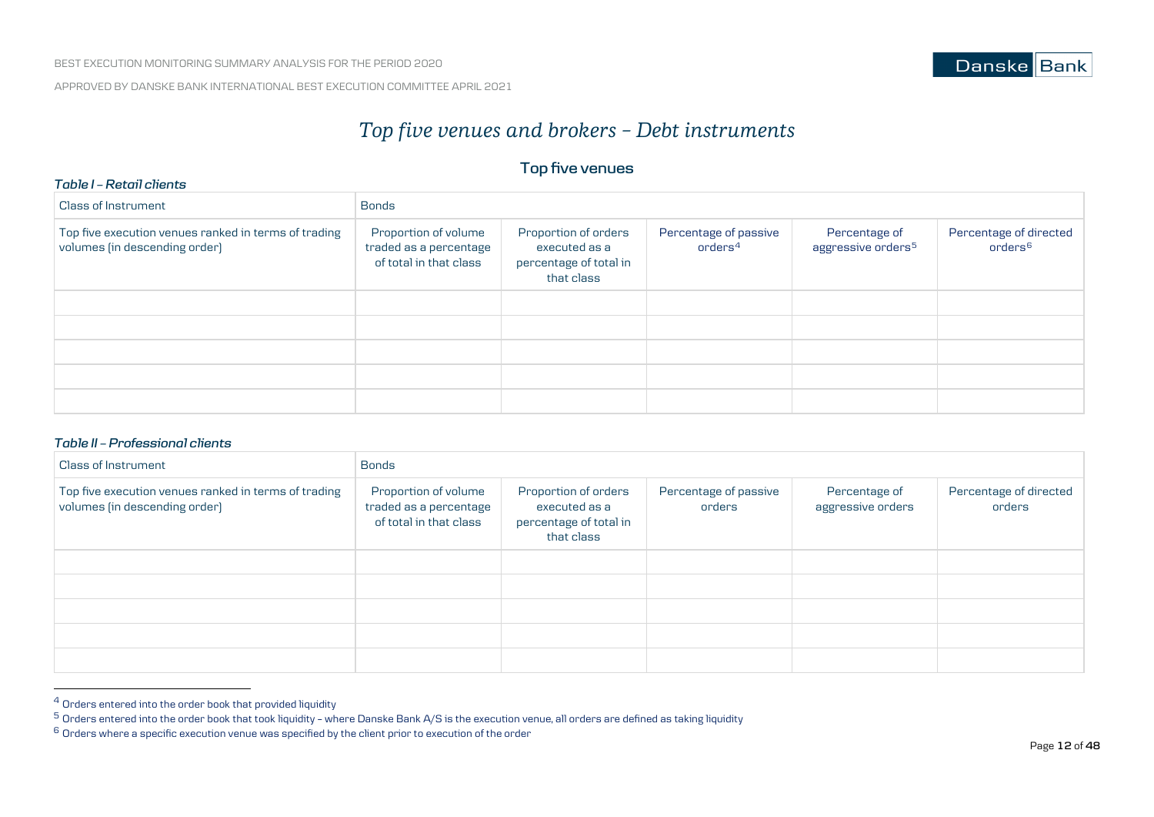# *Top five venues and brokers – Debt instruments*

# <span id="page-11-2"></span><span id="page-11-1"></span><span id="page-11-0"></span>**Top five venues**

| Class of Instrument                                                                   | <b>Bonds</b>                                                             |                                                                               |                                     |                                                 |                                               |  |
|---------------------------------------------------------------------------------------|--------------------------------------------------------------------------|-------------------------------------------------------------------------------|-------------------------------------|-------------------------------------------------|-----------------------------------------------|--|
| Top five execution venues ranked in terms of trading<br>volumes (in descending order) | Proportion of volume<br>traded as a percentage<br>of total in that class | Proportion of orders<br>executed as a<br>percentage of total in<br>that class | Percentage of passive<br>orders $4$ | Percentage of<br>aggressive orders <sup>5</sup> | Percentage of directed<br>orders <sup>6</sup> |  |
|                                                                                       |                                                                          |                                                                               |                                     |                                                 |                                               |  |
|                                                                                       |                                                                          |                                                                               |                                     |                                                 |                                               |  |
|                                                                                       |                                                                          |                                                                               |                                     |                                                 |                                               |  |
|                                                                                       |                                                                          |                                                                               |                                     |                                                 |                                               |  |
|                                                                                       |                                                                          |                                                                               |                                     |                                                 |                                               |  |

#### *Table II – Professional clients*

 $\overline{a}$ 

*Table I – Retail clients*

| Class of Instrument                                                                   | <b>Bonds</b>                                                             |                                                                               |                                 |                                    |                                  |
|---------------------------------------------------------------------------------------|--------------------------------------------------------------------------|-------------------------------------------------------------------------------|---------------------------------|------------------------------------|----------------------------------|
| Top five execution venues ranked in terms of trading<br>volumes (in descending order) | Proportion of volume<br>traded as a percentage<br>of total in that class | Proportion of orders<br>executed as a<br>percentage of total in<br>that class | Percentage of passive<br>orders | Percentage of<br>aggressive orders | Percentage of directed<br>orders |
|                                                                                       |                                                                          |                                                                               |                                 |                                    |                                  |
|                                                                                       |                                                                          |                                                                               |                                 |                                    |                                  |
|                                                                                       |                                                                          |                                                                               |                                 |                                    |                                  |
|                                                                                       |                                                                          |                                                                               |                                 |                                    |                                  |
|                                                                                       |                                                                          |                                                                               |                                 |                                    |                                  |

 $^{\,4}$  Orders entered into the order book that provided liquidity

 $^{\rm 5}$  Orders entered into the order book that took liquidity – where Danske Bank A/S is the execution venue, all orders are defined as taking liquidity

 $6$  Orders where a specific execution venue was specified by the client prior to execution of the order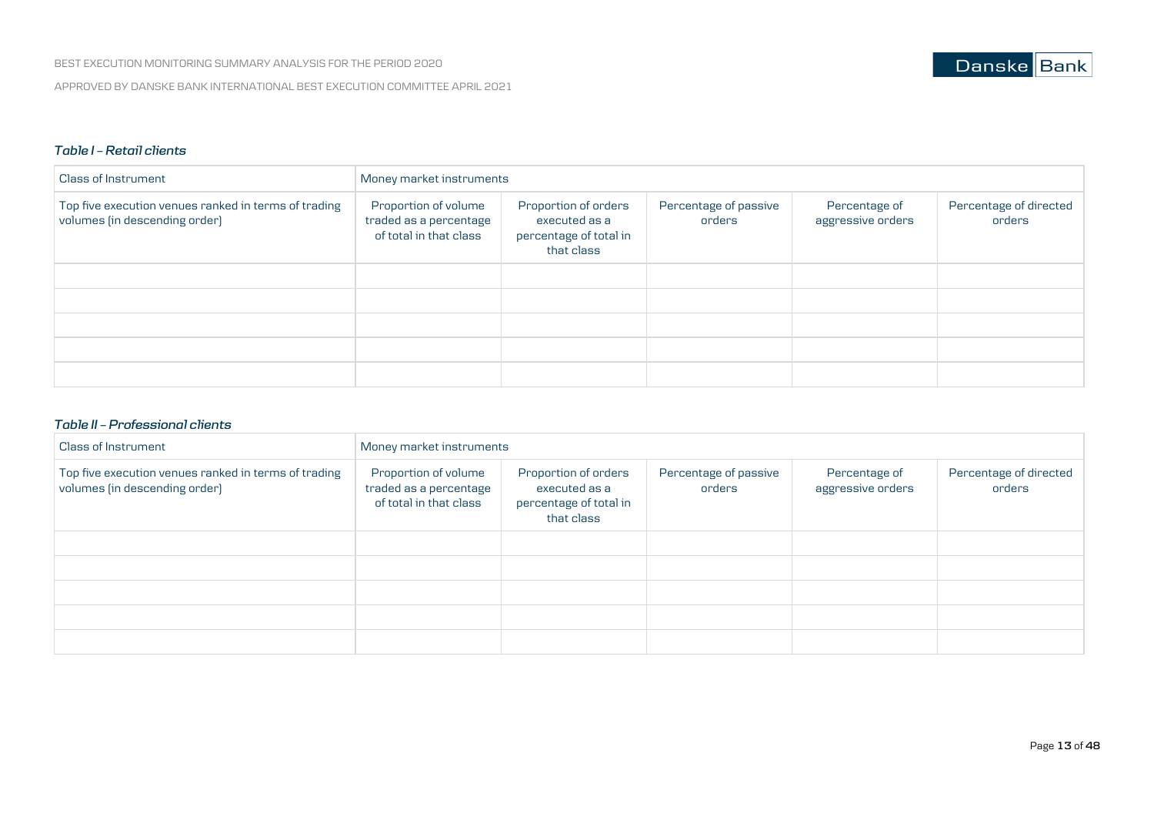### *Table I – Retail clients*

| Class of Instrument                                                                   | Money market instruments                                                 |                                                                               |                                 |                                    |                                  |
|---------------------------------------------------------------------------------------|--------------------------------------------------------------------------|-------------------------------------------------------------------------------|---------------------------------|------------------------------------|----------------------------------|
| Top five execution venues ranked in terms of trading<br>volumes (in descending order) | Proportion of volume<br>traded as a percentage<br>of total in that class | Proportion of orders<br>executed as a<br>percentage of total in<br>that class | Percentage of passive<br>orders | Percentage of<br>aggressive orders | Percentage of directed<br>orders |
|                                                                                       |                                                                          |                                                                               |                                 |                                    |                                  |
|                                                                                       |                                                                          |                                                                               |                                 |                                    |                                  |
|                                                                                       |                                                                          |                                                                               |                                 |                                    |                                  |
|                                                                                       |                                                                          |                                                                               |                                 |                                    |                                  |
|                                                                                       |                                                                          |                                                                               |                                 |                                    |                                  |

| Class of Instrument                                                                   | Money market instruments                                                 |                                                                               |                                 |                                    |                                  |
|---------------------------------------------------------------------------------------|--------------------------------------------------------------------------|-------------------------------------------------------------------------------|---------------------------------|------------------------------------|----------------------------------|
| Top five execution venues ranked in terms of trading<br>volumes (in descending order) | Proportion of volume<br>traded as a percentage<br>of total in that class | Proportion of orders<br>executed as a<br>percentage of total in<br>that class | Percentage of passive<br>orders | Percentage of<br>aggressive orders | Percentage of directed<br>orders |
|                                                                                       |                                                                          |                                                                               |                                 |                                    |                                  |
|                                                                                       |                                                                          |                                                                               |                                 |                                    |                                  |
|                                                                                       |                                                                          |                                                                               |                                 |                                    |                                  |
|                                                                                       |                                                                          |                                                                               |                                 |                                    |                                  |
|                                                                                       |                                                                          |                                                                               |                                 |                                    |                                  |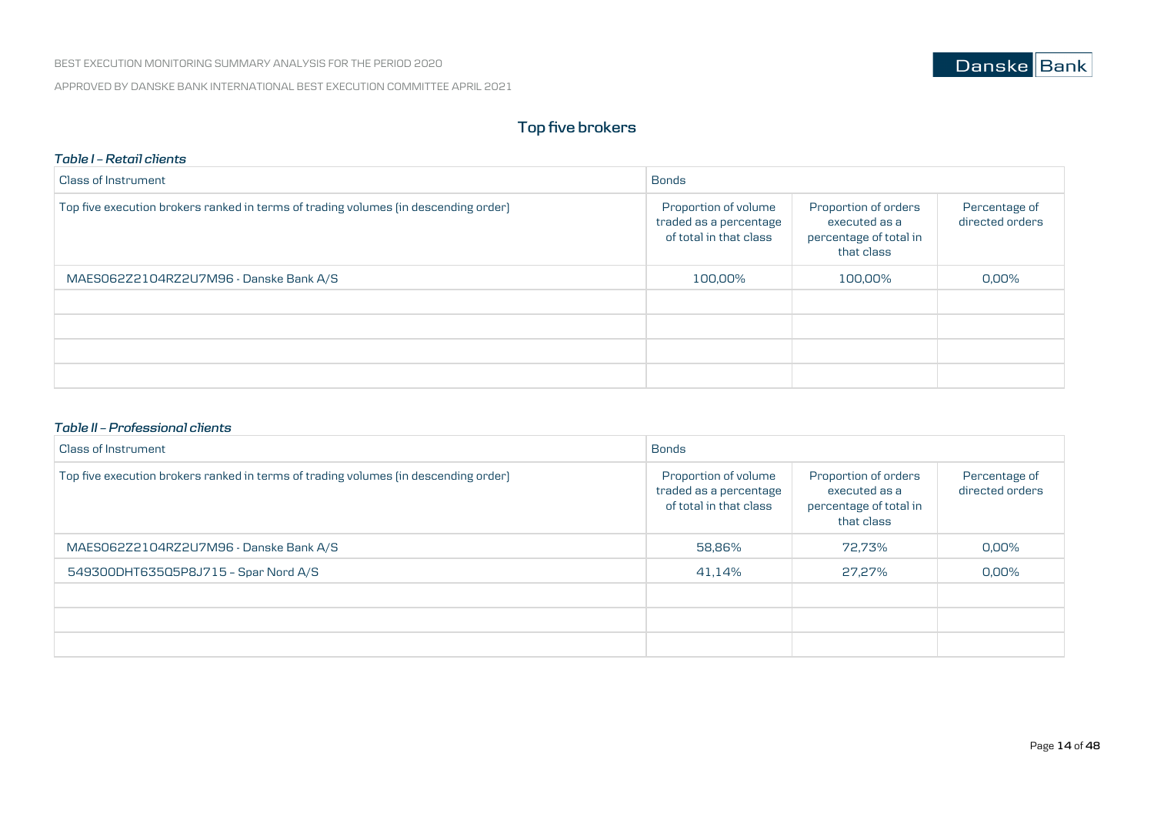### **Top five brokers**

#### *Table I – Retail clients*

| Class of Instrument                                                                 | <b>Bonds</b>                                                             |                                                                               |                                  |
|-------------------------------------------------------------------------------------|--------------------------------------------------------------------------|-------------------------------------------------------------------------------|----------------------------------|
| Top five execution brokers ranked in terms of trading volumes (in descending order) | Proportion of volume<br>traded as a percentage<br>of total in that class | Proportion of orders<br>executed as a<br>percentage of total in<br>that class | Percentage of<br>directed orders |
| MAESO62Z2104RZ2U7M96 - Danske Bank A/S                                              | 100.00%                                                                  | 100,00%                                                                       | 0,00%                            |
|                                                                                     |                                                                          |                                                                               |                                  |
|                                                                                     |                                                                          |                                                                               |                                  |
|                                                                                     |                                                                          |                                                                               |                                  |
|                                                                                     |                                                                          |                                                                               |                                  |

| Class of Instrument                                                                 | <b>Bonds</b>                                                             |                                                                               |                                  |  |
|-------------------------------------------------------------------------------------|--------------------------------------------------------------------------|-------------------------------------------------------------------------------|----------------------------------|--|
| Top five execution brokers ranked in terms of trading volumes (in descending order) | Proportion of volume<br>traded as a percentage<br>of total in that class | Proportion of orders<br>executed as a<br>percentage of total in<br>that class | Percentage of<br>directed orders |  |
| MAESO62Z2104RZ2U7M96 - Danske Bank A/S                                              | 58,86%                                                                   | 72.73%                                                                        | 0,00%                            |  |
| 549300DHT63505P8J715 - Spar Nord A/S                                                | 41,14%                                                                   | 27.27%                                                                        | 0,00%                            |  |
|                                                                                     |                                                                          |                                                                               |                                  |  |
|                                                                                     |                                                                          |                                                                               |                                  |  |
|                                                                                     |                                                                          |                                                                               |                                  |  |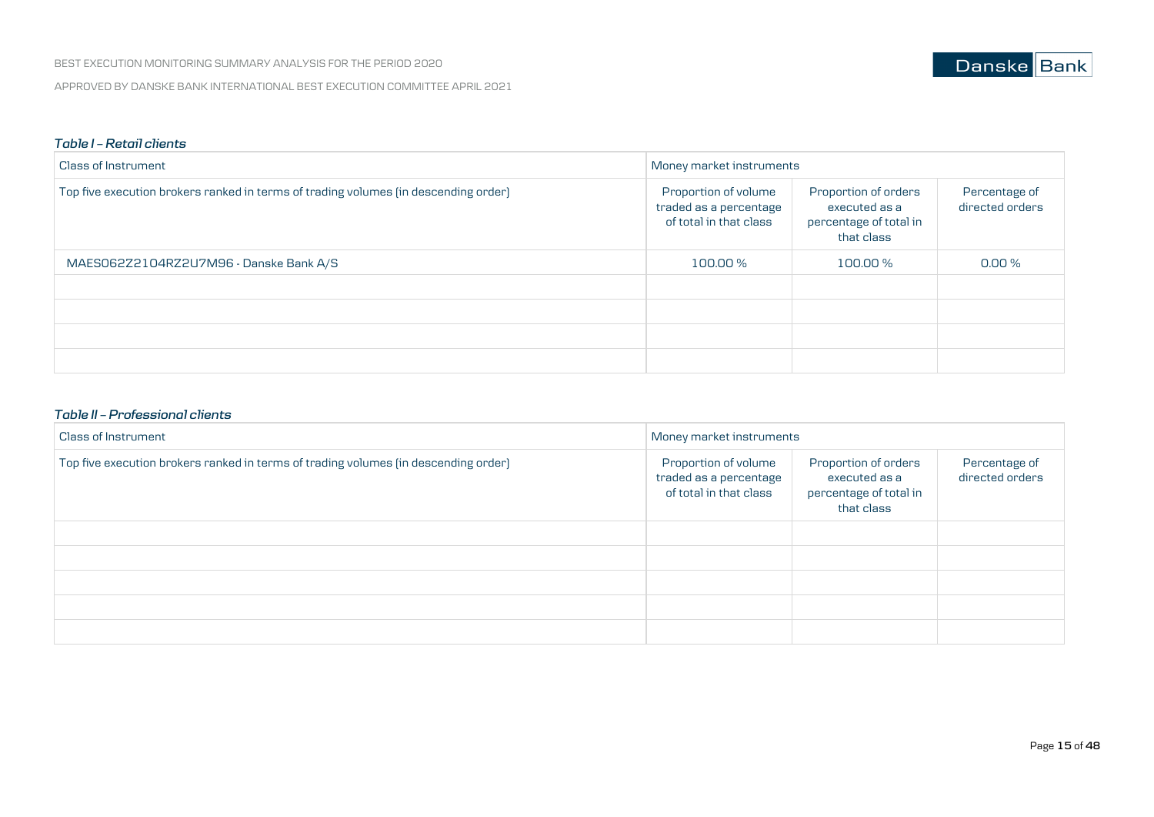#### *Table I – Retail clients*

| Class of Instrument                                                                 | Money market instruments                                                 |                                                                               |                                  |
|-------------------------------------------------------------------------------------|--------------------------------------------------------------------------|-------------------------------------------------------------------------------|----------------------------------|
| Top five execution brokers ranked in terms of trading volumes (in descending order) | Proportion of volume<br>traded as a percentage<br>of total in that class | Proportion of orders<br>executed as a<br>percentage of total in<br>that class | Percentage of<br>directed orders |
| MAES062Z2104RZ2U7M96 - Danske Bank A/S                                              | 100.00%                                                                  | 100.00%                                                                       | $0.00\%$                         |
|                                                                                     |                                                                          |                                                                               |                                  |
|                                                                                     |                                                                          |                                                                               |                                  |
|                                                                                     |                                                                          |                                                                               |                                  |
|                                                                                     |                                                                          |                                                                               |                                  |

| Class of Instrument                                                                 | Money market instruments                                                 |                                                                               |                                  |
|-------------------------------------------------------------------------------------|--------------------------------------------------------------------------|-------------------------------------------------------------------------------|----------------------------------|
| Top five execution brokers ranked in terms of trading volumes (in descending order) | Proportion of volume<br>traded as a percentage<br>of total in that class | Proportion of orders<br>executed as a<br>percentage of total in<br>that class | Percentage of<br>directed orders |
|                                                                                     |                                                                          |                                                                               |                                  |
|                                                                                     |                                                                          |                                                                               |                                  |
|                                                                                     |                                                                          |                                                                               |                                  |
|                                                                                     |                                                                          |                                                                               |                                  |
|                                                                                     |                                                                          |                                                                               |                                  |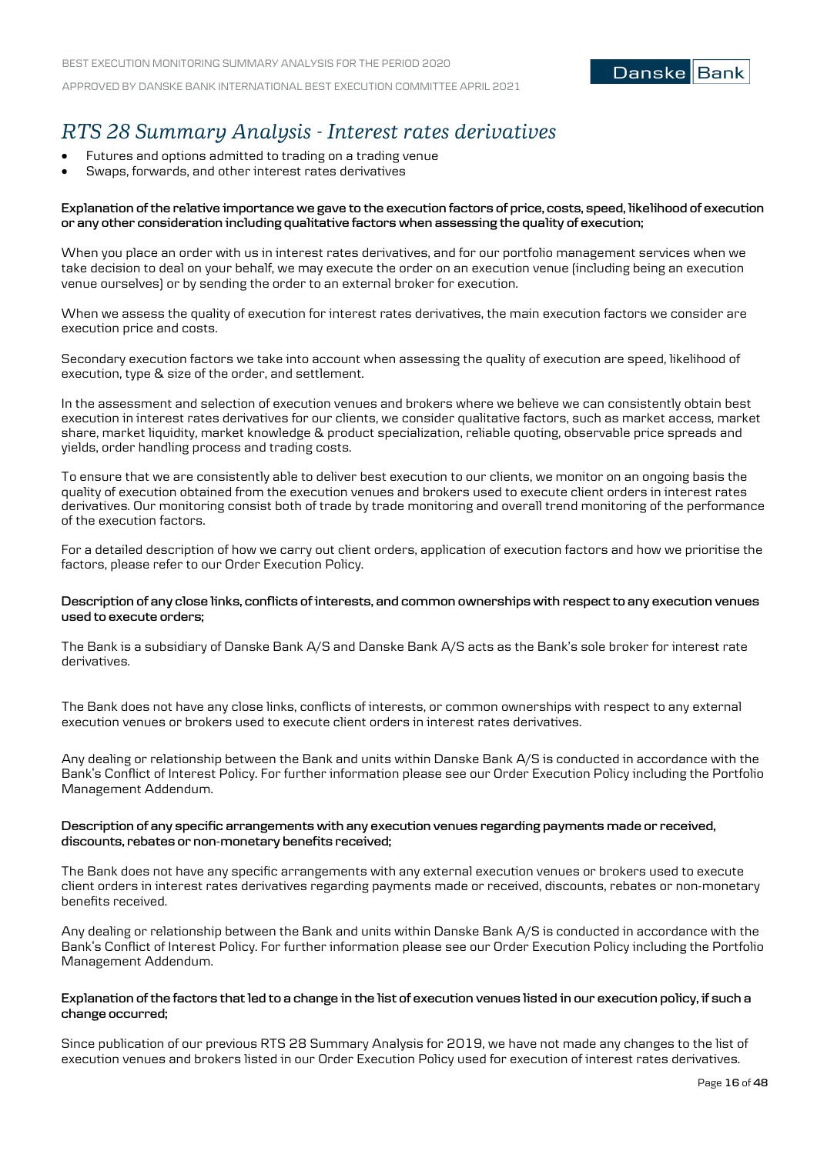

# *RTS 28 Summary Analysis - Interest rates derivatives*

- Futures and options admitted to trading on a trading venue
- Swaps, forwards, and other interest rates derivatives

#### **Explanation of the relative importance we gave to the execution factors of price, costs, speed, likelihood of execution or any other consideration including qualitative factors when assessing the quality of execution;**

When you place an order with us in interest rates derivatives, and for our portfolio management services when we take decision to deal on your behalf, we may execute the order on an execution venue (including being an execution venue ourselves) or by sending the order to an external broker for execution.

When we assess the quality of execution for interest rates derivatives, the main execution factors we consider are execution price and costs.

Secondary execution factors we take into account when assessing the quality of execution are speed, likelihood of execution, type & size of the order, and settlement.

In the assessment and selection of execution venues and brokers where we believe we can consistently obtain best execution in interest rates derivatives for our clients, we consider qualitative factors, such as market access, market share, market liquidity, market knowledge & product specialization, reliable quoting, observable price spreads and yields, order handling process and trading costs.

To ensure that we are consistently able to deliver best execution to our clients, we monitor on an ongoing basis the quality of execution obtained from the execution venues and brokers used to execute client orders in interest rates derivatives. Our monitoring consist both of trade by trade monitoring and overall trend monitoring of the performance of the execution factors.

For a detailed description of how we carry out client orders, application of execution factors and how we prioritise the factors, please refer to our Order Execution Policy.

#### **Description of any close links, conflicts of interests, and common ownerships with respect to any execution venues used to execute orders;**

The Bank is a subsidiary of Danske Bank A/S and Danske Bank A/S acts as the Bank's sole broker for interest rate derivatives.

The Bank does not have any close links, conflicts of interests, or common ownerships with respect to any external execution venues or brokers used to execute client orders in interest rates derivatives.

Any dealing or relationship between the Bank and units within Danske Bank A/S is conducted in accordance with the Bank's Conflict of Interest Policy. For further information please see our Order Execution Policy including the Portfolio Management Addendum.

#### **Description of any specific arrangements with any execution venues regarding payments made or received, discounts, rebates or non-monetary benefits received;**

The Bank does not have any specific arrangements with any external execution venues or brokers used to execute client orders in interest rates derivatives regarding payments made or received, discounts, rebates or non-monetary benefits received.

Any dealing or relationship between the Bank and units within Danske Bank A/S is conducted in accordance with the Bank's Conflict of Interest Policy. For further information please see our Order Execution Policy including the Portfolio Management Addendum.

#### **Explanation of the factors that led to a change in the list of execution venues listed in our execution policy, if such a change occurred;**

Since publication of our previous RTS 28 Summary Analysis for 2019, we have not made any changes to the list of execution venues and brokers listed in our Order Execution Policy used for execution of interest rates derivatives.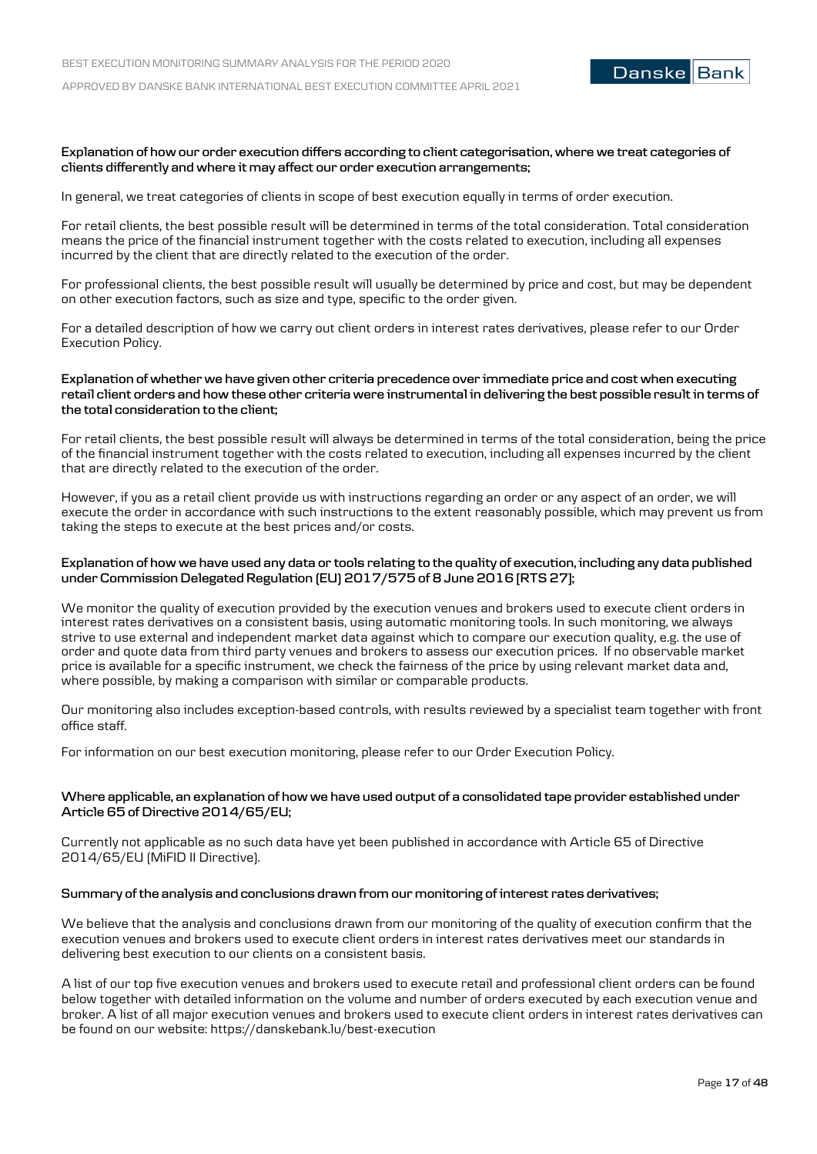

#### **Explanation of how our order execution differs according to client categorisation, where we treat categories of clients differently and where it may affect our order execution arrangements;**

In general, we treat categories of clients in scope of best execution equally in terms of order execution.

For retail clients, the best possible result will be determined in terms of the total consideration. Total consideration means the price of the financial instrument together with the costs related to execution, including all expenses incurred by the client that are directly related to the execution of the order.

For professional clients, the best possible result will usually be determined by price and cost, but may be dependent on other execution factors, such as size and type, specific to the order given.

For a detailed description of how we carry out client orders in interest rates derivatives, please refer to our Order Execution Policy.

#### **Explanation of whether we have given other criteria precedence over immediate price and cost when executing retail client orders and how these other criteria were instrumental in delivering the best possible result in terms of the total consideration to the client;**

For retail clients, the best possible result will always be determined in terms of the total consideration, being the price of the financial instrument together with the costs related to execution, including all expenses incurred by the client that are directly related to the execution of the order.

However, if you as a retail client provide us with instructions regarding an order or any aspect of an order, we will execute the order in accordance with such instructions to the extent reasonably possible, which may prevent us from taking the steps to execute at the best prices and/or costs.

#### **Explanation of how we have used any data or tools relating to the quality of execution, including any data published under Commission Delegated Regulation (EU) 2017/575 of 8 June 2016 [RTS 27];**

We monitor the quality of execution provided by the execution venues and brokers used to execute client orders in interest rates derivatives on a consistent basis, using automatic monitoring tools. In such monitoring, we always strive to use external and independent market data against which to compare our execution quality, e.g. the use of order and quote data from third party venues and brokers to assess our execution prices. If no observable market price is available for a specific instrument, we check the fairness of the price by using relevant market data and, where possible, by making a comparison with similar or comparable products.

Our monitoring also includes exception-based controls, with results reviewed by a specialist team together with front office staff.

For information on our best execution monitoring, please refer to our Order Execution Policy.

#### **Where applicable, an explanation of how we have used output of a consolidated tape provider established under Article 65 of Directive 2014/65/EU;**

Currently not applicable as no such data have yet been published in accordance with Article 65 of Directive 2014/65/EU (MiFID II Directive).

#### **Summary ofthe analysis and conclusions drawn from our monitoring of interest rates derivatives;**

We believe that the analysis and conclusions drawn from our monitoring of the quality of execution confirm that the execution venues and brokers used to execute client orders in interest rates derivatives meet our standards in delivering best execution to our clients on a consistent basis.

A list of our top five execution venues and brokers used to execute retail and professional client orders can be found below together with detailed information on the volume and number of orders executed by each execution venue and broker. A list of all major execution venues and brokers used to execute client orders in interest rates derivatives can be found on our website: https://danskebank.lu/best-execution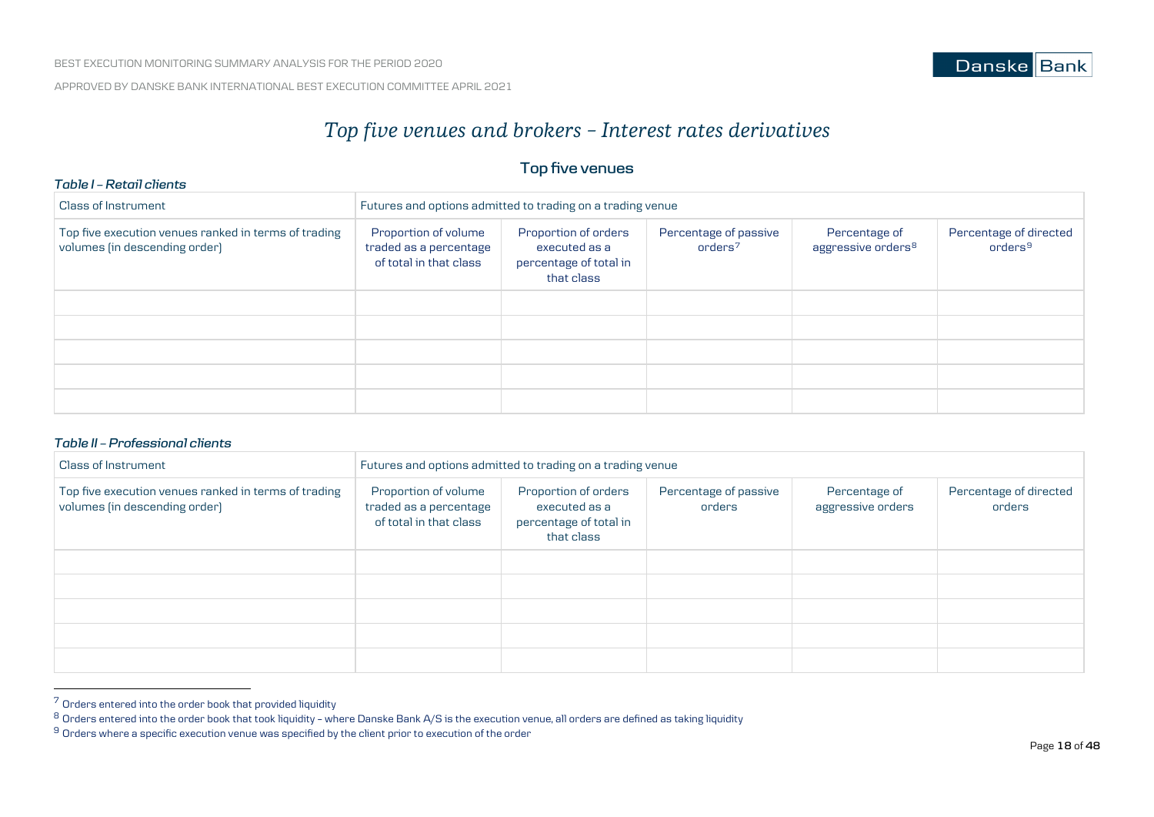# *Top five venues and brokers – Interest rates derivatives*

# <span id="page-17-2"></span><span id="page-17-1"></span><span id="page-17-0"></span>**Top five venues**

#### *Table I – Retail clients*

| Class of Instrument                                                                   | Futures and options admitted to trading on a trading venue               |                                                                               |                                              |                                                 |                                               |
|---------------------------------------------------------------------------------------|--------------------------------------------------------------------------|-------------------------------------------------------------------------------|----------------------------------------------|-------------------------------------------------|-----------------------------------------------|
| Top five execution venues ranked in terms of trading<br>volumes (in descending order) | Proportion of volume<br>traded as a percentage<br>of total in that class | Proportion of orders<br>executed as a<br>percentage of total in<br>that class | Percentage of passive<br>orders <sup>7</sup> | Percentage of<br>aggressive orders <sup>8</sup> | Percentage of directed<br>orders <sup>9</sup> |
|                                                                                       |                                                                          |                                                                               |                                              |                                                 |                                               |
|                                                                                       |                                                                          |                                                                               |                                              |                                                 |                                               |
|                                                                                       |                                                                          |                                                                               |                                              |                                                 |                                               |
|                                                                                       |                                                                          |                                                                               |                                              |                                                 |                                               |
|                                                                                       |                                                                          |                                                                               |                                              |                                                 |                                               |

#### *Table II – Professional clients*

 $\overline{a}$ 

| Class of Instrument                                                                   | Futures and options admitted to trading on a trading venue               |                                                                               |                                 |                                    |                                  |
|---------------------------------------------------------------------------------------|--------------------------------------------------------------------------|-------------------------------------------------------------------------------|---------------------------------|------------------------------------|----------------------------------|
| Top five execution venues ranked in terms of trading<br>volumes (in descending order) | Proportion of volume<br>traded as a percentage<br>of total in that class | Proportion of orders<br>executed as a<br>percentage of total in<br>that class | Percentage of passive<br>orders | Percentage of<br>aggressive orders | Percentage of directed<br>orders |
|                                                                                       |                                                                          |                                                                               |                                 |                                    |                                  |
|                                                                                       |                                                                          |                                                                               |                                 |                                    |                                  |
|                                                                                       |                                                                          |                                                                               |                                 |                                    |                                  |
|                                                                                       |                                                                          |                                                                               |                                 |                                    |                                  |
|                                                                                       |                                                                          |                                                                               |                                 |                                    |                                  |

 $7$  Orders entered into the order book that provided liquidity

 $8$  Orders entered into the order book that took liquidity – where Danske Bank A/S is the execution venue, all orders are defined as taking liquidity

 $9$  Orders where a specific execution venue was specified by the client prior to execution of the order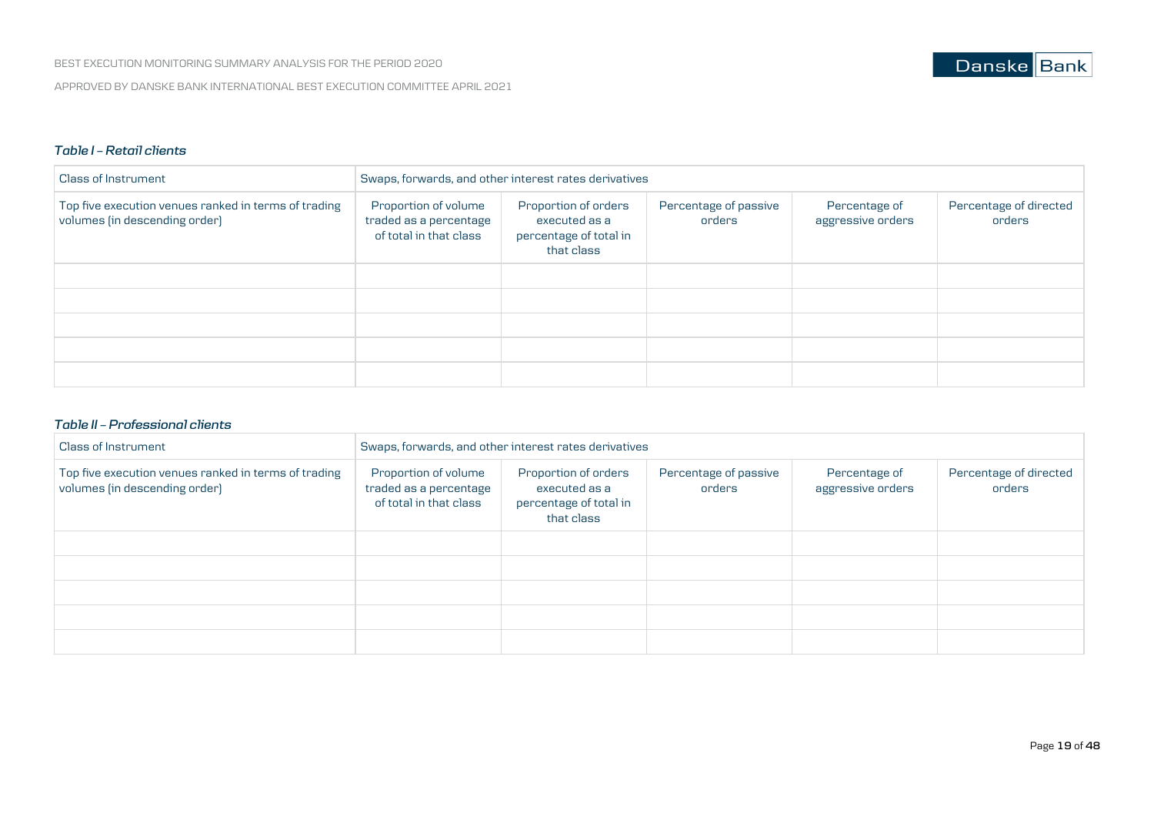### *Table I – Retail clients*

| Class of Instrument                                                                   | Swaps, forwards, and other interest rates derivatives                    |                                                                               |                                 |                                    |                                  |
|---------------------------------------------------------------------------------------|--------------------------------------------------------------------------|-------------------------------------------------------------------------------|---------------------------------|------------------------------------|----------------------------------|
| Top five execution venues ranked in terms of trading<br>volumes (in descending order) | Proportion of volume<br>traded as a percentage<br>of total in that class | Proportion of orders<br>executed as a<br>percentage of total in<br>that class | Percentage of passive<br>orders | Percentage of<br>aggressive orders | Percentage of directed<br>orders |
|                                                                                       |                                                                          |                                                                               |                                 |                                    |                                  |
|                                                                                       |                                                                          |                                                                               |                                 |                                    |                                  |
|                                                                                       |                                                                          |                                                                               |                                 |                                    |                                  |
|                                                                                       |                                                                          |                                                                               |                                 |                                    |                                  |
|                                                                                       |                                                                          |                                                                               |                                 |                                    |                                  |

| Class of Instrument                                                                   | Swaps, forwards, and other interest rates derivatives                    |                                                                               |                                 |                                    |                                  |
|---------------------------------------------------------------------------------------|--------------------------------------------------------------------------|-------------------------------------------------------------------------------|---------------------------------|------------------------------------|----------------------------------|
| Top five execution venues ranked in terms of trading<br>volumes (in descending order) | Proportion of volume<br>traded as a percentage<br>of total in that class | Proportion of orders<br>executed as a<br>percentage of total in<br>that class | Percentage of passive<br>orders | Percentage of<br>aggressive orders | Percentage of directed<br>orders |
|                                                                                       |                                                                          |                                                                               |                                 |                                    |                                  |
|                                                                                       |                                                                          |                                                                               |                                 |                                    |                                  |
|                                                                                       |                                                                          |                                                                               |                                 |                                    |                                  |
|                                                                                       |                                                                          |                                                                               |                                 |                                    |                                  |
|                                                                                       |                                                                          |                                                                               |                                 |                                    |                                  |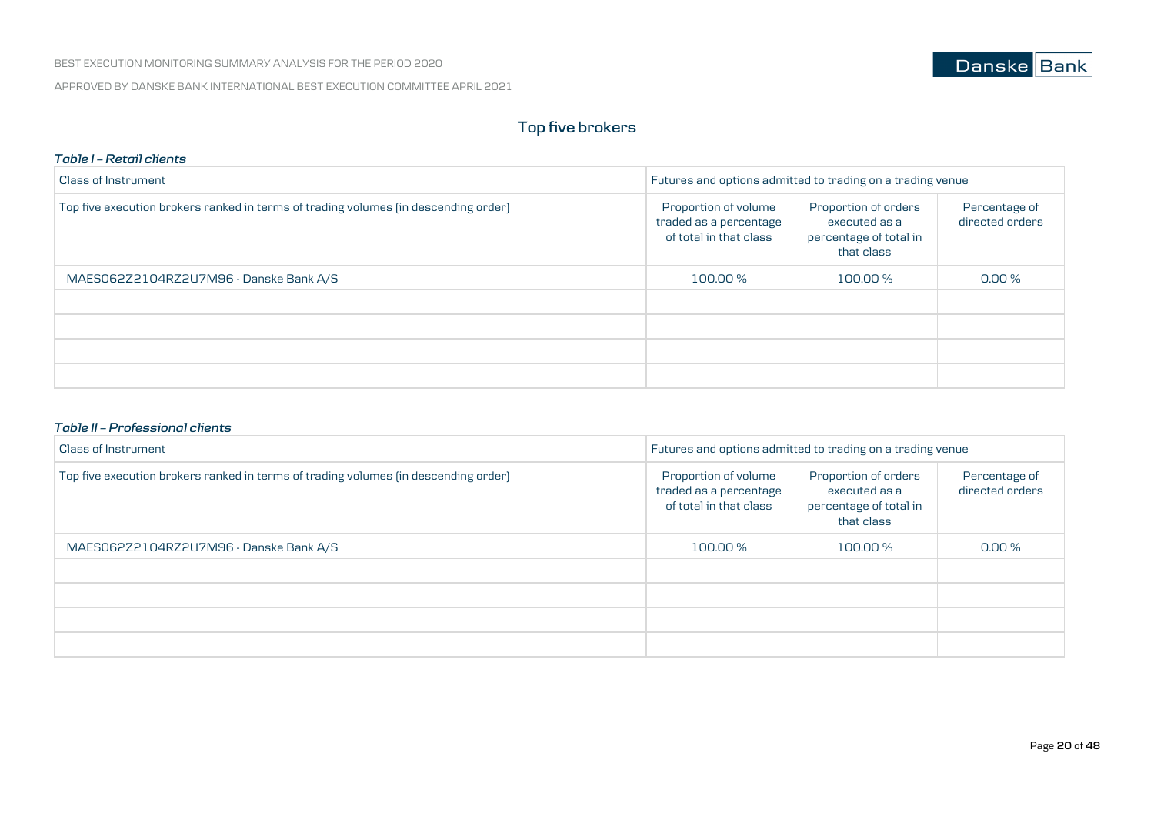### **Top five brokers**

#### *Table I – Retail clients*

| Class of Instrument                                                                 | Futures and options admitted to trading on a trading venue               |                                                                               |                                  |
|-------------------------------------------------------------------------------------|--------------------------------------------------------------------------|-------------------------------------------------------------------------------|----------------------------------|
| Top five execution brokers ranked in terms of trading volumes (in descending order) | Proportion of volume<br>traded as a percentage<br>of total in that class | Proportion of orders<br>executed as a<br>percentage of total in<br>that class | Percentage of<br>directed orders |
| MAES062Z2104RZ2U7M96 - Danske Bank A/S                                              | 100.00%                                                                  | 100.00%                                                                       | $0.00\%$                         |
|                                                                                     |                                                                          |                                                                               |                                  |
|                                                                                     |                                                                          |                                                                               |                                  |
|                                                                                     |                                                                          |                                                                               |                                  |
|                                                                                     |                                                                          |                                                                               |                                  |

| Class of Instrument                                                                 | Futures and options admitted to trading on a trading venue               |                                                                               |                                  |
|-------------------------------------------------------------------------------------|--------------------------------------------------------------------------|-------------------------------------------------------------------------------|----------------------------------|
| Top five execution brokers ranked in terms of trading volumes (in descending order) | Proportion of volume<br>traded as a percentage<br>of total in that class | Proportion of orders<br>executed as a<br>percentage of total in<br>that class | Percentage of<br>directed orders |
| MAES062Z2104RZ2U7M96 - Danske Bank A/S                                              | 100.00%                                                                  | 100.00%                                                                       | $0.00\%$                         |
|                                                                                     |                                                                          |                                                                               |                                  |
|                                                                                     |                                                                          |                                                                               |                                  |
|                                                                                     |                                                                          |                                                                               |                                  |
|                                                                                     |                                                                          |                                                                               |                                  |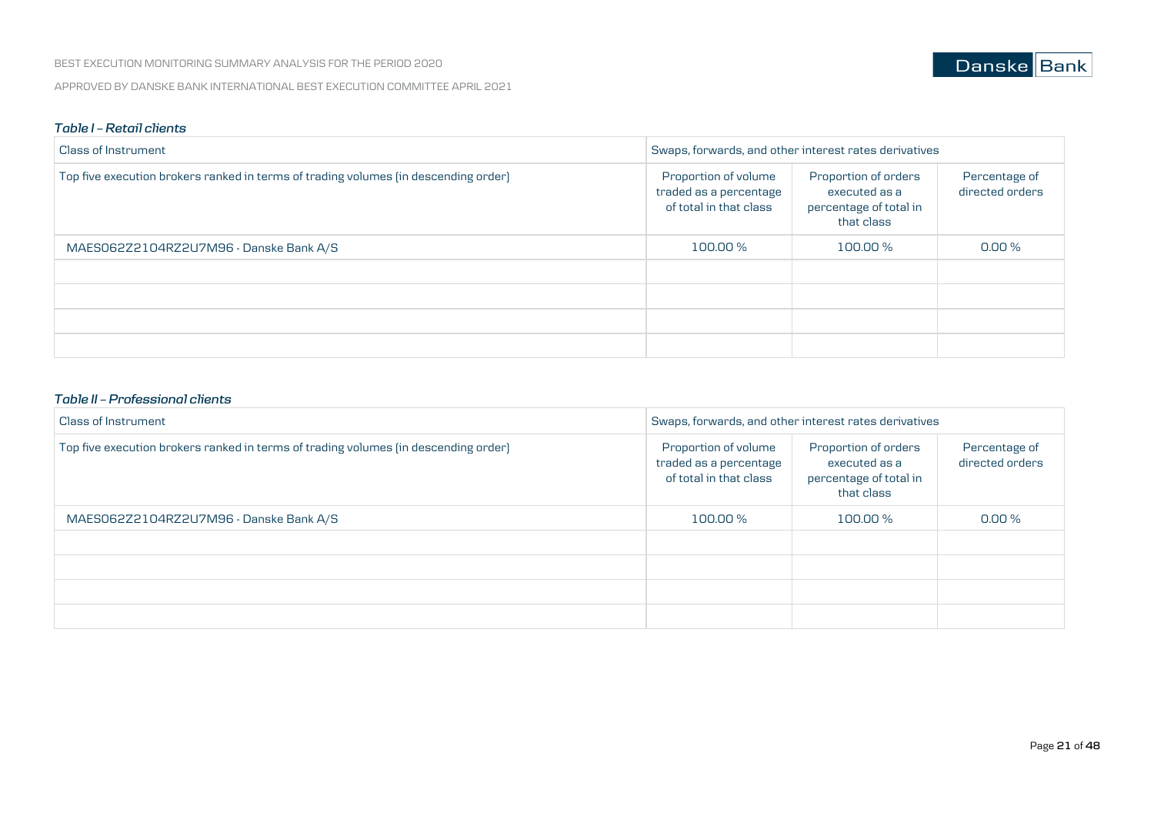#### *Table I – Retail clients*

| Class of Instrument                                                                 | Swaps, forwards, and other interest rates derivatives                    |                                                                               |                                  |
|-------------------------------------------------------------------------------------|--------------------------------------------------------------------------|-------------------------------------------------------------------------------|----------------------------------|
| Top five execution brokers ranked in terms of trading volumes (in descending order) | Proportion of volume<br>traded as a percentage<br>of total in that class | Proportion of orders<br>executed as a<br>percentage of total in<br>that class | Percentage of<br>directed orders |
| MAESO62Z2104RZ2U7M96 - Danske Bank A/S                                              | 100.00%                                                                  | 100.00%                                                                       | $0.00\%$                         |
|                                                                                     |                                                                          |                                                                               |                                  |
|                                                                                     |                                                                          |                                                                               |                                  |
|                                                                                     |                                                                          |                                                                               |                                  |
|                                                                                     |                                                                          |                                                                               |                                  |

| Class of Instrument                                                                 | Swaps, forwards, and other interest rates derivatives                    |                                                                               |                                  |
|-------------------------------------------------------------------------------------|--------------------------------------------------------------------------|-------------------------------------------------------------------------------|----------------------------------|
| Top five execution brokers ranked in terms of trading volumes (in descending order) | Proportion of volume<br>traded as a percentage<br>of total in that class | Proportion of orders<br>executed as a<br>percentage of total in<br>that class | Percentage of<br>directed orders |
| MAES062Z2104RZ2U7M96 - Danske Bank A/S                                              | 100.00%                                                                  | 100.00%                                                                       | $0.00\%$                         |
|                                                                                     |                                                                          |                                                                               |                                  |
|                                                                                     |                                                                          |                                                                               |                                  |
|                                                                                     |                                                                          |                                                                               |                                  |
|                                                                                     |                                                                          |                                                                               |                                  |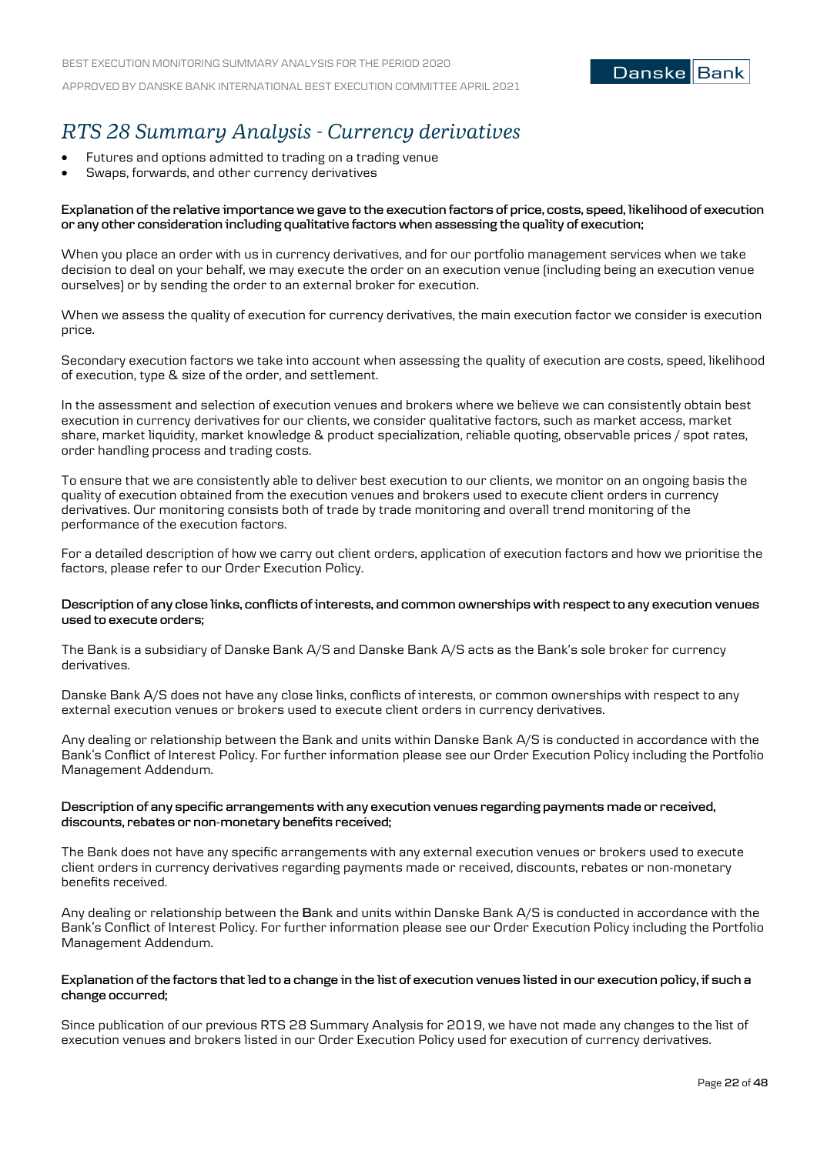

# *RTS 28 Summary Analysis - Currency derivatives*

- Futures and options admitted to trading on a trading venue
- Swaps, forwards, and other currency derivatives

#### **Explanation of the relative importance we gave to the execution factors of price, costs, speed, likelihood of execution or any other consideration including qualitative factors when assessing the quality of execution;**

When you place an order with us in currency derivatives, and for our portfolio management services when we take decision to deal on your behalf, we may execute the order on an execution venue (including being an execution venue ourselves) or by sending the order to an external broker for execution.

When we assess the quality of execution for currency derivatives, the main execution factor we consider is execution price.

Secondary execution factors we take into account when assessing the quality of execution are costs, speed, likelihood of execution, type & size of the order, and settlement.

In the assessment and selection of execution venues and brokers where we believe we can consistently obtain best execution in currency derivatives for our clients, we consider qualitative factors, such as market access, market share, market liquidity, market knowledge & product specialization, reliable quoting, observable prices / spot rates, order handling process and trading costs.

To ensure that we are consistently able to deliver best execution to our clients, we monitor on an ongoing basis the quality of execution obtained from the execution venues and brokers used to execute client orders in currency derivatives. Our monitoring consists both of trade by trade monitoring and overall trend monitoring of the performance of the execution factors.

For a detailed description of how we carry out client orders, application of execution factors and how we prioritise the factors, please refer to our Order Execution Policy.

#### **Description of any close links, conflicts of interests, and common ownerships with respect to any execution venues used to execute orders;**

The Bank is a subsidiary of Danske Bank A/S and Danske Bank A/S acts as the Bank's sole broker for currency derivatives.

Danske Bank A/S does not have any close links, conflicts of interests, or common ownerships with respect to any external execution venues or brokers used to execute client orders in currency derivatives.

Any dealing or relationship between the Bank and units within Danske Bank A/S is conducted in accordance with the Bank's Conflict of Interest Policy. For further information please see our Order Execution Policy including the Portfolio Management Addendum.

#### **Description of any specific arrangements with any execution venues regarding payments made or received, discounts, rebates or non-monetary benefits received;**

The Bank does not have any specific arrangements with any external execution venues or brokers used to execute client orders in currency derivatives regarding payments made or received, discounts, rebates or non-monetary benefits received.

Any dealing or relationship between the **B**ank and units within Danske Bank A/S is conducted in accordance with the Bank's Conflict of Interest Policy. For further information please see our Order Execution Policy including the Portfolio Management Addendum.

#### **Explanation of the factors that led to a change in the list of execution venues listed in our execution policy, if such a change occurred;**

Since publication of our previous RTS 28 Summary Analysis for 2019, we have not made any changes to the list of execution venues and brokers listed in our Order Execution Policy used for execution of currency derivatives.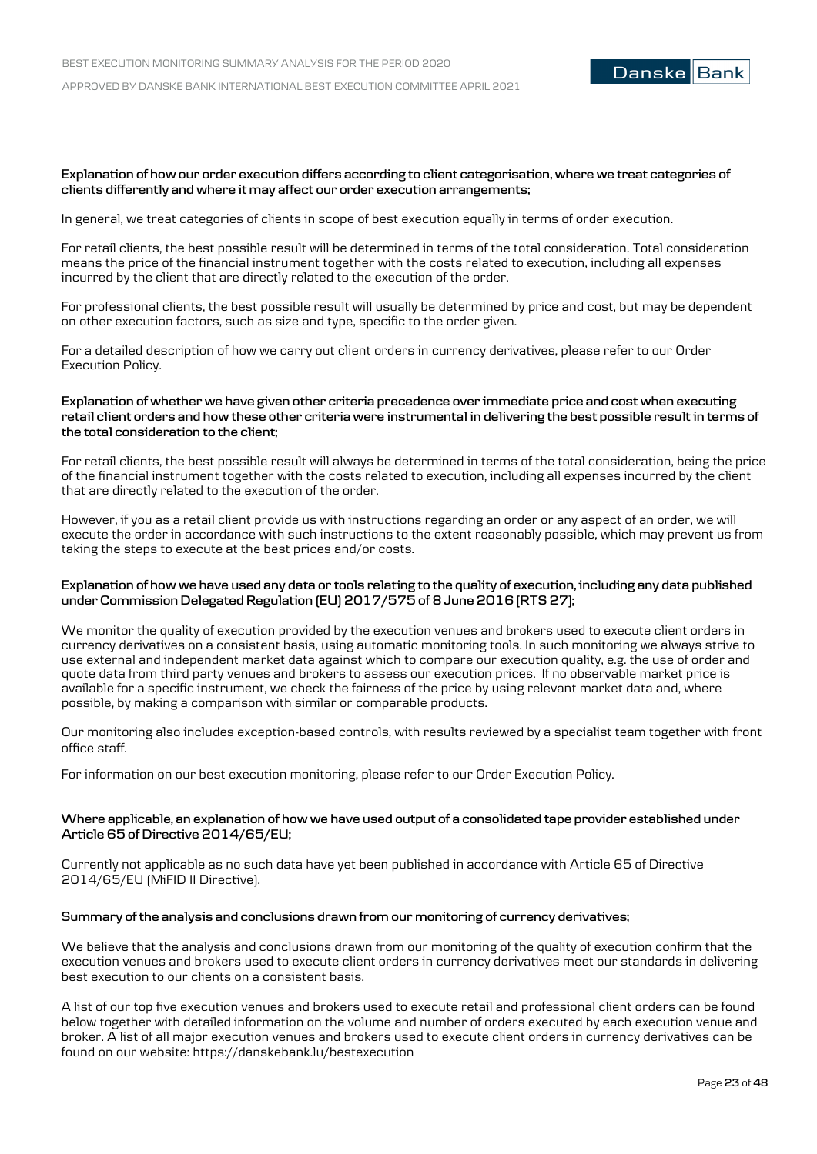

#### **Explanation of how our order execution differs according to client categorisation, where we treat categories of clients differently and where it may affect our order execution arrangements;**

In general, we treat categories of clients in scope of best execution equally in terms of order execution.

For retail clients, the best possible result will be determined in terms of the total consideration. Total consideration means the price of the financial instrument together with the costs related to execution, including all expenses incurred by the client that are directly related to the execution of the order.

For professional clients, the best possible result will usually be determined by price and cost, but may be dependent on other execution factors, such as size and type, specific to the order given.

For a detailed description of how we carry out client orders in currency derivatives, please refer to our Order Execution Policy.

#### **Explanation of whether we have given other criteria precedence over immediate price and cost when executing retail client orders and how these other criteria were instrumental in delivering the best possible result in terms of the total consideration to the client;**

For retail clients, the best possible result will always be determined in terms of the total consideration, being the price of the financial instrument together with the costs related to execution, including all expenses incurred by the client that are directly related to the execution of the order.

However, if you as a retail client provide us with instructions regarding an order or any aspect of an order, we will execute the order in accordance with such instructions to the extent reasonably possible, which may prevent us from taking the steps to execute at the best prices and/or costs.

#### **Explanation of how we have used any data or tools relating to the quality of execution, including any data published under Commission Delegated Regulation (EU) 2017/575 of 8 June 2016 [RTS 27];**

We monitor the quality of execution provided by the execution venues and brokers used to execute client orders in currency derivatives on a consistent basis, using automatic monitoring tools. In such monitoring we always strive to use external and independent market data against which to compare our execution quality, e.g. the use of order and quote data from third party venues and brokers to assess our execution prices. If no observable market price is available for a specific instrument, we check the fairness of the price by using relevant market data and, where possible, by making a comparison with similar or comparable products.

Our monitoring also includes exception-based controls, with results reviewed by a specialist team together with front office staff.

For information on our best execution monitoring, please refer to our Order Execution Policy.

#### **Where applicable, an explanation of how we have used output of a consolidated tape provider established under Article 65 of Directive 2014/65/EU;**

Currently not applicable as no such data have yet been published in accordance with Article 65 of Directive 2014/65/EU (MiFID II Directive).

#### **Summary of the analysis and conclusions drawn from our monitoring of currency derivatives;**

We believe that the analysis and conclusions drawn from our monitoring of the quality of execution confirm that the execution venues and brokers used to execute client orders in currency derivatives meet our standards in delivering best execution to our clients on a consistent basis.

A list of our top five execution venues and brokers used to execute retail and professional client orders can be found below together with detailed information on the volume and number of orders executed by each execution venue and broker. A list of all major execution venues and brokers used to execute client orders in currency derivatives can be found on our website: https://danskebank.lu/bestexecution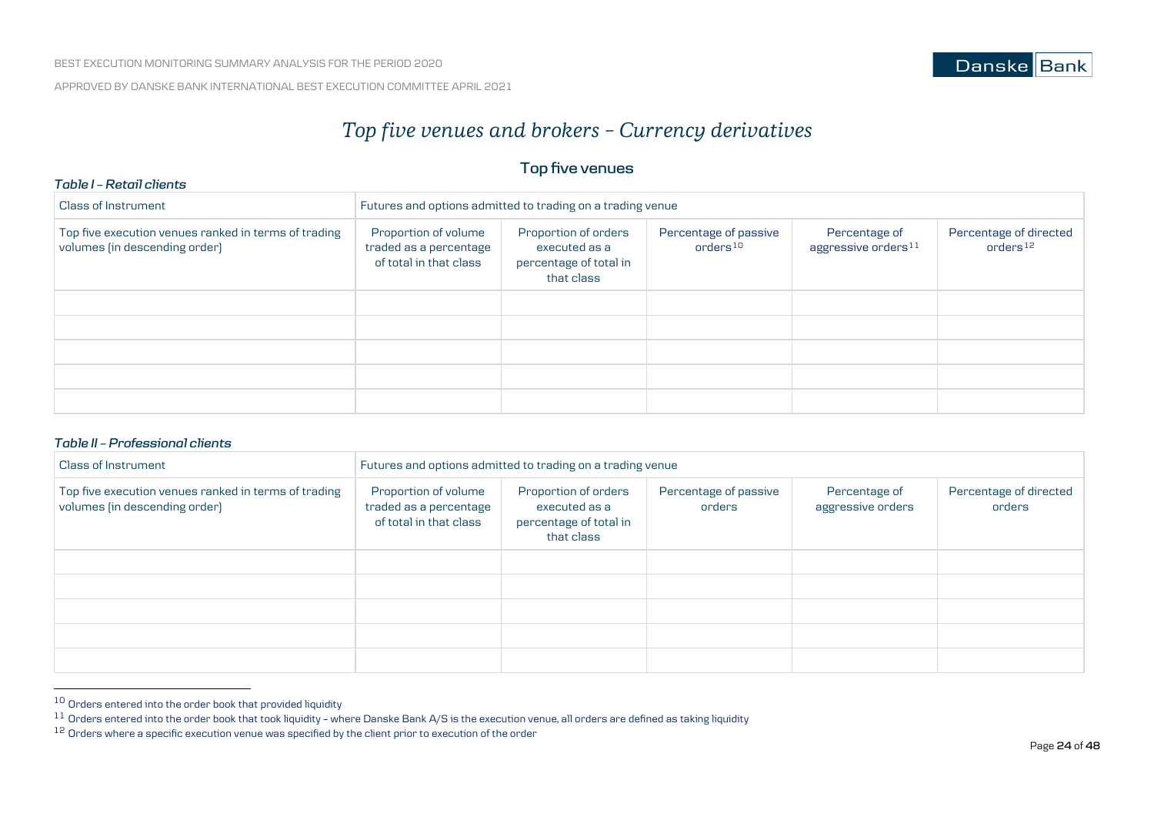# *Top five venues and brokers – Currency derivatives*

# <span id="page-23-2"></span><span id="page-23-1"></span><span id="page-23-0"></span>**Top five venues**

#### *Table I – Retail clients*

| Class of Instrument                                                                   | Futures and options admitted to trading on a trading venue               |                                                                               |                                               |                                                  |                                                |
|---------------------------------------------------------------------------------------|--------------------------------------------------------------------------|-------------------------------------------------------------------------------|-----------------------------------------------|--------------------------------------------------|------------------------------------------------|
| Top five execution venues ranked in terms of trading<br>volumes (in descending order) | Proportion of volume<br>traded as a percentage<br>of total in that class | Proportion of orders<br>executed as a<br>percentage of total in<br>that class | Percentage of passive<br>orders <sup>10</sup> | Percentage of<br>aggressive orders <sup>11</sup> | Percentage of directed<br>orders <sup>12</sup> |
|                                                                                       |                                                                          |                                                                               |                                               |                                                  |                                                |
|                                                                                       |                                                                          |                                                                               |                                               |                                                  |                                                |
|                                                                                       |                                                                          |                                                                               |                                               |                                                  |                                                |
|                                                                                       |                                                                          |                                                                               |                                               |                                                  |                                                |
|                                                                                       |                                                                          |                                                                               |                                               |                                                  |                                                |

#### *Table II – Professional clients*

 $\overline{a}$ 

| Class of Instrument                                                                   | Futures and options admitted to trading on a trading venue               |                                                                               |                                 |                                    |                                  |
|---------------------------------------------------------------------------------------|--------------------------------------------------------------------------|-------------------------------------------------------------------------------|---------------------------------|------------------------------------|----------------------------------|
| Top five execution venues ranked in terms of trading<br>volumes (in descending order) | Proportion of volume<br>traded as a percentage<br>of total in that class | Proportion of orders<br>executed as a<br>percentage of total in<br>that class | Percentage of passive<br>orders | Percentage of<br>aggressive orders | Percentage of directed<br>orders |
|                                                                                       |                                                                          |                                                                               |                                 |                                    |                                  |
|                                                                                       |                                                                          |                                                                               |                                 |                                    |                                  |
|                                                                                       |                                                                          |                                                                               |                                 |                                    |                                  |
|                                                                                       |                                                                          |                                                                               |                                 |                                    |                                  |
|                                                                                       |                                                                          |                                                                               |                                 |                                    |                                  |

 $^{10}$  Orders entered into the order book that provided liquidity

 $^{11}$  Orders entered into the order book that took liquidity – where Danske Bank A/S is the execution venue, all orders are defined as taking liquidity

<sup>&</sup>lt;sup>12</sup> Orders where a specific execution venue was specified by the client prior to execution of the order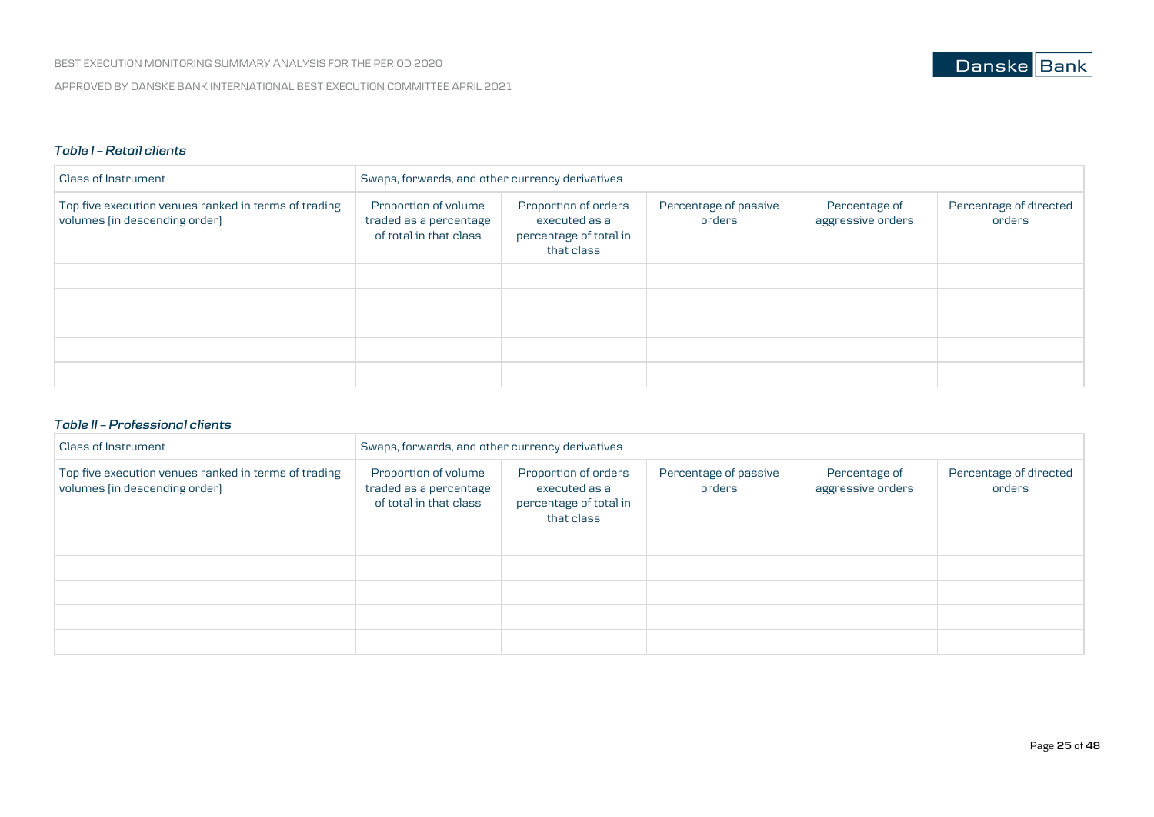### *Table I – Retail clients*

| Class of Instrument                                                                   | Swaps, forwards, and other currency derivatives                          |                                                                               |                                 |                                    |                                  |
|---------------------------------------------------------------------------------------|--------------------------------------------------------------------------|-------------------------------------------------------------------------------|---------------------------------|------------------------------------|----------------------------------|
| Top five execution venues ranked in terms of trading<br>volumes (in descending order) | Proportion of volume<br>traded as a percentage<br>of total in that class | Proportion of orders<br>executed as a<br>percentage of total in<br>that class | Percentage of passive<br>orders | Percentage of<br>aggressive orders | Percentage of directed<br>orders |
|                                                                                       |                                                                          |                                                                               |                                 |                                    |                                  |
|                                                                                       |                                                                          |                                                                               |                                 |                                    |                                  |
|                                                                                       |                                                                          |                                                                               |                                 |                                    |                                  |
|                                                                                       |                                                                          |                                                                               |                                 |                                    |                                  |
|                                                                                       |                                                                          |                                                                               |                                 |                                    |                                  |

| Class of Instrument                                                                   | Swaps, forwards, and other currency derivatives                          |                                                                               |                                 |                                    |                                  |
|---------------------------------------------------------------------------------------|--------------------------------------------------------------------------|-------------------------------------------------------------------------------|---------------------------------|------------------------------------|----------------------------------|
| Top five execution venues ranked in terms of trading<br>volumes (in descending order) | Proportion of volume<br>traded as a percentage<br>of total in that class | Proportion of orders<br>executed as a<br>percentage of total in<br>that class | Percentage of passive<br>orders | Percentage of<br>aggressive orders | Percentage of directed<br>orders |
|                                                                                       |                                                                          |                                                                               |                                 |                                    |                                  |
|                                                                                       |                                                                          |                                                                               |                                 |                                    |                                  |
|                                                                                       |                                                                          |                                                                               |                                 |                                    |                                  |
|                                                                                       |                                                                          |                                                                               |                                 |                                    |                                  |
|                                                                                       |                                                                          |                                                                               |                                 |                                    |                                  |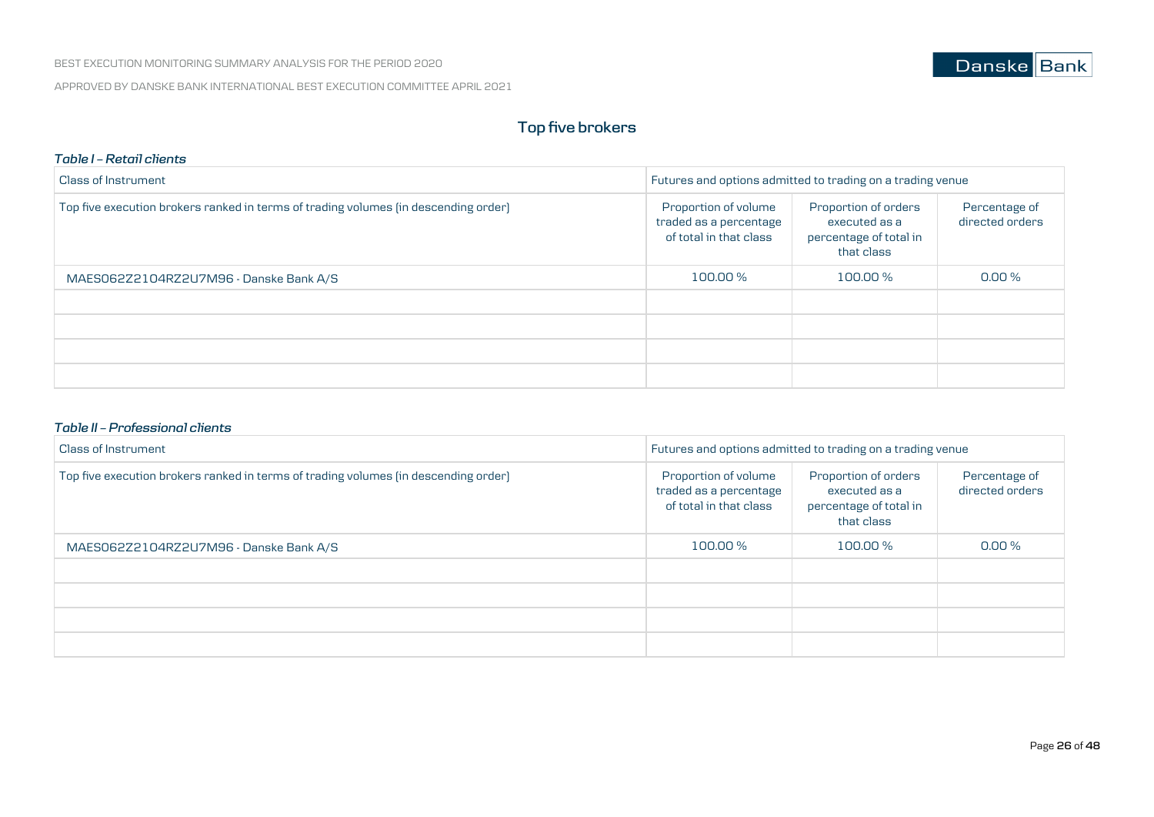### **Top five brokers**

#### *Table I – Retail clients*

| Class of Instrument                                                                 | Futures and options admitted to trading on a trading venue               |                                                                               |                                  |
|-------------------------------------------------------------------------------------|--------------------------------------------------------------------------|-------------------------------------------------------------------------------|----------------------------------|
| Top five execution brokers ranked in terms of trading volumes (in descending order) | Proportion of volume<br>traded as a percentage<br>of total in that class | Proportion of orders<br>executed as a<br>percentage of total in<br>that class | Percentage of<br>directed orders |
| MAES062Z2104RZ2U7M96 - Danske Bank A/S                                              | 100.00%                                                                  | 100.00%                                                                       | $0.00\%$                         |
|                                                                                     |                                                                          |                                                                               |                                  |
|                                                                                     |                                                                          |                                                                               |                                  |
|                                                                                     |                                                                          |                                                                               |                                  |
|                                                                                     |                                                                          |                                                                               |                                  |

| Class of Instrument                                                                 | Futures and options admitted to trading on a trading venue               |                                                                               |                                  |
|-------------------------------------------------------------------------------------|--------------------------------------------------------------------------|-------------------------------------------------------------------------------|----------------------------------|
| Top five execution brokers ranked in terms of trading volumes (in descending order) | Proportion of volume<br>traded as a percentage<br>of total in that class | Proportion of orders<br>executed as a<br>percentage of total in<br>that class | Percentage of<br>directed orders |
| MAESO62Z2104RZ2U7M96 - Danske Bank A/S                                              | 100.00%                                                                  | 100.00%                                                                       | $0.00\%$                         |
|                                                                                     |                                                                          |                                                                               |                                  |
|                                                                                     |                                                                          |                                                                               |                                  |
|                                                                                     |                                                                          |                                                                               |                                  |
|                                                                                     |                                                                          |                                                                               |                                  |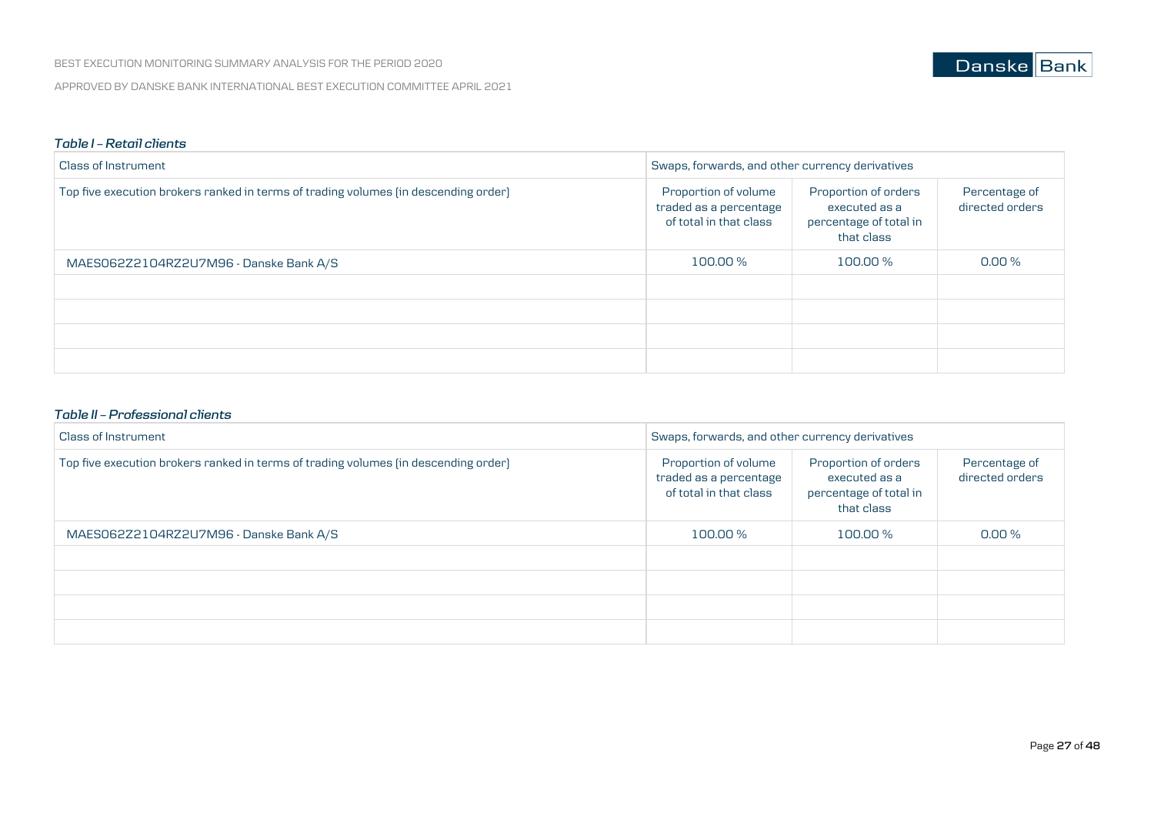#### *Table I – Retail clients*

| Class of Instrument                                                                 | Swaps, forwards, and other currency derivatives                          |                                                                               |                                  |
|-------------------------------------------------------------------------------------|--------------------------------------------------------------------------|-------------------------------------------------------------------------------|----------------------------------|
| Top five execution brokers ranked in terms of trading volumes (in descending order) | Proportion of volume<br>traded as a percentage<br>of total in that class | Proportion of orders<br>executed as a<br>percentage of total in<br>that class | Percentage of<br>directed orders |
| MAES062Z2104RZ2U7M96 - Danske Bank A/S                                              | 100.00%                                                                  | 100.00%                                                                       | 0.00%                            |
|                                                                                     |                                                                          |                                                                               |                                  |
|                                                                                     |                                                                          |                                                                               |                                  |
|                                                                                     |                                                                          |                                                                               |                                  |
|                                                                                     |                                                                          |                                                                               |                                  |

| Class of Instrument                                                                 | Swaps, forwards, and other currency derivatives                          |                                                                               |                                  |  |
|-------------------------------------------------------------------------------------|--------------------------------------------------------------------------|-------------------------------------------------------------------------------|----------------------------------|--|
| Top five execution brokers ranked in terms of trading volumes (in descending order) | Proportion of volume<br>traded as a percentage<br>of total in that class | Proportion of orders<br>executed as a<br>percentage of total in<br>that class | Percentage of<br>directed orders |  |
| MAESO62Z2104RZ2U7M96 - Danske Bank A/S                                              | 100.00%                                                                  | 100.00%                                                                       | $0.00\%$                         |  |
|                                                                                     |                                                                          |                                                                               |                                  |  |
|                                                                                     |                                                                          |                                                                               |                                  |  |
|                                                                                     |                                                                          |                                                                               |                                  |  |
|                                                                                     |                                                                          |                                                                               |                                  |  |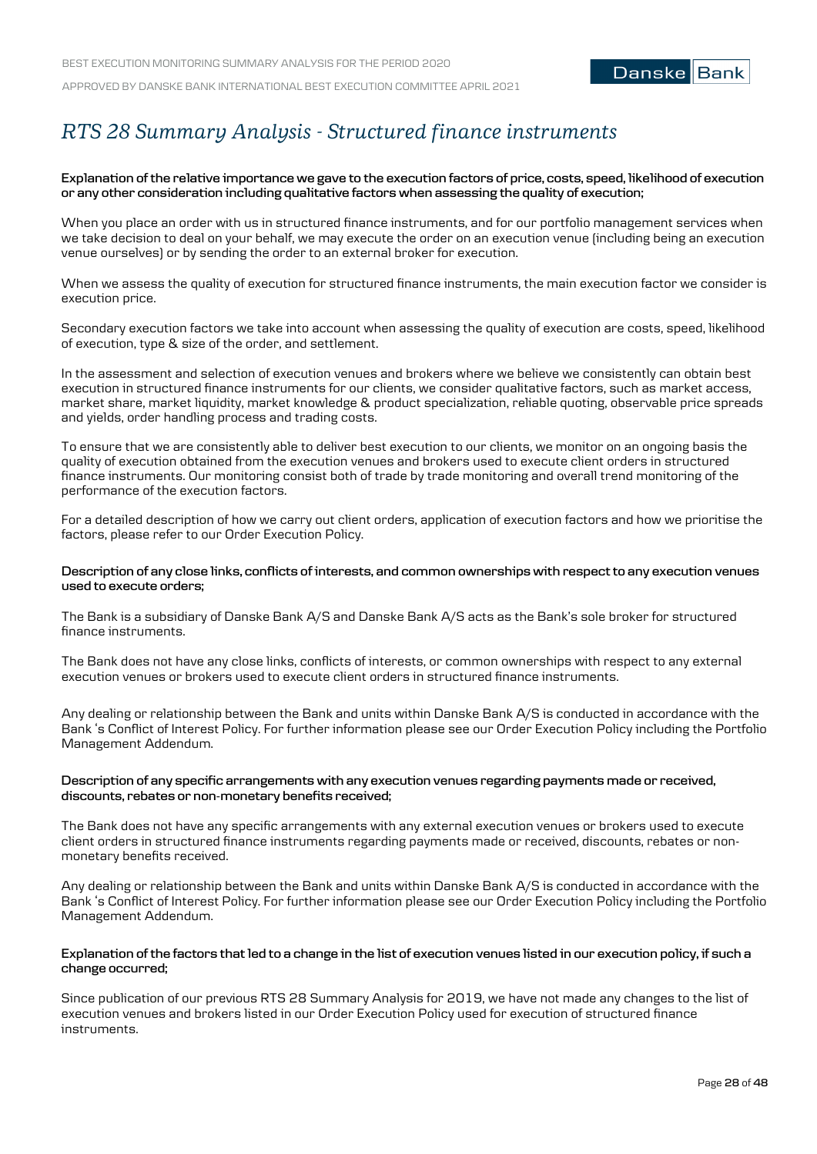

# *RTS 28 Summary Analysis - Structured finance instruments*

#### **Explanation of the relative importance we gave to the execution factors of price, costs, speed, likelihood of execution or any other consideration including qualitative factors when assessing the quality of execution;**

When you place an order with us in structured finance instruments, and for our portfolio management services when we take decision to deal on your behalf, we may execute the order on an execution venue (including being an execution venue ourselves) or by sending the order to an external broker for execution.

When we assess the quality of execution for structured finance instruments, the main execution factor we consider is execution price.

Secondary execution factors we take into account when assessing the quality of execution are costs, speed, likelihood of execution, type & size of the order, and settlement.

In the assessment and selection of execution venues and brokers where we believe we consistently can obtain best execution in structured finance instruments for our clients, we consider qualitative factors, such as market access, market share, market liquidity, market knowledge & product specialization, reliable quoting, observable price spreads and yields, order handling process and trading costs.

To ensure that we are consistently able to deliver best execution to our clients, we monitor on an ongoing basis the quality of execution obtained from the execution venues and brokers used to execute client orders in structured finance instruments. Our monitoring consist both of trade by trade monitoring and overall trend monitoring of the performance of the execution factors.

For a detailed description of how we carry out client orders, application of execution factors and how we prioritise the factors, please refer to our Order Execution Policy.

#### **Description of any close links, conflicts of interests, and common ownerships with respect to any execution venues used to execute orders;**

The Bank is a subsidiary of Danske Bank A/S and Danske Bank A/S acts as the Bank's sole broker for structured finance instruments.

The Bank does not have any close links, conflicts of interests, or common ownerships with respect to any external execution venues or brokers used to execute client orders in structured finance instruments.

Any dealing or relationship between the Bank and units within Danske Bank A/S is conducted in accordance with the Bank 's Conflict of Interest Policy. For further information please see our Order Execution Policy including the Portfolio Management Addendum.

#### **Description of any specific arrangements with any execution venues regarding payments made or received, discounts, rebates or non-monetary benefits received;**

The Bank does not have any specific arrangements with any external execution venues or brokers used to execute client orders in structured finance instruments regarding payments made or received, discounts, rebates or nonmonetary benefits received.

Any dealing or relationship between the Bank and units within Danske Bank A/S is conducted in accordance with the Bank 's Conflict of Interest Policy. For further information please see our Order Execution Policy including the Portfolio Management Addendum.

#### **Explanation of the factors that led to a change in the list of execution venues listed in our execution policy, if such a change occurred;**

Since publication of our previous RTS 28 Summary Analysis for 2019, we have not made any changes to the list of execution venues and brokers listed in our Order Execution Policy used for execution of structured finance instruments.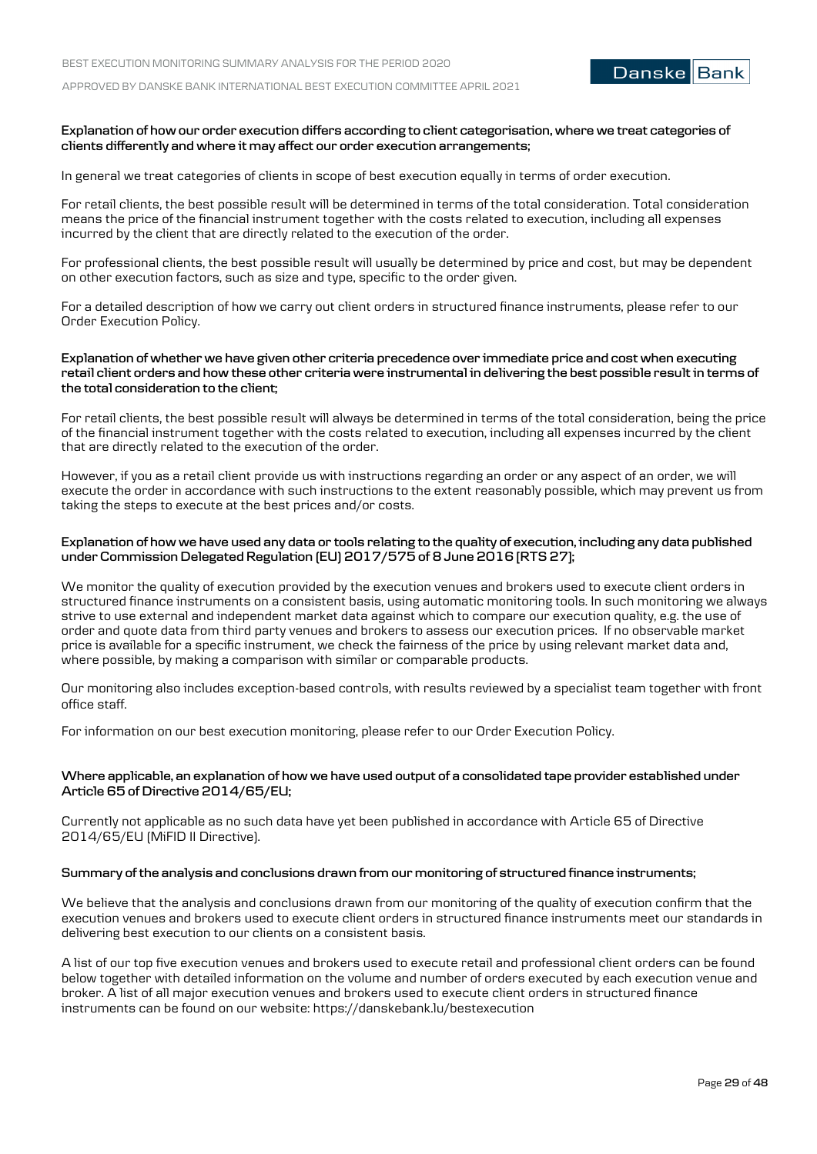### **Explanation of how our order execution differs according to client categorisation, where we treat categories of clients differently and where it may affect our order execution arrangements;**

**Danske** 

**Bank** 

In general we treat categories of clients in scope of best execution equally in terms of order execution.

For retail clients, the best possible result will be determined in terms of the total consideration. Total consideration means the price of the financial instrument together with the costs related to execution, including all expenses incurred by the client that are directly related to the execution of the order.

For professional clients, the best possible result will usually be determined by price and cost, but may be dependent on other execution factors, such as size and type, specific to the order given.

For a detailed description of how we carry out client orders in structured finance instruments, please refer to our Order Execution Policy.

#### **Explanation of whether we have given other criteria precedence over immediate price and cost when executing retail client orders and how these other criteria were instrumental in delivering the best possible result in terms of the total consideration to the client;**

For retail clients, the best possible result will always be determined in terms of the total consideration, being the price of the financial instrument together with the costs related to execution, including all expenses incurred by the client that are directly related to the execution of the order.

However, if you as a retail client provide us with instructions regarding an order or any aspect of an order, we will execute the order in accordance with such instructions to the extent reasonably possible, which may prevent us from taking the steps to execute at the best prices and/or costs.

#### **Explanation of how we have used any data or tools relating to the quality of execution, including any data published under Commission Delegated Regulation (EU) 2017/575 of 8 June 2016 [RTS 27];**

We monitor the quality of execution provided by the execution venues and brokers used to execute client orders in structured finance instruments on a consistent basis, using automatic monitoring tools. In such monitoring we always strive to use external and independent market data against which to compare our execution quality, e.g. the use of order and quote data from third party venues and brokers to assess our execution prices. If no observable market price is available for a specific instrument, we check the fairness of the price by using relevant market data and, where possible, by making a comparison with similar or comparable products.

Our monitoring also includes exception-based controls, with results reviewed by a specialist team together with front office staff.

For information on our best execution monitoring, please refer to our Order Execution Policy.

#### **Where applicable, an explanation of how we have used output of a consolidated tape provider established under Article 65 of Directive 2014/65/EU;**

Currently not applicable as no such data have yet been published in accordance with Article 65 of Directive 2014/65/EU (MiFID II Directive).

#### **Summary of the analysis and conclusions drawn from our monitoring of structured finance instruments;**

We believe that the analysis and conclusions drawn from our monitoring of the quality of execution confirm that the execution venues and brokers used to execute client orders in structured finance instruments meet our standards in delivering best execution to our clients on a consistent basis.

A list of our top five execution venues and brokers used to execute retail and professional client orders can be found below together with detailed information on the volume and number of orders executed by each execution venue and broker. A list of all major execution venues and brokers used to execute client orders in structured finance instruments can be found on our website: https://danskebank.lu/bestexecution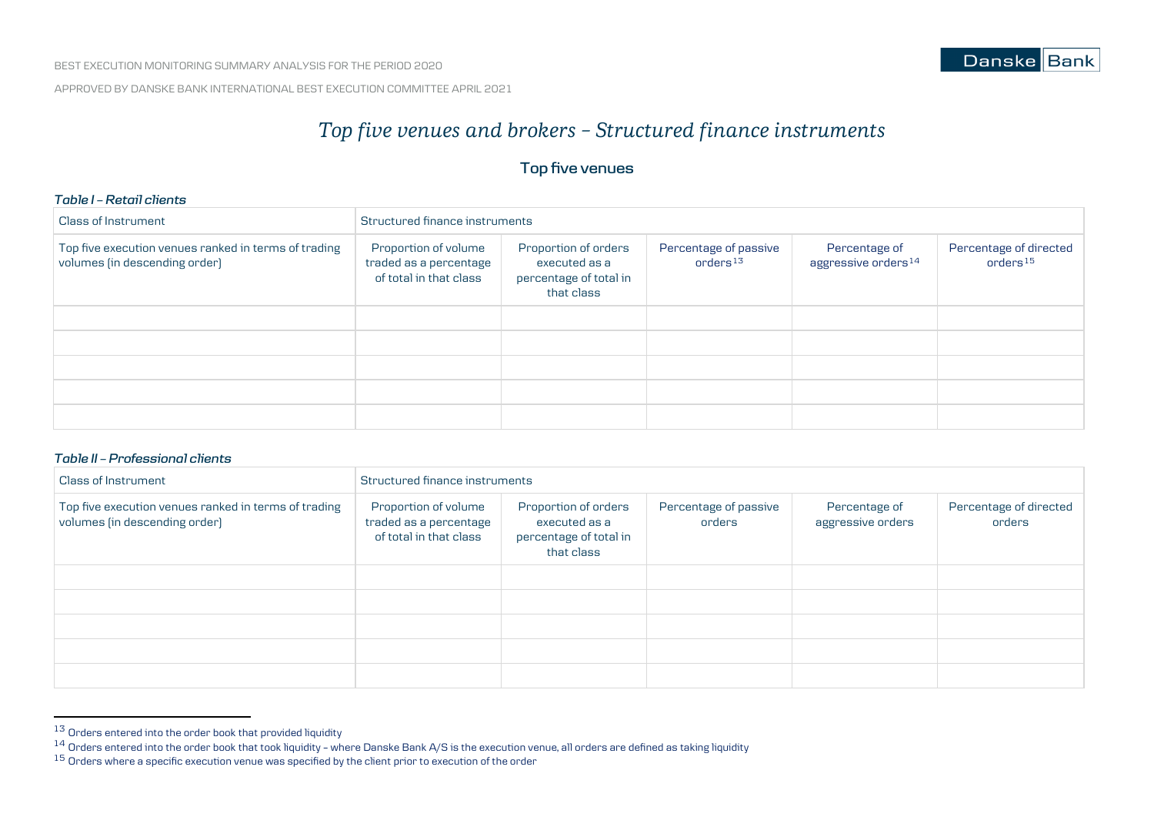# *Top five venues and brokers – Structured finance instruments*

### <span id="page-29-2"></span><span id="page-29-1"></span><span id="page-29-0"></span>**Top five venues**

#### *Table I – Retail clients*

| Class of Instrument                                                                   | Structured finance instruments                                           |                                                                               |                                         |                                            |                                          |
|---------------------------------------------------------------------------------------|--------------------------------------------------------------------------|-------------------------------------------------------------------------------|-----------------------------------------|--------------------------------------------|------------------------------------------|
| Top five execution venues ranked in terms of trading<br>volumes (in descending order) | Proportion of volume<br>traded as a percentage<br>of total in that class | Proportion of orders<br>executed as a<br>percentage of total in<br>that class | Percentage of passive<br>orders $^{13}$ | Percentage of<br>aggressive orders $^{14}$ | Percentage of directed<br>orders $^{15}$ |
|                                                                                       |                                                                          |                                                                               |                                         |                                            |                                          |
|                                                                                       |                                                                          |                                                                               |                                         |                                            |                                          |
|                                                                                       |                                                                          |                                                                               |                                         |                                            |                                          |
|                                                                                       |                                                                          |                                                                               |                                         |                                            |                                          |
|                                                                                       |                                                                          |                                                                               |                                         |                                            |                                          |

#### *Table II – Professional clients*

 $\overline{a}$ 

| Class of Instrument                                                                   | Structured finance instruments                                           |                                                                               |                                 |                                    |                                  |
|---------------------------------------------------------------------------------------|--------------------------------------------------------------------------|-------------------------------------------------------------------------------|---------------------------------|------------------------------------|----------------------------------|
| Top five execution venues ranked in terms of trading<br>volumes (in descending order) | Proportion of volume<br>traded as a percentage<br>of total in that class | Proportion of orders<br>executed as a<br>percentage of total in<br>that class | Percentage of passive<br>orders | Percentage of<br>aggressive orders | Percentage of directed<br>orders |
|                                                                                       |                                                                          |                                                                               |                                 |                                    |                                  |
|                                                                                       |                                                                          |                                                                               |                                 |                                    |                                  |
|                                                                                       |                                                                          |                                                                               |                                 |                                    |                                  |
|                                                                                       |                                                                          |                                                                               |                                 |                                    |                                  |
|                                                                                       |                                                                          |                                                                               |                                 |                                    |                                  |

 $13$  Orders entered into the order book that provided liquidity

 $^{14}$  Orders entered into the order book that took liquidity – where Danske Bank A/S is the execution venue, all orders are defined as taking liquidity

 $^{\rm 15}$  Orders where a specific execution venue was specified by the client prior to execution of the order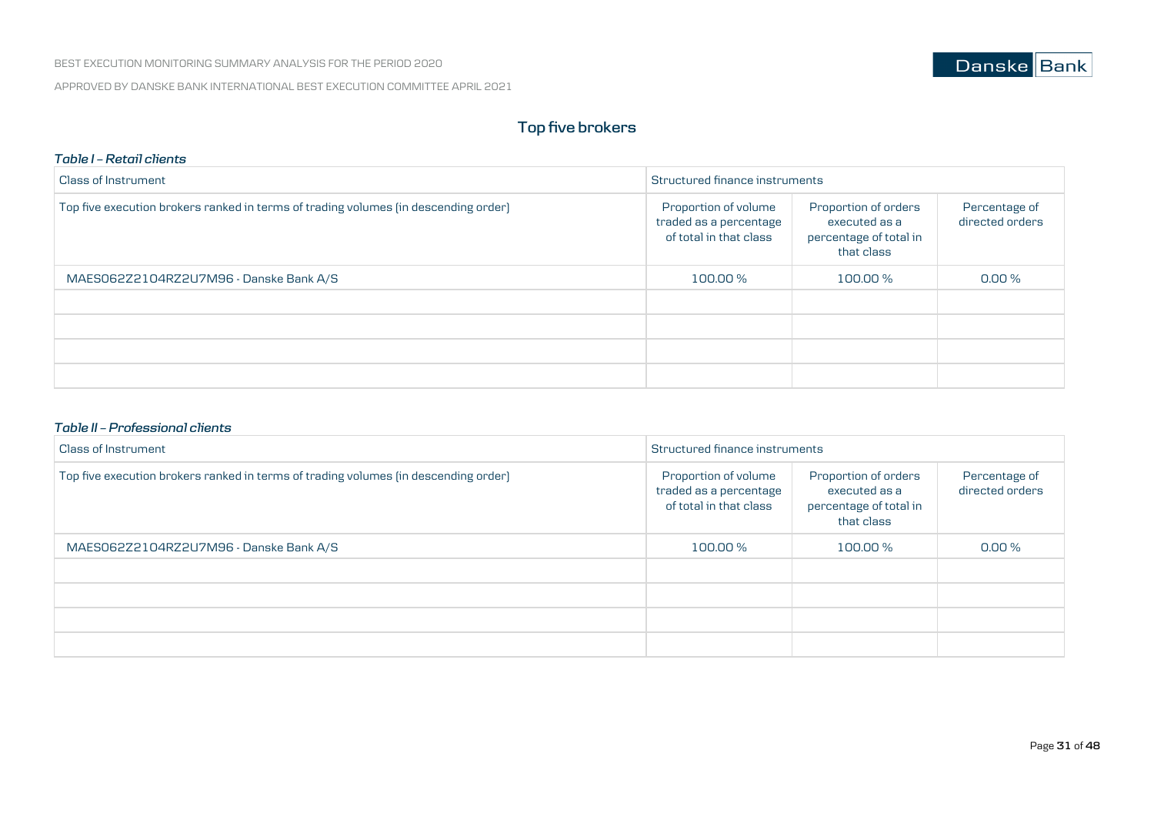### **Top five brokers**

#### *Table I – Retail clients*

| Class of Instrument                                                                 | Structured finance instruments                                           |                                                                               |                                  |  |
|-------------------------------------------------------------------------------------|--------------------------------------------------------------------------|-------------------------------------------------------------------------------|----------------------------------|--|
| Top five execution brokers ranked in terms of trading volumes (in descending order) | Proportion of volume<br>traded as a percentage<br>of total in that class | Proportion of orders<br>executed as a<br>percentage of total in<br>that class | Percentage of<br>directed orders |  |
| MAES062Z2104RZ2U7M96 - Danske Bank A/S                                              | 100.00%                                                                  | 100.00%                                                                       | $0.00\%$                         |  |
|                                                                                     |                                                                          |                                                                               |                                  |  |
|                                                                                     |                                                                          |                                                                               |                                  |  |
|                                                                                     |                                                                          |                                                                               |                                  |  |
|                                                                                     |                                                                          |                                                                               |                                  |  |

| Class of Instrument                                                                 | Structured finance instruments                                           |                                                                               |                                  |  |
|-------------------------------------------------------------------------------------|--------------------------------------------------------------------------|-------------------------------------------------------------------------------|----------------------------------|--|
| Top five execution brokers ranked in terms of trading volumes (in descending order) | Proportion of volume<br>traded as a percentage<br>of total in that class | Proportion of orders<br>executed as a<br>percentage of total in<br>that class | Percentage of<br>directed orders |  |
| MAES062Z2104RZ2U7M96 - Danske Bank A/S                                              | 100.00%                                                                  | 100.00%                                                                       | $0.00\%$                         |  |
|                                                                                     |                                                                          |                                                                               |                                  |  |
|                                                                                     |                                                                          |                                                                               |                                  |  |
|                                                                                     |                                                                          |                                                                               |                                  |  |
|                                                                                     |                                                                          |                                                                               |                                  |  |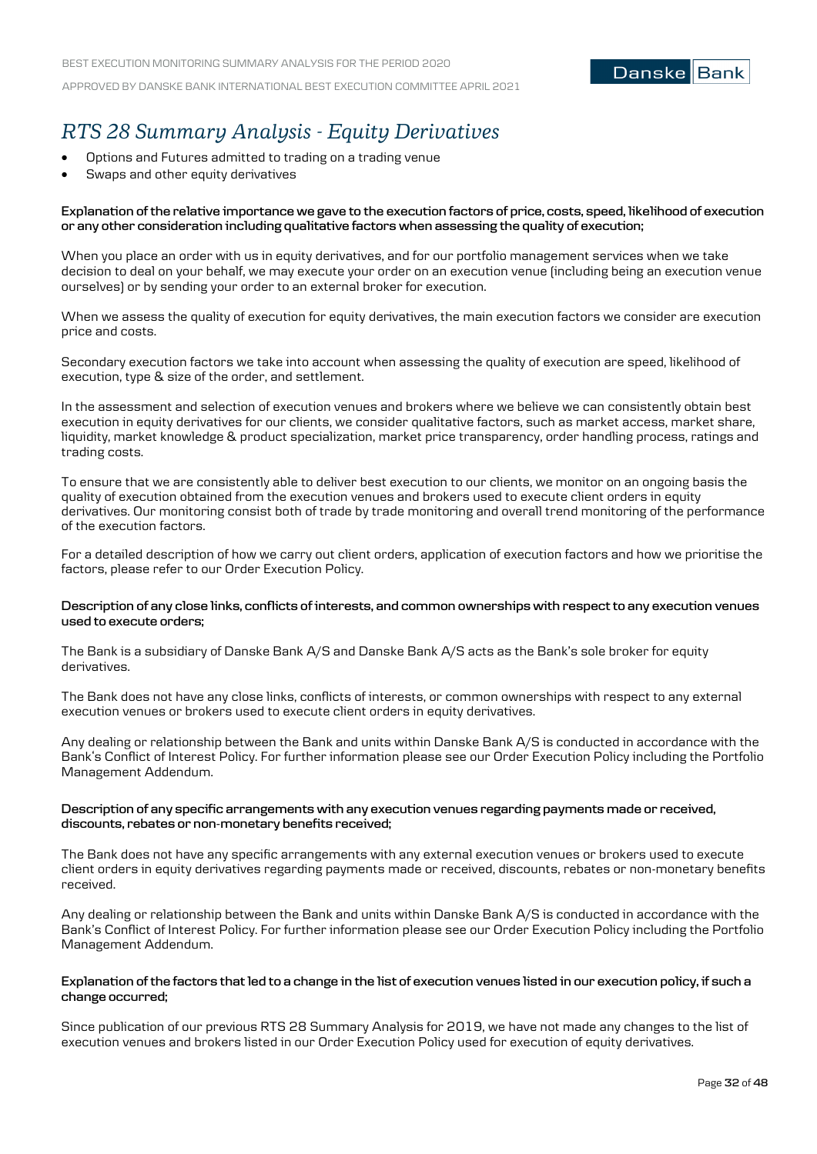

# *RTS 28 Summary Analysis - Equity Derivatives*

- Options and Futures admitted to trading on a trading venue
- Swaps and other equity derivatives

#### **Explanation of the relative importance we gave to the execution factors of price, costs, speed, likelihood of execution or any other consideration including qualitative factors when assessing the quality of execution;**

When you place an order with us in equity derivatives, and for our portfolio management services when we take decision to deal on your behalf, we may execute your order on an execution venue (including being an execution venue ourselves) or by sending your order to an external broker for execution.

When we assess the quality of execution for equity derivatives, the main execution factors we consider are execution price and costs.

Secondary execution factors we take into account when assessing the quality of execution are speed, likelihood of execution, type & size of the order, and settlement.

In the assessment and selection of execution venues and brokers where we believe we can consistently obtain best execution in equity derivatives for our clients, we consider qualitative factors, such as market access, market share, liquidity, market knowledge & product specialization, market price transparency, order handling process, ratings and trading costs.

To ensure that we are consistently able to deliver best execution to our clients, we monitor on an ongoing basis the quality of execution obtained from the execution venues and brokers used to execute client orders in equity derivatives. Our monitoring consist both of trade by trade monitoring and overall trend monitoring of the performance of the execution factors.

For a detailed description of how we carry out client orders, application of execution factors and how we prioritise the factors, please refer to our Order Execution Policy.

#### **Description of any close links, conflicts of interests, and common ownerships with respect to any execution venues used to execute orders;**

The Bank is a subsidiary of Danske Bank A/S and Danske Bank A/S acts as the Bank's sole broker for equity derivatives.

The Bank does not have any close links, conflicts of interests, or common ownerships with respect to any external execution venues or brokers used to execute client orders in equity derivatives.

Any dealing or relationship between the Bank and units within Danske Bank A/S is conducted in accordance with the Bank's Conflict of Interest Policy. For further information please see our Order Execution Policy including the Portfolio Management Addendum.

#### **Description of any specific arrangements with any execution venues regarding payments made or received, discounts, rebates or non-monetary benefits received;**

The Bank does not have any specific arrangements with any external execution venues or brokers used to execute client orders in equity derivatives regarding payments made or received, discounts, rebates or non-monetary benefits received.

Any dealing or relationship between the Bank and units within Danske Bank A/S is conducted in accordance with the Bank's Conflict of Interest Policy. For further information please see our Order Execution Policy including the Portfolio Management Addendum.

#### **Explanation of the factors that led to a change in the list of execution venues listed in our execution policy, if such a change occurred;**

Since publication of our previous RTS 28 Summary Analysis for 2019, we have not made any changes to the list of execution venues and brokers listed in our Order Execution Policy used for execution of equity derivatives.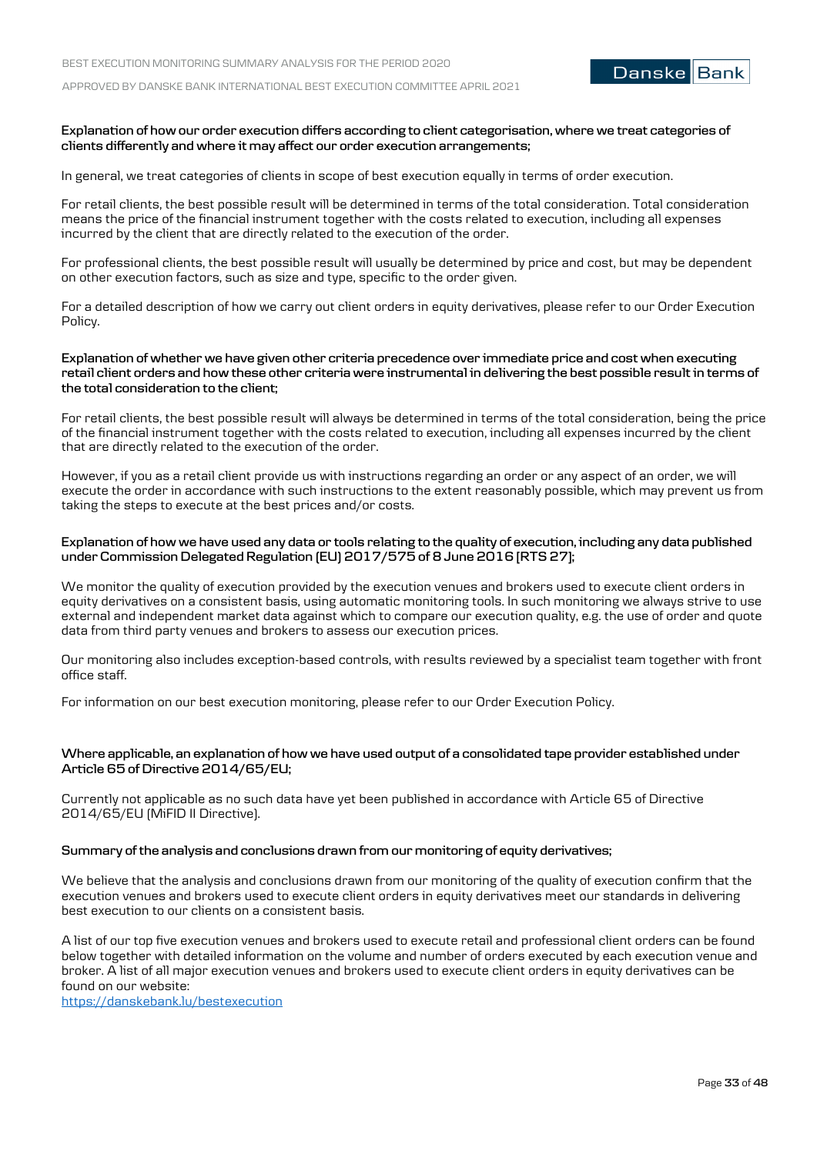#### **Explanation of how our order execution differs according to client categorisation, where we treat categories of clients differently and where it may affect our order execution arrangements;**

**Danske** 

**Bank** 

In general, we treat categories of clients in scope of best execution equally in terms of order execution.

For retail clients, the best possible result will be determined in terms of the total consideration. Total consideration means the price of the financial instrument together with the costs related to execution, including all expenses incurred by the client that are directly related to the execution of the order.

For professional clients, the best possible result will usually be determined by price and cost, but may be dependent on other execution factors, such as size and type, specific to the order given.

For a detailed description of how we carry out client orders in equity derivatives, please refer to our Order Execution Policy.

#### **Explanation of whether we have given other criteria precedence over immediate price and cost when executing retail client orders and how these other criteria were instrumental in delivering the best possible result in terms of the total consideration to the client;**

For retail clients, the best possible result will always be determined in terms of the total consideration, being the price of the financial instrument together with the costs related to execution, including all expenses incurred by the client that are directly related to the execution of the order.

However, if you as a retail client provide us with instructions regarding an order or any aspect of an order, we will execute the order in accordance with such instructions to the extent reasonably possible, which may prevent us from taking the steps to execute at the best prices and/or costs.

#### **Explanation of how we have used any data or tools relating to the quality of execution, including any data published under Commission Delegated Regulation (EU) 2017/575 of 8 June 2016 [RTS 27];**

We monitor the quality of execution provided by the execution venues and brokers used to execute client orders in equity derivatives on a consistent basis, using automatic monitoring tools. In such monitoring we always strive to use external and independent market data against which to compare our execution quality, e.g. the use of order and quote data from third party venues and brokers to assess our execution prices.

Our monitoring also includes exception-based controls, with results reviewed by a specialist team together with front office staff.

For information on our best execution monitoring, please refer to our Order Execution Policy.

#### **Where applicable, an explanation of how we have used output of a consolidated tape provider established under Article 65 of Directive 2014/65/EU;**

Currently not applicable as no such data have yet been published in accordance with Article 65 of Directive 2014/65/EU (MiFID II Directive).

#### **Summary of the analysis and conclusions drawn from our monitoring of equity derivatives;**

We believe that the analysis and conclusions drawn from our monitoring of the quality of execution confirm that the execution venues and brokers used to execute client orders in equity derivatives meet our standards in delivering best execution to our clients on a consistent basis.

A list of our top five execution venues and brokers used to execute retail and professional client orders can be found below together with detailed information on the volume and number of orders executed by each execution venue and broker. A list of all major execution venues and brokers used to execute client orders in equity derivatives can be found on our website:

<https://danskebank.lu/bestexecution>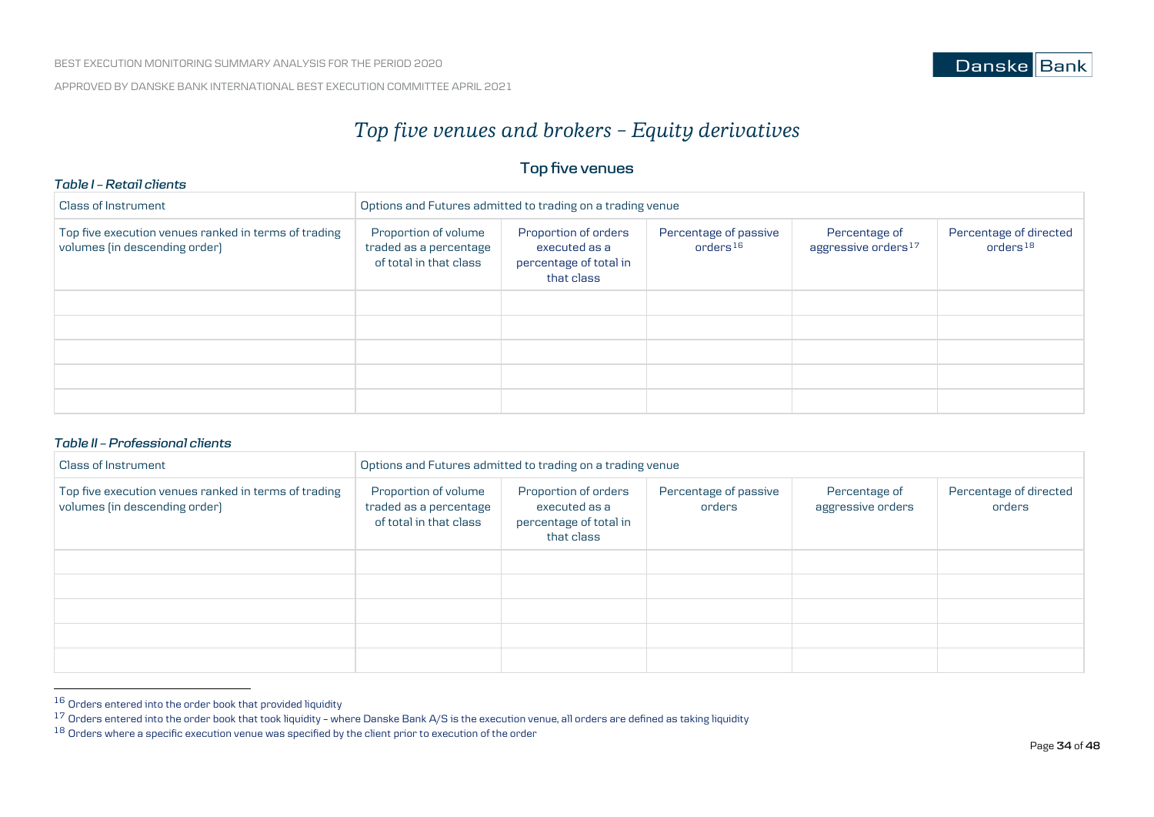# *Top five venues and brokers – Equity derivatives*

# <span id="page-33-2"></span><span id="page-33-1"></span><span id="page-33-0"></span>**Top five venues**

#### *Table I – Retail clients*

| Class of Instrument                                                                   | Options and Futures admitted to trading on a trading venue               |                                                                               |                                      |                                                  |                                          |
|---------------------------------------------------------------------------------------|--------------------------------------------------------------------------|-------------------------------------------------------------------------------|--------------------------------------|--------------------------------------------------|------------------------------------------|
| Top five execution venues ranked in terms of trading<br>volumes (in descending order) | Proportion of volume<br>traded as a percentage<br>of total in that class | Proportion of orders<br>executed as a<br>percentage of total in<br>that class | Percentage of passive<br>orders $16$ | Percentage of<br>aggressive orders <sup>17</sup> | Percentage of directed<br>orders $^{18}$ |
|                                                                                       |                                                                          |                                                                               |                                      |                                                  |                                          |
|                                                                                       |                                                                          |                                                                               |                                      |                                                  |                                          |
|                                                                                       |                                                                          |                                                                               |                                      |                                                  |                                          |
|                                                                                       |                                                                          |                                                                               |                                      |                                                  |                                          |
|                                                                                       |                                                                          |                                                                               |                                      |                                                  |                                          |

#### *Table II – Professional clients*

 $\overline{a}$ 

| Class of Instrument                                                                   | Options and Futures admitted to trading on a trading venue               |                                                                               |                                 |                                    |                                  |
|---------------------------------------------------------------------------------------|--------------------------------------------------------------------------|-------------------------------------------------------------------------------|---------------------------------|------------------------------------|----------------------------------|
| Top five execution venues ranked in terms of trading<br>volumes (in descending order) | Proportion of volume<br>traded as a percentage<br>of total in that class | Proportion of orders<br>executed as a<br>percentage of total in<br>that class | Percentage of passive<br>orders | Percentage of<br>aggressive orders | Percentage of directed<br>orders |
|                                                                                       |                                                                          |                                                                               |                                 |                                    |                                  |
|                                                                                       |                                                                          |                                                                               |                                 |                                    |                                  |
|                                                                                       |                                                                          |                                                                               |                                 |                                    |                                  |
|                                                                                       |                                                                          |                                                                               |                                 |                                    |                                  |
|                                                                                       |                                                                          |                                                                               |                                 |                                    |                                  |

 $^{16}$  Orders entered into the order book that provided liquidity

 $^{17}$  Orders entered into the order book that took liquidity – where Danske Bank A/S is the execution venue, all orders are defined as taking liquidity

<sup>18</sup> Orders where a specific execution venue was specified by the client prior to execution of the order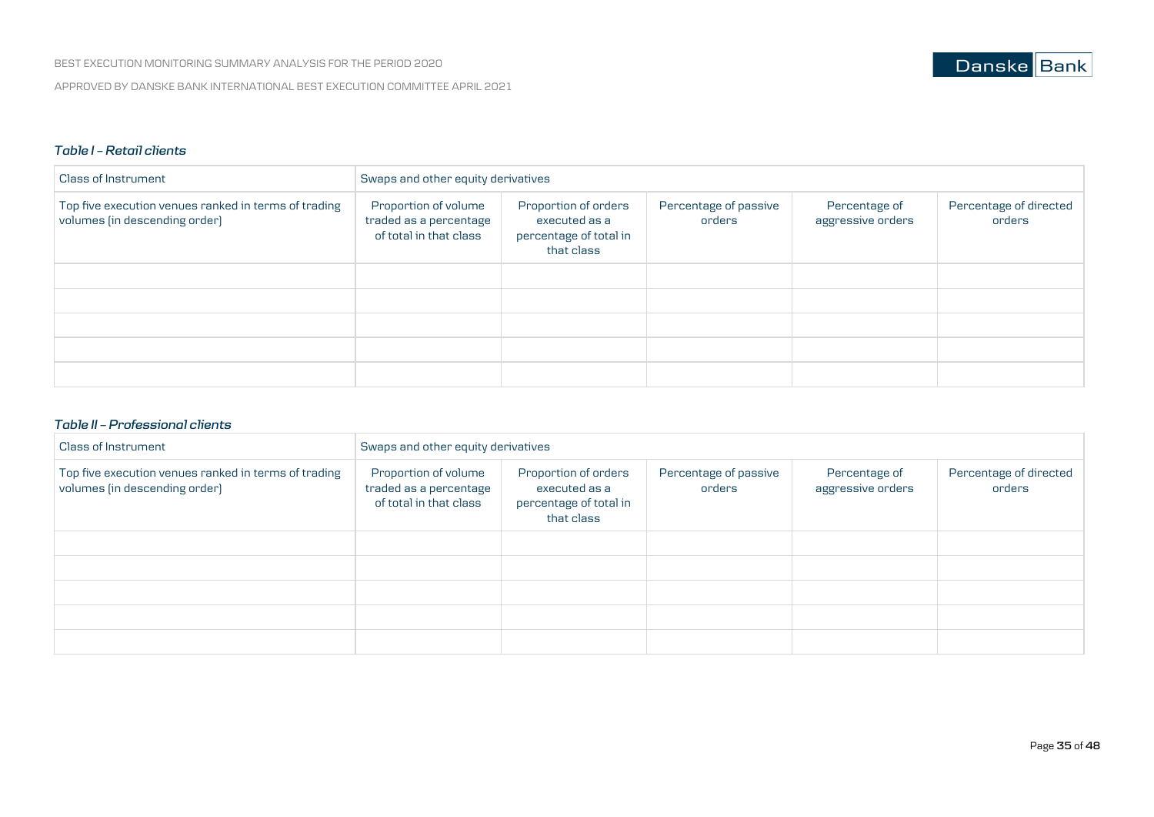### *Table I – Retail clients*

| Class of Instrument                                                                   | Swaps and other equity derivatives                                       |                                                                               |                                 |                                    |                                  |
|---------------------------------------------------------------------------------------|--------------------------------------------------------------------------|-------------------------------------------------------------------------------|---------------------------------|------------------------------------|----------------------------------|
| Top five execution venues ranked in terms of trading<br>volumes (in descending order) | Proportion of volume<br>traded as a percentage<br>of total in that class | Proportion of orders<br>executed as a<br>percentage of total in<br>that class | Percentage of passive<br>orders | Percentage of<br>aggressive orders | Percentage of directed<br>orders |
|                                                                                       |                                                                          |                                                                               |                                 |                                    |                                  |
|                                                                                       |                                                                          |                                                                               |                                 |                                    |                                  |
|                                                                                       |                                                                          |                                                                               |                                 |                                    |                                  |
|                                                                                       |                                                                          |                                                                               |                                 |                                    |                                  |
|                                                                                       |                                                                          |                                                                               |                                 |                                    |                                  |

| Class of Instrument                                                                   | Swaps and other equity derivatives                                       |                                                                               |                                 |                                    |                                  |
|---------------------------------------------------------------------------------------|--------------------------------------------------------------------------|-------------------------------------------------------------------------------|---------------------------------|------------------------------------|----------------------------------|
| Top five execution venues ranked in terms of trading<br>volumes (in descending order) | Proportion of volume<br>traded as a percentage<br>of total in that class | Proportion of orders<br>executed as a<br>percentage of total in<br>that class | Percentage of passive<br>orders | Percentage of<br>aggressive orders | Percentage of directed<br>orders |
|                                                                                       |                                                                          |                                                                               |                                 |                                    |                                  |
|                                                                                       |                                                                          |                                                                               |                                 |                                    |                                  |
|                                                                                       |                                                                          |                                                                               |                                 |                                    |                                  |
|                                                                                       |                                                                          |                                                                               |                                 |                                    |                                  |
|                                                                                       |                                                                          |                                                                               |                                 |                                    |                                  |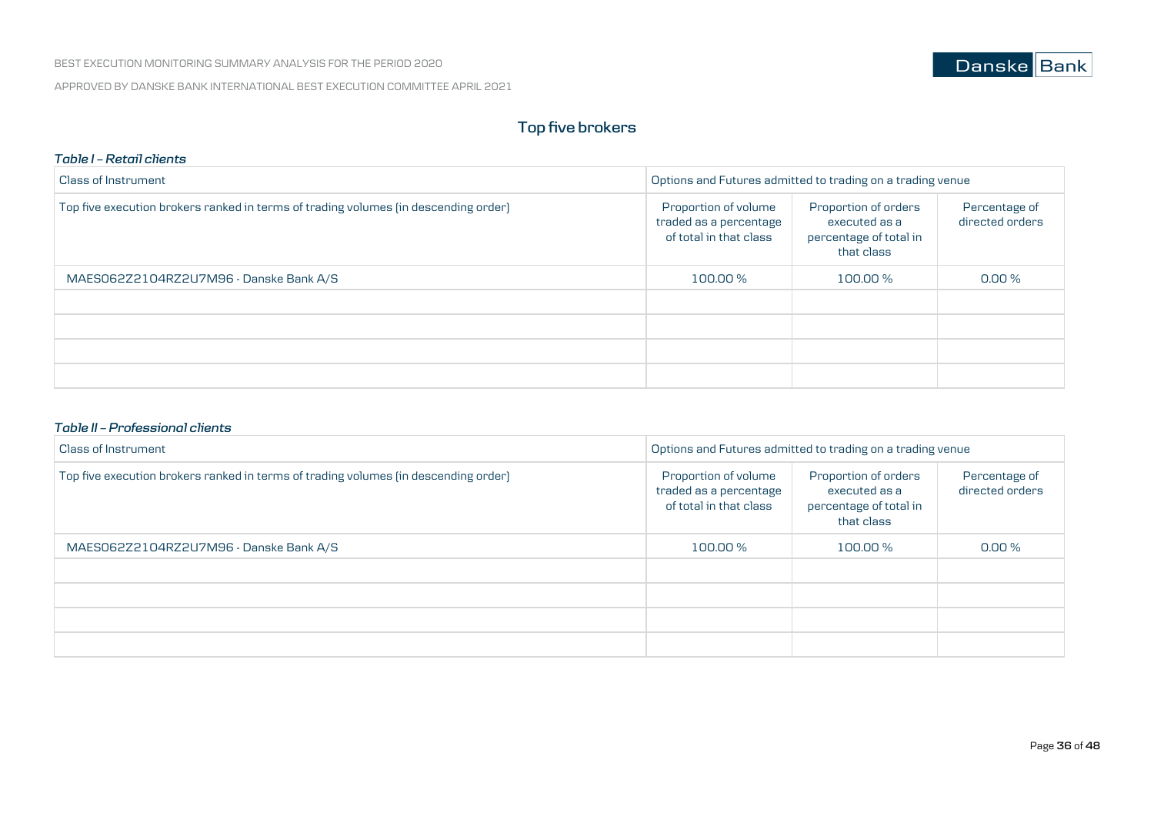### **Top five brokers**

#### *Table I – Retail clients*

| Class of Instrument                                                                 | Options and Futures admitted to trading on a trading venue               |                                                                               |                                  |  |
|-------------------------------------------------------------------------------------|--------------------------------------------------------------------------|-------------------------------------------------------------------------------|----------------------------------|--|
| Top five execution brokers ranked in terms of trading volumes (in descending order) | Proportion of volume<br>traded as a percentage<br>of total in that class | Proportion of orders<br>executed as a<br>percentage of total in<br>that class | Percentage of<br>directed orders |  |
| MAESO62Z2104RZ2U7M96 - Danske Bank A/S                                              | 100.00%                                                                  | 100.00%                                                                       | $0.00\%$                         |  |
|                                                                                     |                                                                          |                                                                               |                                  |  |
|                                                                                     |                                                                          |                                                                               |                                  |  |
|                                                                                     |                                                                          |                                                                               |                                  |  |
|                                                                                     |                                                                          |                                                                               |                                  |  |

| Class of Instrument                                                                 | Options and Futures admitted to trading on a trading venue               |                                                                               |                                  |  |
|-------------------------------------------------------------------------------------|--------------------------------------------------------------------------|-------------------------------------------------------------------------------|----------------------------------|--|
| Top five execution brokers ranked in terms of trading volumes (in descending order) | Proportion of volume<br>traded as a percentage<br>of total in that class | Proportion of orders<br>executed as a<br>percentage of total in<br>that class | Percentage of<br>directed orders |  |
| MAESO62Z2104RZ2U7M96 - Danske Bank A/S                                              | 100.00%                                                                  | 100.00%                                                                       | $0.00\%$                         |  |
|                                                                                     |                                                                          |                                                                               |                                  |  |
|                                                                                     |                                                                          |                                                                               |                                  |  |
|                                                                                     |                                                                          |                                                                               |                                  |  |
|                                                                                     |                                                                          |                                                                               |                                  |  |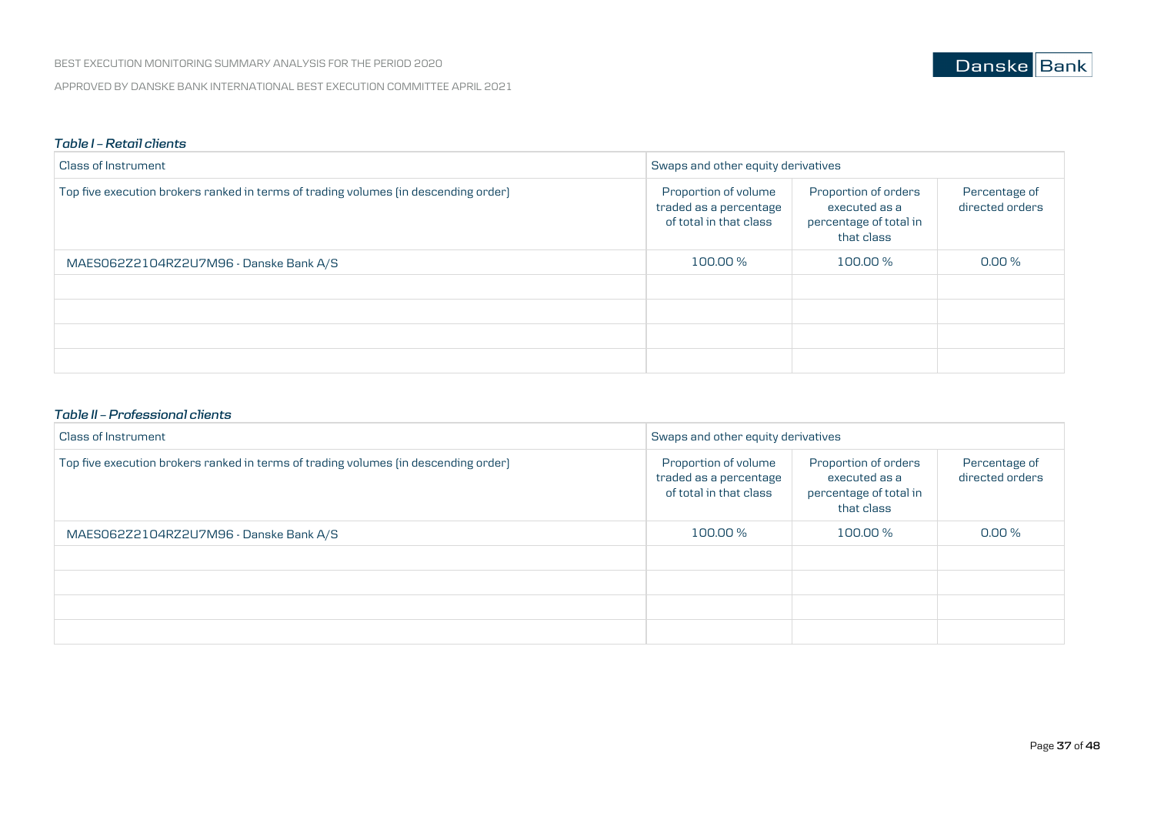#### *Table I – Retail clients*

| Class of Instrument                                                                 | Swaps and other equity derivatives                                       |                                                                               |                                  |  |
|-------------------------------------------------------------------------------------|--------------------------------------------------------------------------|-------------------------------------------------------------------------------|----------------------------------|--|
| Top five execution brokers ranked in terms of trading volumes (in descending order) | Proportion of volume<br>traded as a percentage<br>of total in that class | Proportion of orders<br>executed as a<br>percentage of total in<br>that class | Percentage of<br>directed orders |  |
| MAES062Z2104RZ2U7M96 - Danske Bank A/S                                              | 100.00%                                                                  | 100.00%                                                                       | 0.00%                            |  |
|                                                                                     |                                                                          |                                                                               |                                  |  |
|                                                                                     |                                                                          |                                                                               |                                  |  |
|                                                                                     |                                                                          |                                                                               |                                  |  |
|                                                                                     |                                                                          |                                                                               |                                  |  |

| Class of Instrument                                                                 | Swaps and other equity derivatives                                       |                                                                               |                                  |  |
|-------------------------------------------------------------------------------------|--------------------------------------------------------------------------|-------------------------------------------------------------------------------|----------------------------------|--|
| Top five execution brokers ranked in terms of trading volumes (in descending order) | Proportion of volume<br>traded as a percentage<br>of total in that class | Proportion of orders<br>executed as a<br>percentage of total in<br>that class | Percentage of<br>directed orders |  |
| MAESO62Z2104RZ2U7M96 - Danske Bank A/S                                              | 100.00%                                                                  | 100.00%                                                                       | $0.00\%$                         |  |
|                                                                                     |                                                                          |                                                                               |                                  |  |
|                                                                                     |                                                                          |                                                                               |                                  |  |
|                                                                                     |                                                                          |                                                                               |                                  |  |
|                                                                                     |                                                                          |                                                                               |                                  |  |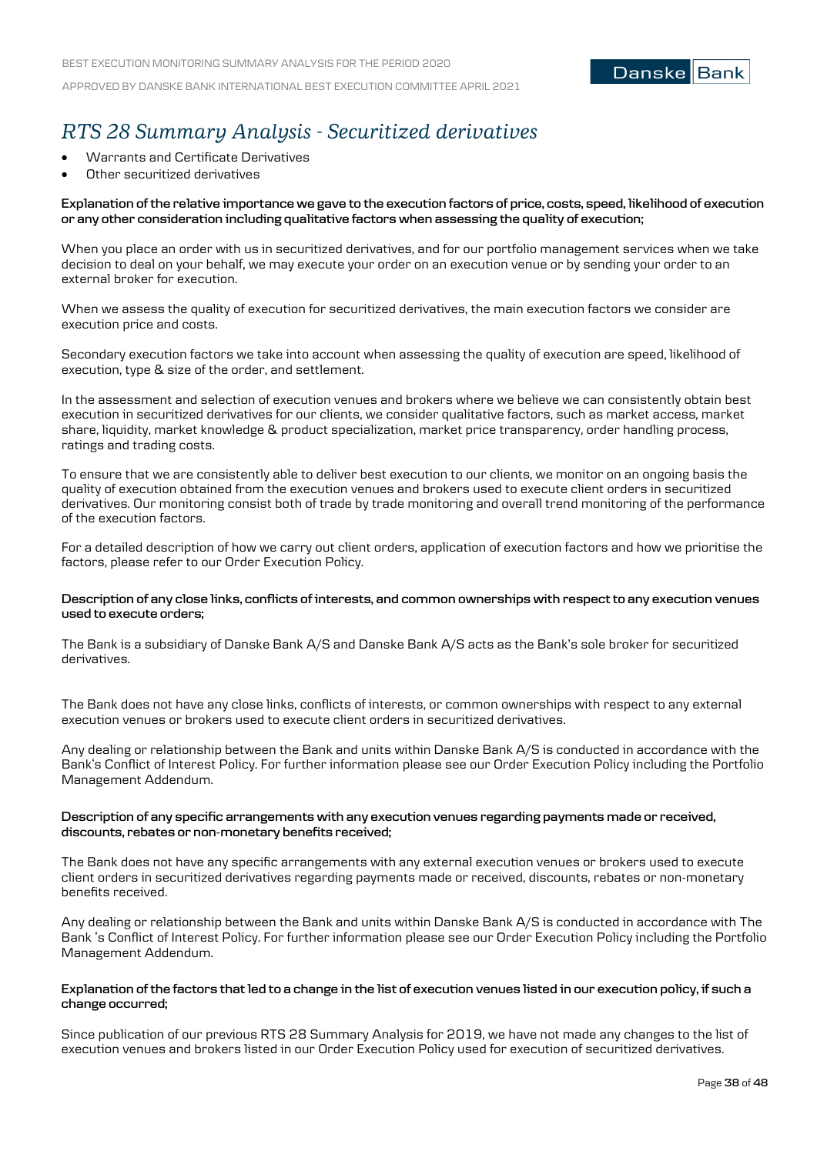

# *RTS 28 Summary Analysis - Securitized derivatives*

- Warrants and Certificate Derivatives
- Other securitized derivatives

#### **Explanation of the relative importance we gave to the execution factors of price, costs, speed, likelihood of execution or any other consideration including qualitative factors when assessing the quality of execution;**

When you place an order with us in securitized derivatives, and for our portfolio management services when we take decision to deal on your behalf, we may execute your order on an execution venue or by sending your order to an external broker for execution.

When we assess the quality of execution for securitized derivatives, the main execution factors we consider are execution price and costs.

Secondary execution factors we take into account when assessing the quality of execution are speed, likelihood of execution, type & size of the order, and settlement.

In the assessment and selection of execution venues and brokers where we believe we can consistently obtain best execution in securitized derivatives for our clients, we consider qualitative factors, such as market access, market share, liquidity, market knowledge & product specialization, market price transparency, order handling process, ratings and trading costs.

To ensure that we are consistently able to deliver best execution to our clients, we monitor on an ongoing basis the quality of execution obtained from the execution venues and brokers used to execute client orders in securitized derivatives. Our monitoring consist both of trade by trade monitoring and overall trend monitoring of the performance of the execution factors.

For a detailed description of how we carry out client orders, application of execution factors and how we prioritise the factors, please refer to our Order Execution Policy.

#### **Description of any close links, conflicts of interests, and common ownerships with respect to any execution venues used to execute orders;**

The Bank is a subsidiary of Danske Bank A/S and Danske Bank A/S acts as the Bank's sole broker for securitized derivatives.

The Bank does not have any close links, conflicts of interests, or common ownerships with respect to any external execution venues or brokers used to execute client orders in securitized derivatives.

Any dealing or relationship between the Bank and units within Danske Bank A/S is conducted in accordance with the Bank's Conflict of Interest Policy. For further information please see our Order Execution Policy including the Portfolio Management Addendum.

#### **Description of any specific arrangements with any execution venues regarding payments made or received, discounts, rebates or non-monetary benefits received;**

The Bank does not have any specific arrangements with any external execution venues or brokers used to execute client orders in securitized derivatives regarding payments made or received, discounts, rebates or non-monetary benefits received.

Any dealing or relationship between the Bank and units within Danske Bank A/S is conducted in accordance with The Bank 's Conflict of Interest Policy. For further information please see our Order Execution Policy including the Portfolio Management Addendum.

#### **Explanation of the factors that led to a change in the list of execution venues listed in our execution policy, if such a change occurred;**

Since publication of our previous RTS 28 Summary Analysis for 2019, we have not made any changes to the list of execution venues and brokers listed in our Order Execution Policy used for execution of securitized derivatives.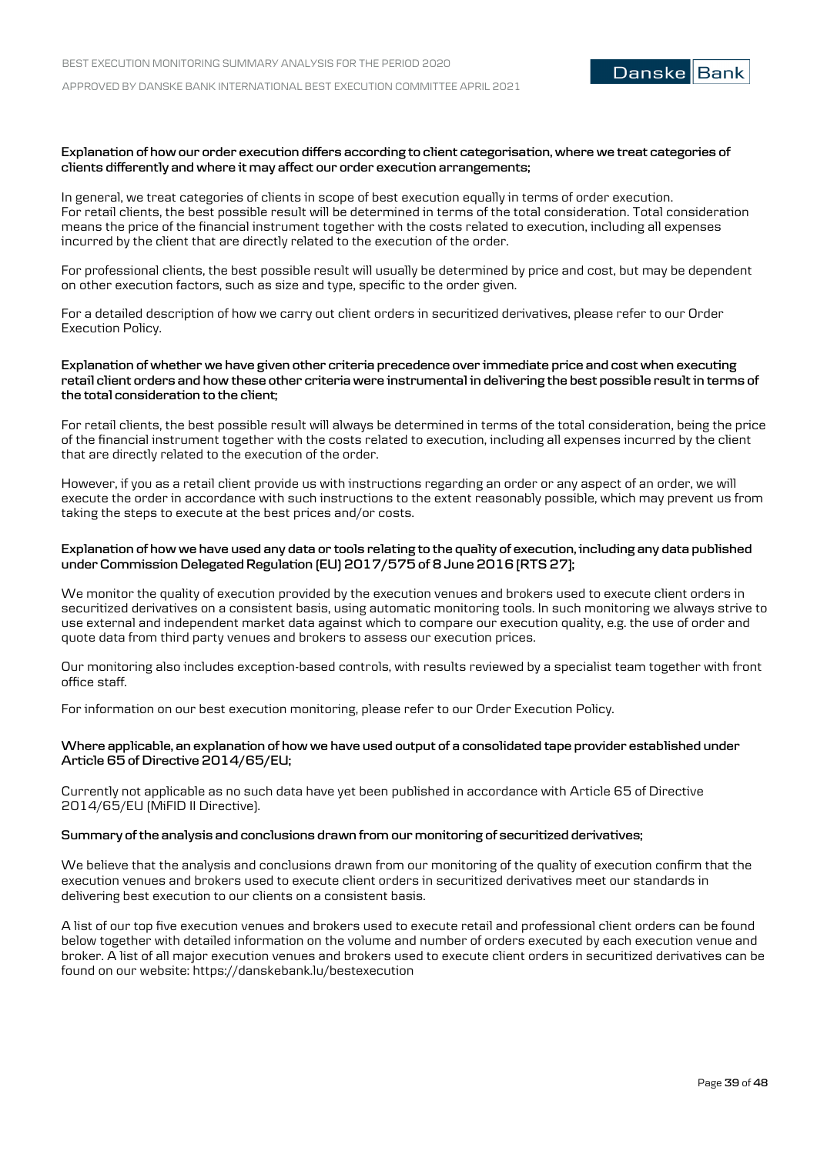



#### **Explanation of how our order execution differs according to client categorisation, where we treat categories of clients differently and where it may affect our order execution arrangements;**

In general, we treat categories of clients in scope of best execution equally in terms of order execution. For retail clients, the best possible result will be determined in terms of the total consideration. Total consideration means the price of the financial instrument together with the costs related to execution, including all expenses incurred by the client that are directly related to the execution of the order.

For professional clients, the best possible result will usually be determined by price and cost, but may be dependent on other execution factors, such as size and type, specific to the order given.

For a detailed description of how we carry out client orders in securitized derivatives, please refer to our Order Execution Policy.

#### **Explanation of whether we have given other criteria precedence over immediate price and cost when executing retail client orders and how these other criteria were instrumental in delivering the best possible result in terms of the total consideration to the client;**

For retail clients, the best possible result will always be determined in terms of the total consideration, being the price of the financial instrument together with the costs related to execution, including all expenses incurred by the client that are directly related to the execution of the order.

However, if you as a retail client provide us with instructions regarding an order or any aspect of an order, we will execute the order in accordance with such instructions to the extent reasonably possible, which may prevent us from taking the steps to execute at the best prices and/or costs.

#### **Explanation of how we have used any data or tools relating to the quality of execution, including any data published under Commission Delegated Regulation (EU) 2017/575 of 8 June 2016 [RTS 27];**

We monitor the quality of execution provided by the execution venues and brokers used to execute client orders in securitized derivatives on a consistent basis, using automatic monitoring tools. In such monitoring we always strive to use external and independent market data against which to compare our execution quality, e.g. the use of order and quote data from third party venues and brokers to assess our execution prices.

Our monitoring also includes exception-based controls, with results reviewed by a specialist team together with front office staff.

For information on our best execution monitoring, please refer to our Order Execution Policy.

#### **Where applicable, an explanation of how we have used output of a consolidated tape provider established under Article 65 of Directive 2014/65/EU;**

Currently not applicable as no such data have yet been published in accordance with Article 65 of Directive 2014/65/EU (MiFID II Directive).

#### **Summary of the analysis and conclusions drawn from our monitoring of securitized derivatives;**

We believe that the analysis and conclusions drawn from our monitoring of the quality of execution confirm that the execution venues and brokers used to execute client orders in securitized derivatives meet our standards in delivering best execution to our clients on a consistent basis.

A list of our top five execution venues and brokers used to execute retail and professional client orders can be found below together with detailed information on the volume and number of orders executed by each execution venue and broker. A list of all major execution venues and brokers used to execute client orders in securitized derivatives can be found on our website: https://danskebank.lu/bestexecution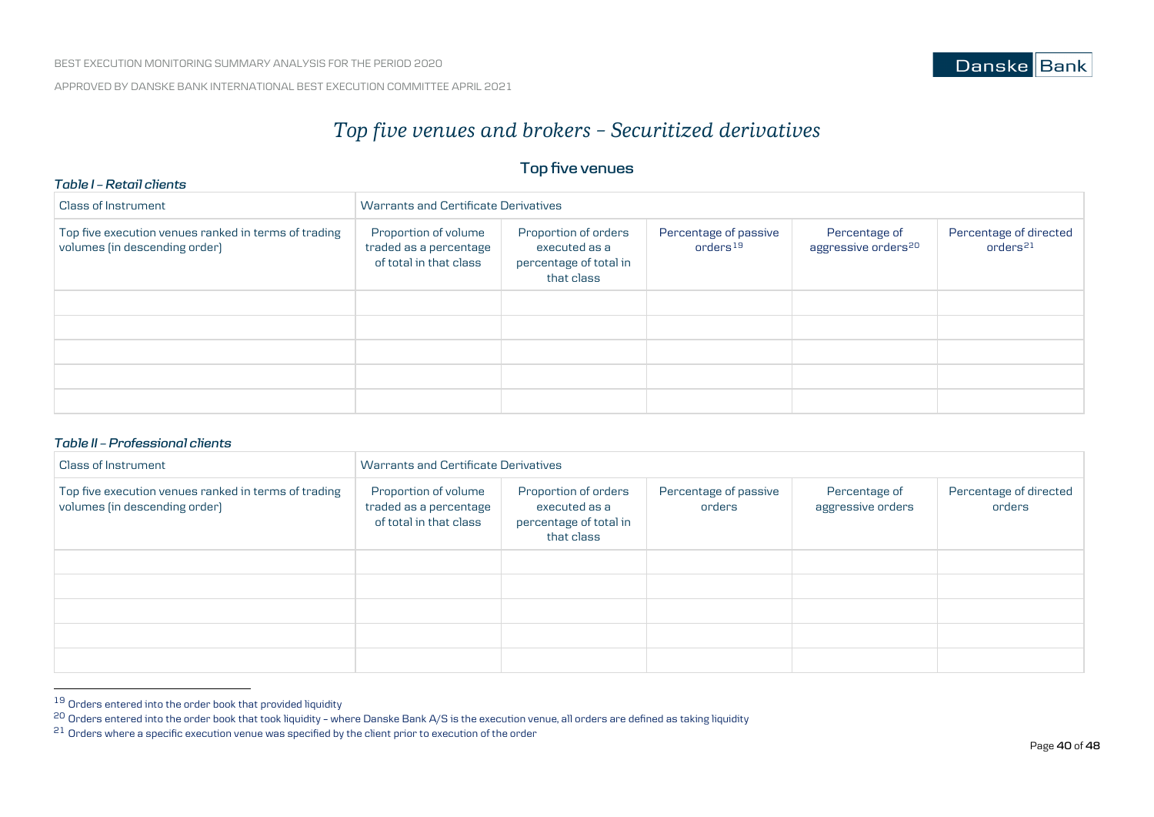# *Top five venues and brokers – Securitized derivatives*

# <span id="page-39-2"></span><span id="page-39-1"></span><span id="page-39-0"></span>**Top five venues**

#### *Table I – Retail clients*

| Class of Instrument                                                                   | <b>Warrants and Certificate Derivatives</b>                              |                                                                               |                                               |                                                  |                                                |
|---------------------------------------------------------------------------------------|--------------------------------------------------------------------------|-------------------------------------------------------------------------------|-----------------------------------------------|--------------------------------------------------|------------------------------------------------|
| Top five execution venues ranked in terms of trading<br>volumes (in descending order) | Proportion of volume<br>traded as a percentage<br>of total in that class | Proportion of orders<br>executed as a<br>percentage of total in<br>that class | Percentage of passive<br>orders <sup>19</sup> | Percentage of<br>aggressive orders <sup>20</sup> | Percentage of directed<br>orders <sup>21</sup> |
|                                                                                       |                                                                          |                                                                               |                                               |                                                  |                                                |
|                                                                                       |                                                                          |                                                                               |                                               |                                                  |                                                |
|                                                                                       |                                                                          |                                                                               |                                               |                                                  |                                                |
|                                                                                       |                                                                          |                                                                               |                                               |                                                  |                                                |
|                                                                                       |                                                                          |                                                                               |                                               |                                                  |                                                |

#### *Table II – Professional clients*

 $\overline{a}$ 

| Class of Instrument                                                                   | <b>Warrants and Certificate Derivatives</b>                              |                                                                               |                                 |                                    |                                  |
|---------------------------------------------------------------------------------------|--------------------------------------------------------------------------|-------------------------------------------------------------------------------|---------------------------------|------------------------------------|----------------------------------|
| Top five execution venues ranked in terms of trading<br>volumes (in descending order) | Proportion of volume<br>traded as a percentage<br>of total in that class | Proportion of orders<br>executed as a<br>percentage of total in<br>that class | Percentage of passive<br>orders | Percentage of<br>aggressive orders | Percentage of directed<br>orders |
|                                                                                       |                                                                          |                                                                               |                                 |                                    |                                  |
|                                                                                       |                                                                          |                                                                               |                                 |                                    |                                  |
|                                                                                       |                                                                          |                                                                               |                                 |                                    |                                  |
|                                                                                       |                                                                          |                                                                               |                                 |                                    |                                  |
|                                                                                       |                                                                          |                                                                               |                                 |                                    |                                  |

 $^{19}$  Orders entered into the order book that provided liquidity

<sup>20</sup> Orders entered into the order book that took liquidity – where Danske Bank A/S is the execution venue, all orders are defined as taking liquidity

<sup>&</sup>lt;sup>21</sup> Orders where a specific execution venue was specified by the client prior to execution of the order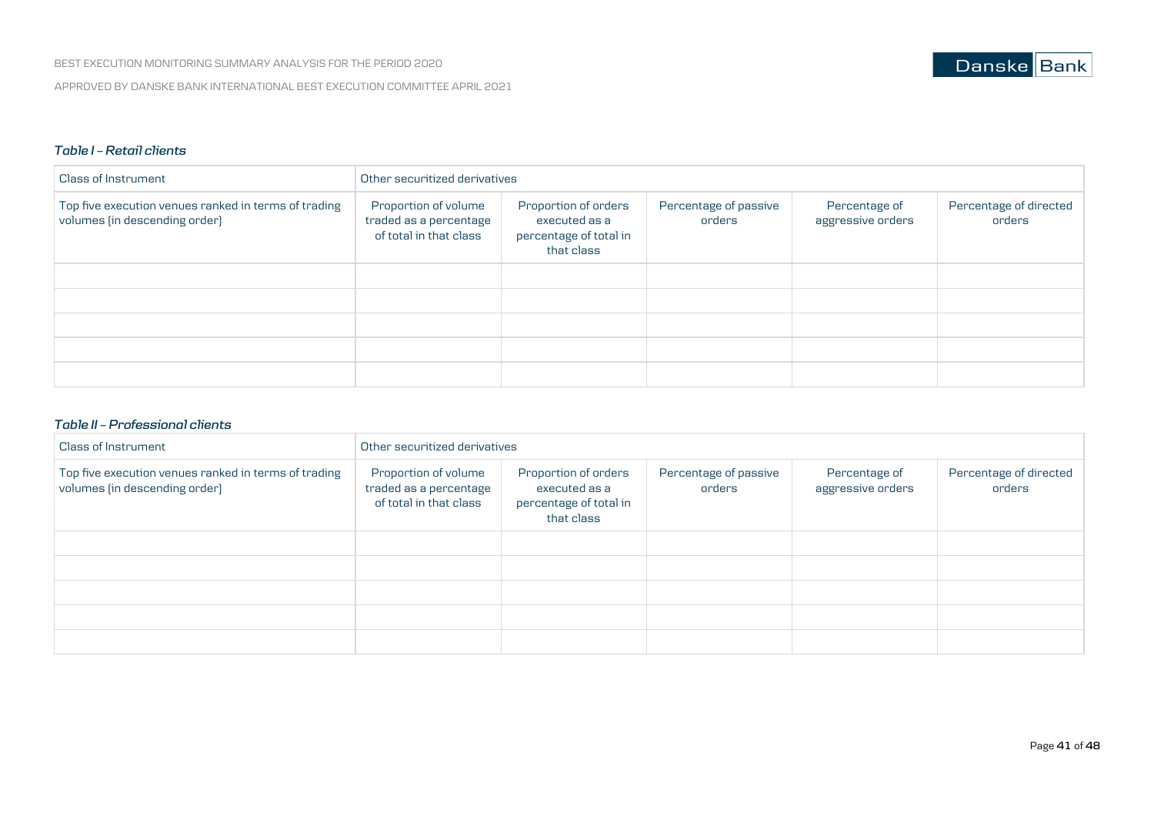### *Table I – Retail clients*

| Class of Instrument                                                                   | Other securitized derivatives                                            |                                                                               |                                 |                                    |                                  |
|---------------------------------------------------------------------------------------|--------------------------------------------------------------------------|-------------------------------------------------------------------------------|---------------------------------|------------------------------------|----------------------------------|
| Top five execution venues ranked in terms of trading<br>volumes (in descending order) | Proportion of volume<br>traded as a percentage<br>of total in that class | Proportion of orders<br>executed as a<br>percentage of total in<br>that class | Percentage of passive<br>orders | Percentage of<br>aggressive orders | Percentage of directed<br>orders |
|                                                                                       |                                                                          |                                                                               |                                 |                                    |                                  |
|                                                                                       |                                                                          |                                                                               |                                 |                                    |                                  |
|                                                                                       |                                                                          |                                                                               |                                 |                                    |                                  |
|                                                                                       |                                                                          |                                                                               |                                 |                                    |                                  |
|                                                                                       |                                                                          |                                                                               |                                 |                                    |                                  |

| Class of Instrument                                                                   | Other securitized derivatives                                            |                                                                               |                                 |                                    |                                  |
|---------------------------------------------------------------------------------------|--------------------------------------------------------------------------|-------------------------------------------------------------------------------|---------------------------------|------------------------------------|----------------------------------|
| Top five execution venues ranked in terms of trading<br>volumes (in descending order) | Proportion of volume<br>traded as a percentage<br>of total in that class | Proportion of orders<br>executed as a<br>percentage of total in<br>that class | Percentage of passive<br>orders | Percentage of<br>aggressive orders | Percentage of directed<br>orders |
|                                                                                       |                                                                          |                                                                               |                                 |                                    |                                  |
|                                                                                       |                                                                          |                                                                               |                                 |                                    |                                  |
|                                                                                       |                                                                          |                                                                               |                                 |                                    |                                  |
|                                                                                       |                                                                          |                                                                               |                                 |                                    |                                  |
|                                                                                       |                                                                          |                                                                               |                                 |                                    |                                  |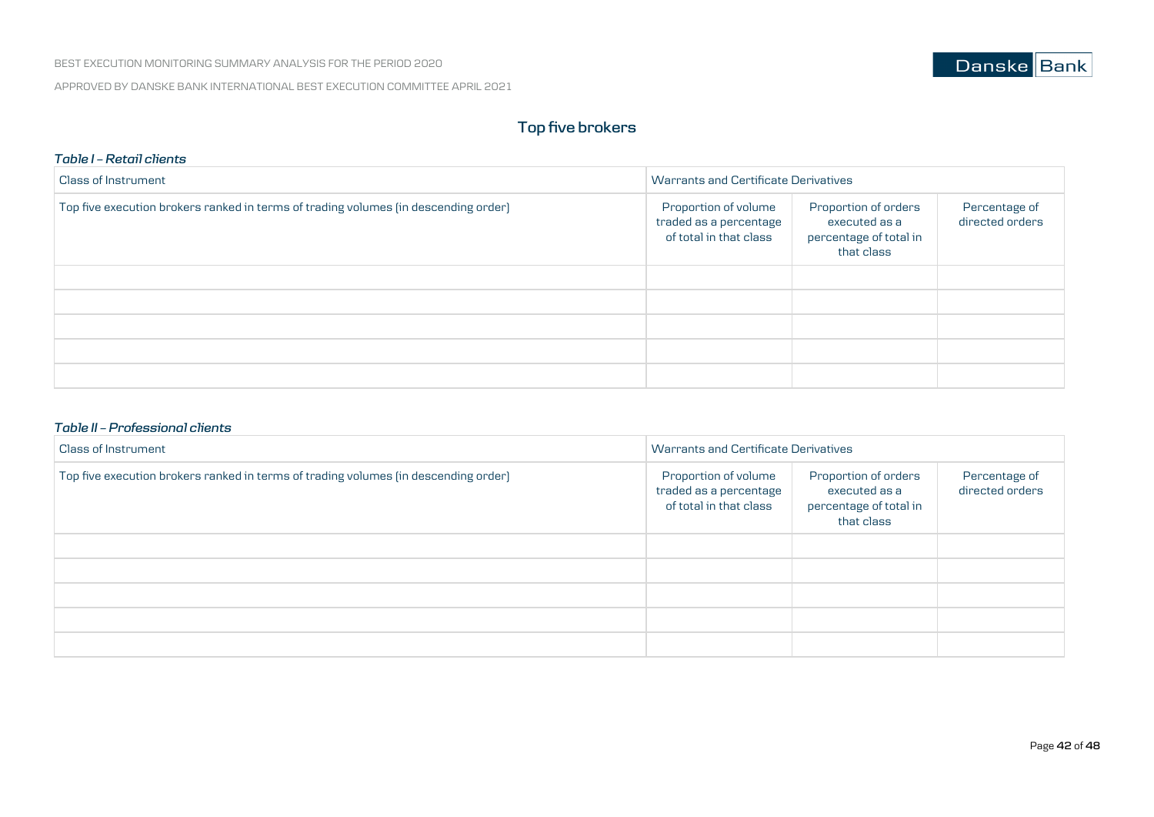### **Top five brokers**

#### *Table I – Retail clients*

| Class of Instrument                                                                 | Warrants and Certificate Derivatives                                     |                                                                               |                                  |
|-------------------------------------------------------------------------------------|--------------------------------------------------------------------------|-------------------------------------------------------------------------------|----------------------------------|
| Top five execution brokers ranked in terms of trading volumes (in descending order) | Proportion of volume<br>traded as a percentage<br>of total in that class | Proportion of orders<br>executed as a<br>percentage of total in<br>that class | Percentage of<br>directed orders |
|                                                                                     |                                                                          |                                                                               |                                  |
|                                                                                     |                                                                          |                                                                               |                                  |
|                                                                                     |                                                                          |                                                                               |                                  |
|                                                                                     |                                                                          |                                                                               |                                  |
|                                                                                     |                                                                          |                                                                               |                                  |

| Class of Instrument                                                                 | <b>Warrants and Certificate Derivatives</b>                              |                                                                                      |                                  |  |
|-------------------------------------------------------------------------------------|--------------------------------------------------------------------------|--------------------------------------------------------------------------------------|----------------------------------|--|
| Top five execution brokers ranked in terms of trading volumes (in descending order) | Proportion of volume<br>traded as a percentage<br>of total in that class | <b>Proportion of orders</b><br>executed as a<br>percentage of total in<br>that class | Percentage of<br>directed orders |  |
|                                                                                     |                                                                          |                                                                                      |                                  |  |
|                                                                                     |                                                                          |                                                                                      |                                  |  |
|                                                                                     |                                                                          |                                                                                      |                                  |  |
|                                                                                     |                                                                          |                                                                                      |                                  |  |
|                                                                                     |                                                                          |                                                                                      |                                  |  |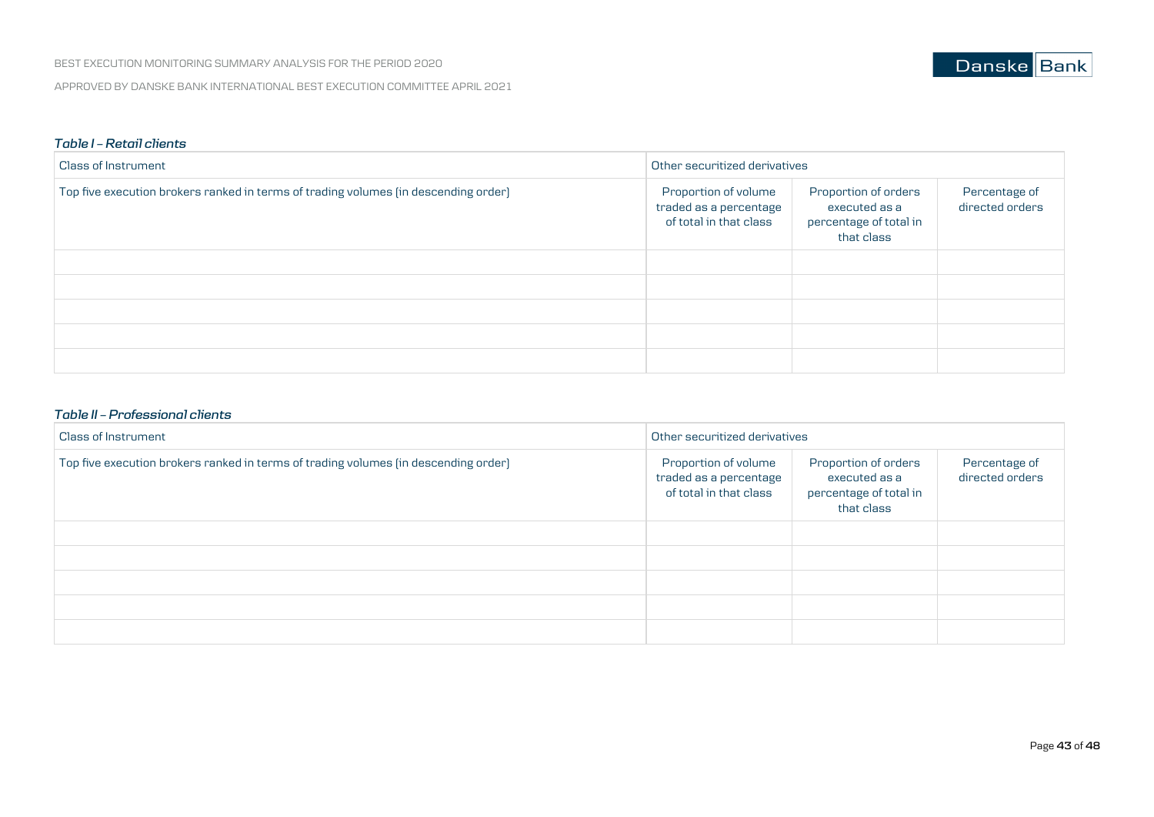| Class of Instrument                                                                 | Other securitized derivatives                                            |                                                                               |                                  |  |
|-------------------------------------------------------------------------------------|--------------------------------------------------------------------------|-------------------------------------------------------------------------------|----------------------------------|--|
| Top five execution brokers ranked in terms of trading volumes (in descending order) | Proportion of volume<br>traded as a percentage<br>of total in that class | Proportion of orders<br>executed as a<br>percentage of total in<br>that class | Percentage of<br>directed orders |  |
|                                                                                     |                                                                          |                                                                               |                                  |  |
|                                                                                     |                                                                          |                                                                               |                                  |  |
|                                                                                     |                                                                          |                                                                               |                                  |  |
|                                                                                     |                                                                          |                                                                               |                                  |  |
|                                                                                     |                                                                          |                                                                               |                                  |  |

| Class of Instrument                                                                 | Other securitized derivatives                                            |                                                                               |                                  |  |
|-------------------------------------------------------------------------------------|--------------------------------------------------------------------------|-------------------------------------------------------------------------------|----------------------------------|--|
| Top five execution brokers ranked in terms of trading volumes (in descending order) | Proportion of volume<br>traded as a percentage<br>of total in that class | Proportion of orders<br>executed as a<br>percentage of total in<br>that class | Percentage of<br>directed orders |  |
|                                                                                     |                                                                          |                                                                               |                                  |  |
|                                                                                     |                                                                          |                                                                               |                                  |  |
|                                                                                     |                                                                          |                                                                               |                                  |  |
|                                                                                     |                                                                          |                                                                               |                                  |  |
|                                                                                     |                                                                          |                                                                               |                                  |  |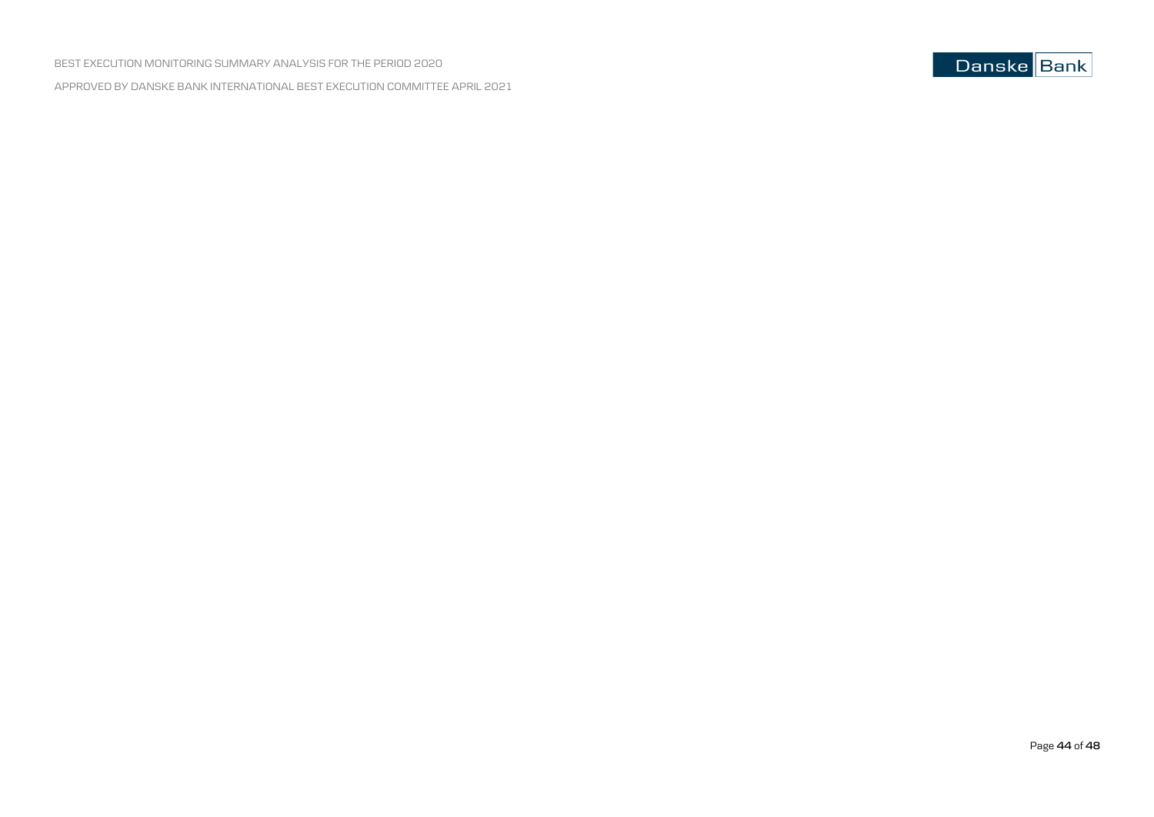#### BEST EXECUTION MONITORING SUMMARY ANALYSIS FOR THE PERIOD 2020

APPROVED BY DANSKE BANK INTERNATIONAL BEST EXECUTION COMMITTEE APRIL 2021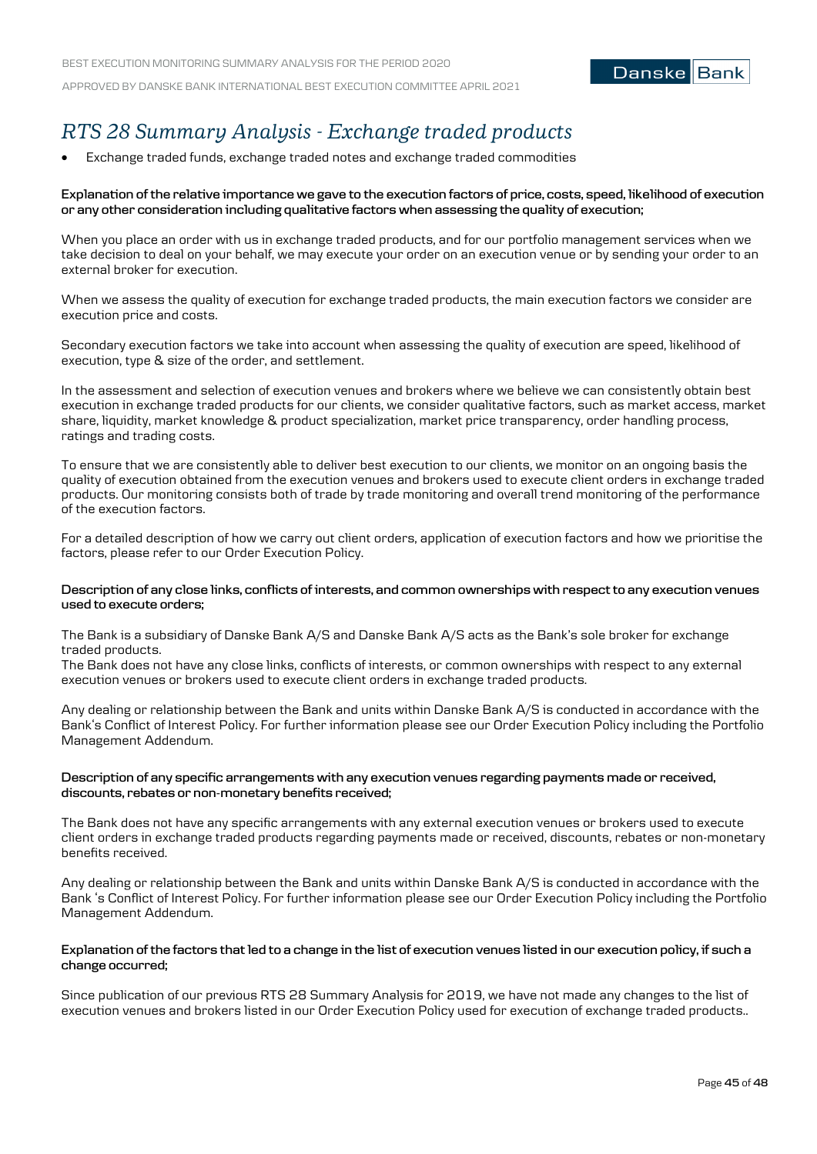

# *RTS 28 Summary Analysis - Exchange traded products*

• Exchange traded funds, exchange traded notes and exchange traded commodities

#### **Explanation of the relative importance we gave to the execution factors of price, costs, speed, likelihood of execution or any other consideration including qualitative factors when assessing the quality of execution;**

When you place an order with us in exchange traded products, and for our portfolio management services when we take decision to deal on your behalf, we may execute your order on an execution venue or by sending your order to an external broker for execution.

When we assess the quality of execution for exchange traded products, the main execution factors we consider are execution price and costs.

Secondary execution factors we take into account when assessing the quality of execution are speed, likelihood of execution, type & size of the order, and settlement.

In the assessment and selection of execution venues and brokers where we believe we can consistently obtain best execution in exchange traded products for our clients, we consider qualitative factors, such as market access, market share, liquidity, market knowledge & product specialization, market price transparency, order handling process, ratings and trading costs.

To ensure that we are consistently able to deliver best execution to our clients, we monitor on an ongoing basis the quality of execution obtained from the execution venues and brokers used to execute client orders in exchange traded products. Our monitoring consists both of trade by trade monitoring and overall trend monitoring of the performance of the execution factors.

For a detailed description of how we carry out client orders, application of execution factors and how we prioritise the factors, please refer to our Order Execution Policy.

#### **Description of any close links, conflicts of interests, and common ownerships with respect to any execution venues used to execute orders;**

The Bank is a subsidiary of Danske Bank A/S and Danske Bank A/S acts as the Bank's sole broker for exchange traded products.

The Bank does not have any close links, conflicts of interests, or common ownerships with respect to any external execution venues or brokers used to execute client orders in exchange traded products.

Any dealing or relationship between the Bank and units within Danske Bank A/S is conducted in accordance with the Bank's Conflict of Interest Policy. For further information please see our Order Execution Policy including the Portfolio Management Addendum.

#### **Description of any specific arrangements with any execution venues regarding payments made or received, discounts, rebates or non-monetary benefits received;**

The Bank does not have any specific arrangements with any external execution venues or brokers used to execute client orders in exchange traded products regarding payments made or received, discounts, rebates or non-monetary benefits received.

Any dealing or relationship between the Bank and units within Danske Bank A/S is conducted in accordance with the Bank 's Conflict of Interest Policy. For further information please see our Order Execution Policy including the Portfolio Management Addendum.

#### **Explanation of the factors that led to a change in the list of execution venues listed in our execution policy, if such a change occurred;**

Since publication of our previous RTS 28 Summary Analysis for 2019, we have not made any changes to the list of execution venues and brokers listed in our Order Execution Policy used for execution of exchange traded products..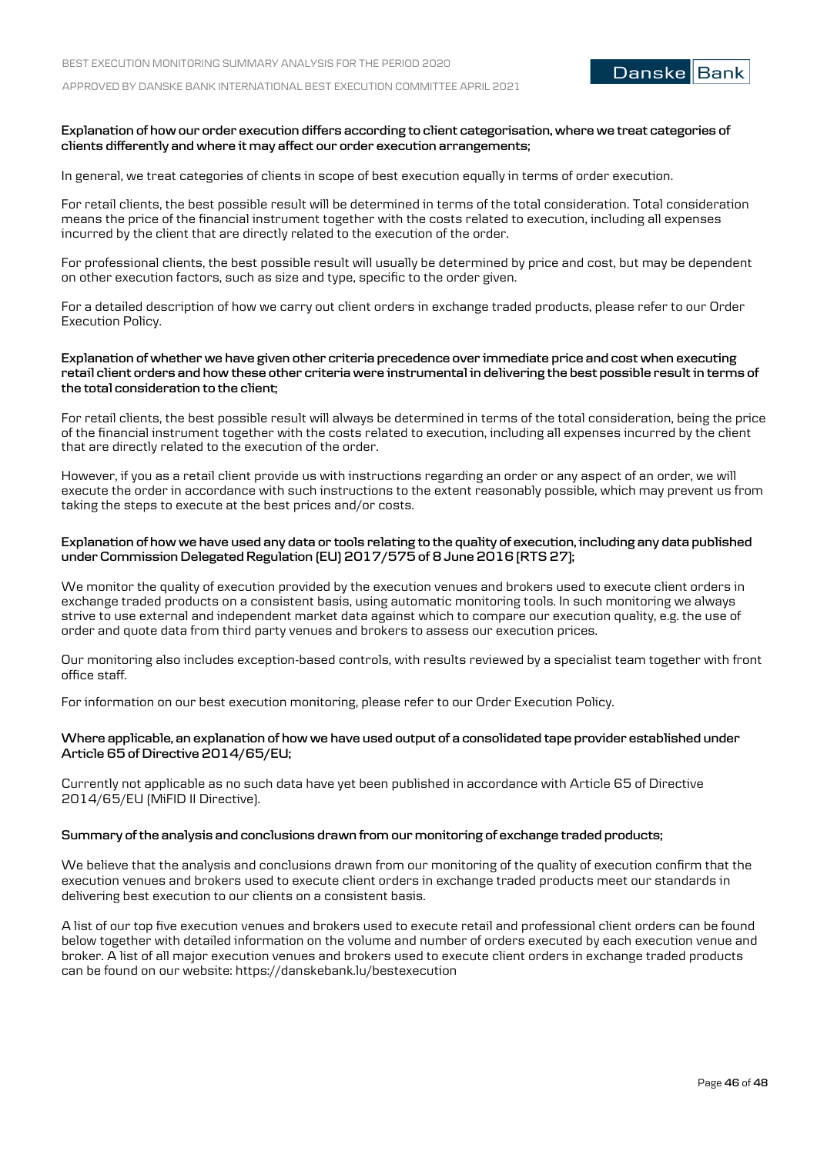#### **Explanation of how our order execution differs according to client categorisation, where we treat categories of clients differently and where it may affect our order execution arrangements;**

**Danske** 

**Bank** 

In general, we treat categories of clients in scope of best execution equally in terms of order execution.

For retail clients, the best possible result will be determined in terms of the total consideration. Total consideration means the price of the financial instrument together with the costs related to execution, including all expenses incurred by the client that are directly related to the execution of the order.

For professional clients, the best possible result will usually be determined by price and cost, but may be dependent on other execution factors, such as size and type, specific to the order given.

For a detailed description of how we carry out client orders in exchange traded products, please refer to our Order Execution Policy.

#### **Explanation of whether we have given other criteria precedence over immediate price and cost when executing retail client orders and how these other criteria were instrumental in delivering the best possible result in terms of the total consideration to the client;**

For retail clients, the best possible result will always be determined in terms of the total consideration, being the price of the financial instrument together with the costs related to execution, including all expenses incurred by the client that are directly related to the execution of the order.

However, if you as a retail client provide us with instructions regarding an order or any aspect of an order, we will execute the order in accordance with such instructions to the extent reasonably possible, which may prevent us from taking the steps to execute at the best prices and/or costs.

#### **Explanation of how we have used any data or tools relating to the quality of execution, including any data published under Commission Delegated Regulation (EU) 2017/575 of 8 June 2016 [RTS 27];**

We monitor the quality of execution provided by the execution venues and brokers used to execute client orders in exchange traded products on a consistent basis, using automatic monitoring tools. In such monitoring we always strive to use external and independent market data against which to compare our execution quality, e.g. the use of order and quote data from third party venues and brokers to assess our execution prices.

Our monitoring also includes exception-based controls, with results reviewed by a specialist team together with front office staff.

For information on our best execution monitoring, please refer to our Order Execution Policy.

#### **Where applicable, an explanation of how we have used output of a consolidated tape provider established under Article 65 of Directive 2014/65/EU;**

Currently not applicable as no such data have yet been published in accordance with Article 65 of Directive 2014/65/EU (MiFID II Directive).

#### **Summary of the analysis and conclusions drawn from our monitoring of exchange traded products;**

We believe that the analysis and conclusions drawn from our monitoring of the quality of execution confirm that the execution venues and brokers used to execute client orders in exchange traded products meet our standards in delivering best execution to our clients on a consistent basis.

A list of our top five execution venues and brokers used to execute retail and professional client orders can be found below together with detailed information on the volume and number of orders executed by each execution venue and broker. A list of all major execution venues and brokers used to execute client orders in exchange traded products can be found on our website: https://danskebank.lu/bestexecution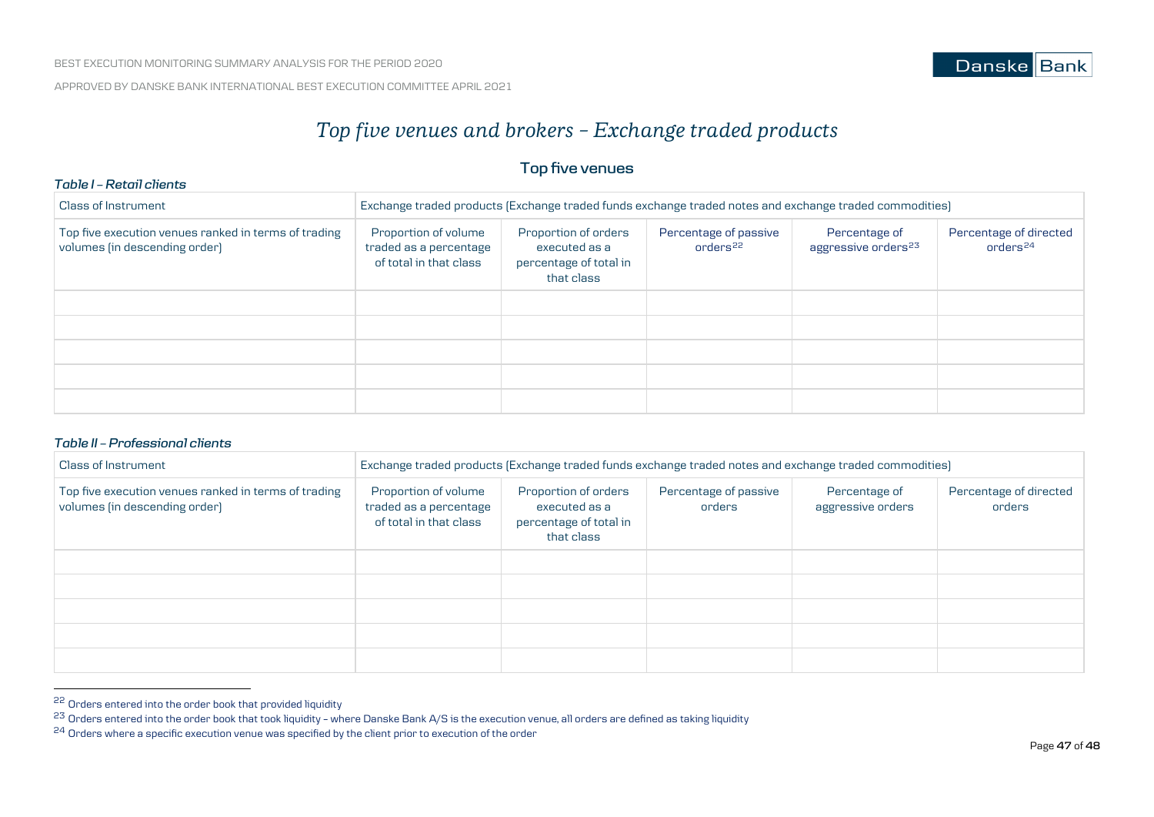# *Top five venues and brokers – Exchange traded products*

## <span id="page-46-2"></span><span id="page-46-1"></span><span id="page-46-0"></span>**Top five venues**

#### *Table I – Retail clients*

| Class of Instrument                                                                   | Exchange traded products (Exchange traded funds exchange traded notes and exchange traded commodities) |                                                                               |                                               |                                                  |                                                |
|---------------------------------------------------------------------------------------|--------------------------------------------------------------------------------------------------------|-------------------------------------------------------------------------------|-----------------------------------------------|--------------------------------------------------|------------------------------------------------|
| Top five execution venues ranked in terms of trading<br>volumes (in descending order) | Proportion of volume<br>traded as a percentage<br>of total in that class                               | Proportion of orders<br>executed as a<br>percentage of total in<br>that class | Percentage of passive<br>orders <sup>22</sup> | Percentage of<br>aggressive orders <sup>23</sup> | Percentage of directed<br>orders <sup>24</sup> |
|                                                                                       |                                                                                                        |                                                                               |                                               |                                                  |                                                |
|                                                                                       |                                                                                                        |                                                                               |                                               |                                                  |                                                |
|                                                                                       |                                                                                                        |                                                                               |                                               |                                                  |                                                |
|                                                                                       |                                                                                                        |                                                                               |                                               |                                                  |                                                |
|                                                                                       |                                                                                                        |                                                                               |                                               |                                                  |                                                |

#### *Table II – Professional clients*

 $\overline{a}$ 

| Class of Instrument                                                                   | Exchange traded products (Exchange traded funds exchange traded notes and exchange traded commodities) |                                                                               |                                 |                                    |                                  |
|---------------------------------------------------------------------------------------|--------------------------------------------------------------------------------------------------------|-------------------------------------------------------------------------------|---------------------------------|------------------------------------|----------------------------------|
| Top five execution venues ranked in terms of trading<br>volumes (in descending order) | Proportion of volume<br>traded as a percentage<br>of total in that class                               | Proportion of orders<br>executed as a<br>percentage of total in<br>that class | Percentage of passive<br>orders | Percentage of<br>aggressive orders | Percentage of directed<br>orders |
|                                                                                       |                                                                                                        |                                                                               |                                 |                                    |                                  |
|                                                                                       |                                                                                                        |                                                                               |                                 |                                    |                                  |
|                                                                                       |                                                                                                        |                                                                               |                                 |                                    |                                  |
|                                                                                       |                                                                                                        |                                                                               |                                 |                                    |                                  |
|                                                                                       |                                                                                                        |                                                                               |                                 |                                    |                                  |

<sup>22</sup> Orders entered into the order book that provided liquidity

<sup>23</sup> Orders entered into the order book that took liquidity – where Danske Bank A/S is the execution venue, all orders are defined as taking liquidity

<sup>&</sup>lt;sup>24</sup> Orders where a specific execution venue was specified by the client prior to execution of the order